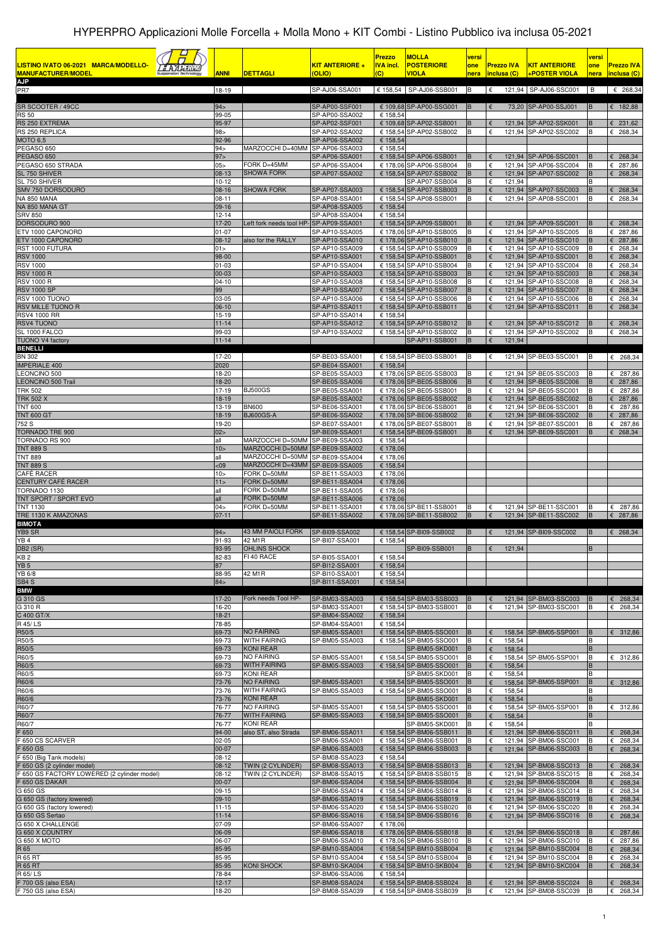| LISTINO IVATO 06-2021 MARCA/MODELLO-<br><u>a Azariku</u><br><b>MANUFACTURER/MODEI</b><br><b>AJP</b> | <b>ANNI</b>          | <b>DETTAGLI</b>                         | <u>KIT ANTERIORE +</u><br>(OLIO) | <b>Prezzo</b><br><b>IVA incl.</b><br>(C) | <b>MOLLA</b><br><b>POSTERIORE</b><br><b>VIOLA</b>  | versi<br>one<br>nera | <b>Prezzo IVA</b><br>inclusa (C)             | <b>KIT ANTERIORE</b><br><b>+POSTER VIOLA</b>   | versi<br>one<br>nera | <b>Prezzo IVA</b><br>inclusa (C)       |
|-----------------------------------------------------------------------------------------------------|----------------------|-----------------------------------------|----------------------------------|------------------------------------------|----------------------------------------------------|----------------------|----------------------------------------------|------------------------------------------------|----------------------|----------------------------------------|
| PR7                                                                                                 | 18-19                |                                         | SP-AJ06-SSA001                   |                                          | € 158,54 SP-AJ06-SSB001 B                          |                      |                                              | € 121,94 SP-AJ06-SSC001 B                      |                      | $\epsilon$ 268,34                      |
| SR SCOOTER / 49CC                                                                                   | 94>                  |                                         | SP-AP00-SSF001                   |                                          | € 109,68 SP-AP00-SSG001                            | B                    | €                                            | 73,20 SP-AP00-SSJ001                           | B                    | € 182,88                               |
| <b>RS 50</b>                                                                                        | 99-05                |                                         | SP-AP00-SSA002                   | € 158,54                                 |                                                    |                      |                                              |                                                |                      |                                        |
| RS 250 EXTREMA<br>RS 250 REPLICA                                                                    | 95-97<br>$98 -$      |                                         | SP-AP02-SSF001<br>SP-AP02-SSA002 |                                          | € 109,68 SP-AP02-SSB001<br>€ 158,54 SP-AP02-SSB002 | B<br>B               | €<br>€                                       | 121,94 SP-AP02-SSK001<br>121,94 SP-AP02-SSC002 | B<br>B               | $E$ 231,62<br>$E$ 268,34               |
| <b>MOTO 6.5</b>                                                                                     | 92-96                |                                         | SP-AP06-SSA002                   | € 158,54                                 |                                                    |                      |                                              |                                                |                      |                                        |
| PEGASO 650<br>PEGASO 650                                                                            | 94 ><br>97 >         | MARZOCCHI D=40MM                        | SP-AP06-SSA003<br>SP-AP06-SSA001 | € 158,54                                 | € 158,54 SP-AP06-SSB001                            | B                    | €                                            | 121,94 SP-AP06-SSC001                          | B                    | $E$ 268,34                             |
| PEGASO 650 STRADA                                                                                   | $05 \times$          | FORK D=45MM                             | SP-AP06-SSA004                   |                                          | € 178,06 SP-AP06-SSB004                            | B                    | €                                            | 121,94 SP-AP06-SSC004                          | B                    | € 287,86                               |
| SL 750 SHIVER<br>SL 750 SHIVER                                                                      | 08-13<br>$10 - 12$   | <b>SHOWA FORK</b>                       | SP-AP07-SSA002                   |                                          | € 158,54 SP-AP07-SSB002<br>SP-AP07-SSB004          | B<br>в               | $\epsilon$<br>€<br>121,94                    | 121,94 SP-AP07-SSC002                          | B                    | £ 268,34                               |
| SMV 750 DORSODURO                                                                                   | 08-16                | <b>SHOWA FORK</b>                       | SP-AP07-SSA003                   |                                          | € 158,54 SP-AP07-SSB003                            | B                    | $\epsilon$                                   | 121,94 SP-AP07-SSC003                          | B                    | $E$ 268,34                             |
| NA 850 MANA<br>NA 850 MANA GT                                                                       | 08-11<br>09-16       |                                         | SP-AP08-SSA001<br>SP-AP08-SSA005 | € 158,54                                 | € 158,54 SP-AP08-SSB001                            | B                    | €                                            | 121,94 SP-AP08-SSC001                          |                      | $E$ 268,34                             |
| <b>SRV 850</b>                                                                                      | $12 - 14$            |                                         | SP-AP08-SSA004                   | € 158,54                                 |                                                    |                      |                                              |                                                |                      |                                        |
| DORSODURO 900<br>ETV 1000 CAPONORD                                                                  | 17-20<br>$01 - 07$   | Left fork needs tool HP-SP-AP09-SSA001  | SP-AP10-SSA005                   |                                          | € 158,54 SP-AP09-SSB001<br>€ 178,06 SP-AP10-SSB005 | В<br>B               | €<br>€                                       | 121,94 SP-AP09-SSC001<br>121,94 SP-AP10-SSC005 | B                    | $E$ 268,34<br>€ 287,86                 |
| ETV 1000 CAPONORD                                                                                   | 08-12                | also for the RALLY                      | SP-AP10-SSA010                   |                                          | € 178,06 SP-AP10-SSB010                            | $\sf B$              | €                                            | 121,94 SP-AP10-SSC010                          | B                    | € 287,86                               |
| RST 1000 FUTURA<br><b>RSV 1000</b>                                                                  | 01 ><br>98-00        |                                         | SP-AP10-SSA009<br>SP-AP10-SSA001 |                                          | € 158,54 SP-AP10-SSB009<br>€ 158,54 SP-AP10-SSB001 | B<br>$\sf B$         | €<br>€                                       | 121,94 SP-AP10-SSC009<br>121,94 SP-AP10-SSC001 | B<br>B               | $E$ 268,34<br>$E$ 268,34               |
| <b>RSV 1000</b>                                                                                     | $01 - 03$            |                                         | SP-AP10-SSA004                   |                                          | € 158,54 SP-AP10-SSB004                            | B                    | $\epsilon$                                   | 121,94 SP-AP10-SSC004                          | B                    | £ 268,34                               |
| <b>RSV 1000 R</b><br><b>RSV 1000 R</b>                                                              | 00-03<br>$04 - 10$   |                                         | SP-AP10-SSA003<br>SP-AP10-SSA008 |                                          | € 158,54 SP-AP10-SSB003<br>€ 158,54 SP-AP10-SSB008 | $\sf B$<br>B         | €<br>€                                       | 121,94 SP-AP10-SSC003<br>121,94 SP-AP10-SSC008 | B<br>B               | $E$ 268,34<br>€ 268,34                 |
| <b>RSV 1000 SP</b>                                                                                  | 99                   |                                         | SP-AP10-SSA007                   |                                          | € 158,54 SP-AP10-SSB007                            | B                    | $\epsilon$                                   | 121,94 SP-AP10-SSC007                          | B                    | $E$ 268,34                             |
| RSV 1000 TUONO<br>RSV MILLE TUONO R                                                                 | 03-05<br>06-10       |                                         | SP-AP10-SSA006<br>SP-AP10-SSA011 |                                          | € 158,54 SP-AP10-SSB006<br>€ 158,54 SP-AP10-SSB011 | B<br>B               | €<br>€                                       | 121,94 SP-AP10-SSC006<br>121,94 SP-AP10-SSC011 | B<br>B               | € 268,34<br>$E$ 268,34                 |
| <b>RSV4 1000 RR</b>                                                                                 | 15-19                |                                         | SP-AP10-SSA014                   | € 158.54                                 |                                                    |                      |                                              |                                                |                      |                                        |
| RSV4 TUONO<br>SL 1000 FALCO                                                                         | $11 - 14$<br>99-03   |                                         | SP-AP10-SSA012<br>SP-AP10-SSA002 |                                          | € 158,54 SP-AP10-SSB012<br>€ 158,54 SP-AP10-SSB002 | В<br>B               | $\epsilon$<br>€                              | 121,94 SP-AP10-SSC012<br>121,94 SP-AP10-SSC002 | В                    | $E$ 268,34<br>€ 268,34                 |
| <b>TUONO V4 factory</b>                                                                             | $11 - 14$            |                                         |                                  |                                          | SP-AP11-SSB001                                     | B                    | 121,94<br>$\epsilon$                         |                                                |                      |                                        |
| <b>BENELLI</b><br>BN 302                                                                            | 17-20                |                                         |                                  |                                          | € 158,54 SP-BE03-SSB001                            | B                    | €                                            |                                                |                      |                                        |
| MPERIALE 400                                                                                        | 2020                 |                                         | SP-BE03-SSA001<br>SP-BE04-SSA001 | € 158,54                                 |                                                    |                      |                                              | 121,94 SP-BE03-SSC001                          | IB.                  | $\epsilon$ 268,34                      |
| <b>EONCINO 500</b>                                                                                  | 18-20                |                                         | SP-BE05-SSA003                   |                                          | € 178,06 SP-BE05-SSB003                            | В                    | €                                            | 121,94 SP-BE05-SSC003                          |                      | 6287,86                                |
| <b>EONCINO 500 Trail</b><br><b>TRK 502</b>                                                          | 18-20<br>17-19       | <b>BJ500GS</b>                          | SP-BE05-SSA006<br>SP-BE05-SSA001 |                                          | € 178,06 SP-BE05-SSB006<br>€ 178,06 SP-BE05-SSB001 | B<br>В               | $\epsilon$<br>€                              | 121,94 SP-BE05-SSC006<br>121,94 SP-BE05-SSC001 | B                    | £ 287,86<br>287,86<br>€                |
| TRK 502 X                                                                                           | 18-19                |                                         | SP-BE05-SSA002                   |                                          | € 178,06 SP-BE05-SSB002                            | B                    | $\epsilon$                                   | 121,94 SP-BE05-SSC002                          | B                    | € 287,86                               |
| <b>TNT 600</b><br><b>TNT 600 GT</b>                                                                 | $13 - 19$<br>18-19   | <b>BN600</b><br><b>BJ600GS-A</b>        | SP-BE06-SSA001<br>SP-BE06-SSA002 |                                          | € 178,06 SP-BE06-SSB001<br>€ 178,06 SP-BE06-SSB002 | В<br>B               | €<br>€                                       | 121,94 SP-BE06-SSC001<br>121,94 SP-BE06-SSC002 | B<br>в               | € 287,86<br>£ 287,86                   |
| 752 S                                                                                               | 19-20                |                                         | SP-BE07-SSA001                   |                                          | € 178,06 SP-BE07-SSB001                            | B                    | €                                            | 121,94 SP-BE07-SSC001                          |                      | €<br>287,86                            |
| TORNADO TRE 900<br>TORNADO RS 900                                                                   | 02<br>all            | MARZOCCHI D=50MM                        | SP-BE09-SSA001<br>SP-BE09-SSA003 | € 158,54                                 | € 158,54 SP-BE09-SSB001                            | B                    | €                                            | 121,94 SP-BE09-SSC001                          | B                    | $E$ 268,34                             |
| <b>TNT 889 S</b>                                                                                    | 10 >                 | MARZOCCHI D=50MM                        | SP-BE09-SSA002                   | € 178,06                                 |                                                    |                      |                                              |                                                |                      |                                        |
| <b>TNT 889</b><br><b>TNT 889 S</b>                                                                  | all<br>$09$          | MARZOCCHI D=50MM<br>MARZOCCHI D=43MM    | SP-BE09-SSA004<br>SP-BE09-SSA005 | € 178,06<br>€ 158,54                     |                                                    |                      |                                              |                                                |                      |                                        |
| CAFÉ RACER                                                                                          | 10 <sub>&gt;</sub>   | FORK D=50MM                             | SP-BE11-SSA003                   | € 178,06                                 |                                                    |                      |                                              |                                                |                      |                                        |
| CENTURY CAFÉ RACER<br>TORNADO 1130                                                                  | 11<br>all            | FORK D=50MM<br>FORK D=50MM              | SP-BE11-SSA004<br>SP-BE11-SSA005 | € 178,06<br>€ 178,06                     |                                                    |                      |                                              |                                                |                      |                                        |
| TNT SPORT / SPORT EVO                                                                               | all                  | FORK D=50MM                             | SP-BE11-SSA006                   | € 178,06                                 |                                                    |                      |                                              |                                                |                      |                                        |
| <b>TNT 1130</b><br>TRE 1130 K AMAZONAS                                                              | 04><br>$07 - 11$     | FORK D=50MM                             | SP-BE11-SSA001<br>SP-BE11-SSA002 |                                          | € 178,06 SP-BE11-SSB001<br>€ 178,06 SP-BE11-SSB002 | B<br>$\, {\bf B}$    | €<br>€                                       | 121,94 SP-BE11-SSC001<br>121,94 SP-BE11-SSC002 | В<br>B               | € 287,86<br>€ 287,86                   |
| <b>BIMOTA</b>                                                                                       |                      |                                         |                                  |                                          |                                                    |                      |                                              |                                                |                      |                                        |
| YB9 SR<br>YB <sub>4</sub>                                                                           | 94><br>91-93         | <b>43 MM PAIOLI FORK</b><br>42 M1R      | SP-BI09-SSA002<br>SP-BI07-SSA001 | € 158.54                                 | € 158,54 SP-BI09-SSB002                            | B                    | €                                            | 121,94 SP-BI09-SSC002                          | B                    | $\epsilon$ 268,34                      |
| DB2 (SR)                                                                                            | 93-95                | OHLINS SHOCK                            |                                  |                                          | SP-BI09-SSB001                                     | <b>B</b>             | $\epsilon$<br>121,94                         |                                                | B                    |                                        |
| KB 2<br>YB <sub>5</sub>                                                                             | 82-83<br>87          | FI 40 RACE                              | SP-BI05-SSA001<br>SP-BI12-SSA001 | € 158,54<br>€ 158,54                     |                                                    |                      |                                              |                                                |                      |                                        |
| YB 6/8                                                                                              | 88-95                | 42 M1R                                  | SP-BI10-SSA001                   | € 158,54                                 |                                                    |                      |                                              |                                                |                      |                                        |
| SB4 S                                                                                               | 84 >                 |                                         | SP-BI11-SSA001                   | € 158,54                                 |                                                    |                      |                                              |                                                |                      |                                        |
| BMW<br>G 310 GS                                                                                     | 17-20                | Fork needs Tool HP-                     | SP-BM03-SSA003                   |                                          | € 158,54 SP-BM03-SSB003                            | B                    | €                                            | 121,94 SP-BM03-SSC003                          | B                    | $\epsilon$ 268,34                      |
| G 310 R                                                                                             | 16-20                |                                         | SP-BM03-SSA001                   |                                          | € 158,54 SP-BM03-SSB001                            | B                    | €                                            | 121.94 SP-BM03-SSC001                          | В                    | $\epsilon$ 268,34                      |
| C 400 GT/X<br>R 45/LS                                                                               | 18-21<br>78-85       |                                         | SP-BM04-SSA002<br>SP-BM04-SSA001 | € 158,54<br>€ 158,54                     |                                                    |                      |                                              |                                                |                      |                                        |
| R50/5                                                                                               | 69-73                | <b>NO FAIRING</b>                       | SP-BM05-SSA001                   |                                          | € 158,54 SP-BM05-SSO001                            | B                    | €                                            | 158,54 SP-BM05-SSP001                          | B                    | 6312,86                                |
| R50/5<br>R50/5                                                                                      | 69-73<br>69-73       | <b>WITH FAIRING</b><br><b>KONI REAR</b> | SP-BM05-SSA003                   |                                          | € 158,54 SP-BM05-SSO001<br>SP-BM05-SKD001          | B<br>B               | €<br>158,54<br>$\epsilon$<br>158,54          |                                                | В<br>B               |                                        |
| R60/5                                                                                               | 69-73                | <b>NO FAIRING</b>                       | SP-BM05-SSA001                   |                                          | € 158,54 SP-BM05-SSO001                            | B                    | €                                            | 158,54 SP-BM05-SSP001                          | B                    | € 312,86                               |
| R60/5<br>R60/5                                                                                      | 69-73<br>69-73       | <b>WITH FAIRING</b><br><b>KONI REAR</b> | SP-BM05-SSA003                   |                                          | € 158,54 SP-BM05-SSO001<br>SP-BM05-SKD001          | B<br>B               | €<br>158,54<br>€<br>158,54                   |                                                | B                    |                                        |
| R60/6                                                                                               | 73-76                | <b>NO FAIRING</b>                       | SP-BM05-SSA001                   |                                          | € 158,54 SP-BM05-SSO001                            | B                    | $\epsilon$                                   | 158,54 SP-BM05-SSP001                          | B                    | 6312,86                                |
| R60/6<br>R60/6                                                                                      | 73-76<br>73-76       | <b>WITH FAIRING</b><br><b>KONI REAR</b> | SP-BM05-SSA003                   |                                          | € 158,54 SP-BM05-SSO001<br>SP-BM05-SKD001          | B<br>B               | €<br>158,54<br>$\epsilon$<br>158,54          |                                                | B<br>B               |                                        |
| R60/7                                                                                               | 76-77                | <b>NO FAIRING</b>                       | SP-BM05-SSA001                   |                                          | € 158,54 SP-BM05-SSO001                            | B                    | $\epsilon$                                   | 158,54 SP-BM05-SSP001                          | B                    | € 312,86                               |
| R60/7<br>R60/7                                                                                      | 76-77<br>76-77       | <b>WITH FAIRING</b><br>KONI REAR        | SP-BM05-SSA003                   |                                          | € 158,54 SP-BM05-SSO001<br>SP-BM05-SKD001          | B<br>B               | $\epsilon$<br>158,54<br>$\epsilon$<br>158,54 |                                                | B<br>B               |                                        |
| F 650                                                                                               | 94-00                | also ST, also Strada                    | SP-BM06-SSA011                   |                                          | € 158,54 SP-BM06-SSB011                            | B                    | $\epsilon$                                   | 121,94 SP-BM06-SSC011                          | B                    | $\epsilon$ 268,34                      |
| 650 CS SCARVER                                                                                      | 02-05                |                                         | SP-BM06-SSA001                   |                                          | € 158,54 SP-BM06-SSB001                            | B<br>B               | €<br>€                                       | 121,94 SP-BM06-SSC001<br>121,94 SP-BM06-SSC003 | B<br>B               | $\epsilon$ 268,34<br>$\epsilon$ 268,34 |
| F 650 GS<br>F 650 (Big Tank models)                                                                 | $00 - 07$<br>08-12   |                                         | SP-BM06-SSA003<br>SP-BM08-SSA023 | € 158,54                                 | € 158,54 SP-BM06-SSB003                            |                      |                                              |                                                |                      |                                        |
| F 650 GS (2 cylinder model)                                                                         | $08-12$              | TWIN (2 CYLINDER)                       | SP-BM08-SSA013                   |                                          | € 158,54 SP-BM08-SSB013                            | B                    | €                                            | 121,94 SP-BM08-SSC013                          | B                    | $\epsilon$ 268,34                      |
| F 650 GS FACTORY LOWERED (2 cylinder model)<br>F 650 GS DAKAR                                       | 08-12<br>00-07       | TWIN (2 CYLINDER)                       | SP-BM08-SSA015<br>SP-BM06-SSA004 |                                          | € 158,54 SP-BM08-SSB015<br>€ 158,54 SP-BM06-SSB004 | в<br>В               | €<br>$\epsilon$                              | 121,94 SP-BM08-SSC015<br>121,94 SP-BM06-SSC004 | B                    | $E$ 268,34<br>$\epsilon$ 268,34        |
| G 650 GS                                                                                            | $09-15$              |                                         | SP-BM06-SSA014                   |                                          | € 158,54 SP-BM06-SSB014                            | B                    | $\epsilon$                                   | 121,94 SP-BM06-SSC014                          |                      | $E$ 268,34                             |
| G 650 GS (factory lowered)<br>G 650 GS (factory lowered)                                            | $09-10$<br>$11 - 15$ |                                         | SP-BM06-SSA019<br>SP-BM06-SSA020 |                                          | € 158,54 SP-BM06-SSB019<br>€ 158,54 SP-BM06-SSB020 | B<br>в               | $\epsilon$<br>$\epsilon$                     | 121,94 SP-BM06-SSC019<br>121,94 SP-BM06-SSC020 | B<br>В               | $\epsilon$ 268,34<br>$E$ 268,34        |
| G 650 GS Sertao                                                                                     | $11 - 14$            |                                         | SP-BM06-SSA016                   |                                          | € 158,54 SP-BM06-SSB016                            | B                    | $\epsilon$                                   | 121,94 SP-BM06-SSC016                          | B                    | 268,34<br>€                            |
| G 650 X CHALLENGE<br>G 650 X COUNTRY                                                                | 07-09<br>06-09       |                                         | SP-BM06-SSA007<br>SP-BM06-SSA018 | € 178,06                                 | € 178,06 SP-BM06-SSB018                            | B                    | $\epsilon$                                   | 121,94 SP-BM06-SSC018                          | B                    | 6287,86                                |
| G 650 X MOTO                                                                                        | 06-07                |                                         | SP-BM06-SSA010                   |                                          | € 178,06 SP-BM06-SSB010                            | B                    | €                                            | 121,94 SP-BM06-SSC010                          |                      | € 287,86                               |
| R 65<br>R 65 RT                                                                                     | 85-95<br>85-95       |                                         | SP-BM10-SSA004<br>SP-BM10-SSA004 |                                          | € 158,54 SP-BM10-SSB004<br>€ 158,54 SP-BM10-SSB004 | В<br>B               | $\epsilon$<br>€                              | 121,94 SP-BM10-SSC004<br>121,94 SP-BM10-SSC004 | B                    | $\epsilon$ 268,34<br>$\epsilon$ 268,34 |
| <b>R 65 RT</b>                                                                                      | 85-95                | KONI SHOCK                              | SP-BM10-SKA004                   |                                          | € 158,54 SP-BM10-SKB004                            | B                    | $\epsilon$                                   | 121,94 SP-BM10-SKC004                          | B                    | $\epsilon$ 268,34                      |
| R 65/LS<br>F 700 GS (also ESA)                                                                      | 78-84<br>$12 - 17$   |                                         | SP-BM06-SSA006<br>SP-BM08-SSA024 | € 158,54                                 | € 158,54 SP-BM08-SSB024                            | В                    | €                                            | 121,94 SP-BM08-SSC024                          | B                    | $\epsilon$ 268,34                      |
| F 750 GS (also ESA)                                                                                 | 18-20                |                                         | SP-BM08-SSA039                   |                                          | € 158,54 SP-BM08-SSB039                            | B                    | €                                            | 121,94 SP-BM08-SSC039                          | B                    | $E$ 268,34                             |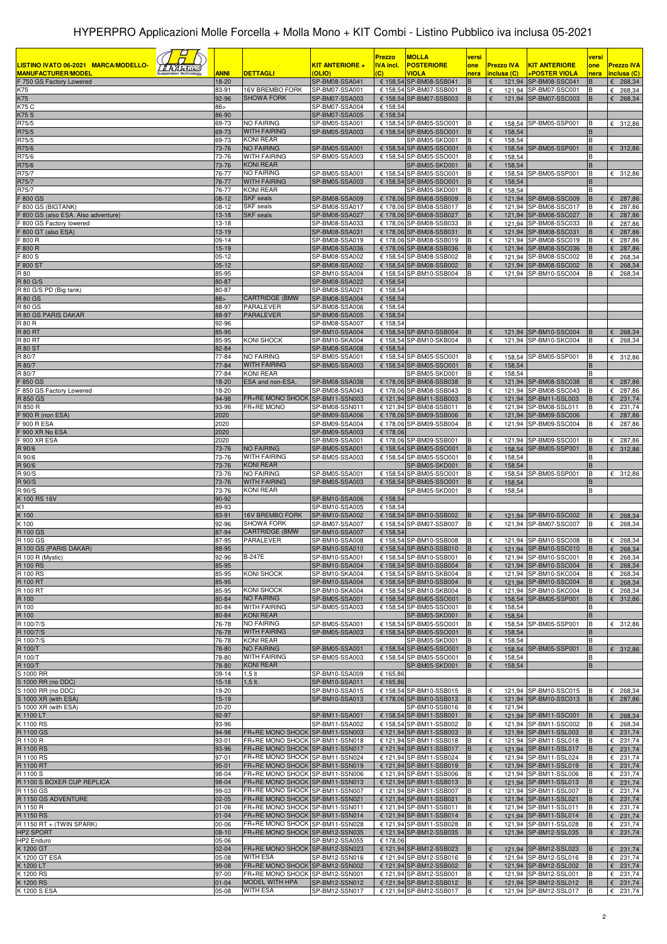| LISTINO IVATO 06-2021 MARCA/MODELLO-<br><u> 5 A A A Timil</u><br><b>MANUFACTURER/MODEL</b><br>F 750 GS Factory Lowered | <b>ANNI</b><br>18-20   | <b>DETTAGLI</b>                                                    | <b>KIT ANTERIORE +</b><br>(OLIO)<br>SP-BM08-SSA041 | Prezzo<br><u>IVA incl.</u><br>$\overline{c}$ | <b>MOLLA</b><br><b>POSTERIORE</b><br><b>VIOLA</b><br>€ 158,54 SP-BM08-SSB041 | versi<br>one<br>nera<br>в | <b>Prezzo IVA</b><br>inclusa (C) | <b>KIT ANTERIORE</b><br>+POSTER VIOLA<br>121,94 SP-BM08-SSC041 | versi<br>one<br>nera | <b>Prezzo IVA</b><br>inclusa (C)<br>$E$ 268,34 |
|------------------------------------------------------------------------------------------------------------------------|------------------------|--------------------------------------------------------------------|----------------------------------------------------|----------------------------------------------|------------------------------------------------------------------------------|---------------------------|----------------------------------|----------------------------------------------------------------|----------------------|------------------------------------------------|
| K75<br>K75                                                                                                             | 83-91<br>92-96         | 16V BREMBO FORK<br><b>SHOWA FORK</b>                               | SP-BM07-SSA001<br>SP-BM07-SSA003                   |                                              | € 158,54 SP-BM07-SSB001<br>€ 158,54 SP-BM07-SSB003                           | B<br>B.                   | €<br>€                           | 121,94 SP-BM07-SSC001<br>121,94 SP-BM07-SSC003                 | В<br>B               | €<br>268,34<br>$E$ 268,34                      |
| K75 C                                                                                                                  | $86 -$                 |                                                                    | SP-BM07-SSA004                                     | € 158,54                                     |                                                                              |                           |                                  |                                                                |                      |                                                |
| <b>K75 S</b><br>R75/5                                                                                                  | 86-90<br>69-73         | <b>NO FAIRING</b>                                                  | SP-BM07-SSA005<br>SP-BM05-SSA001                   | € 158,54                                     | € 158,54 SP-BM05-SSO001                                                      | В                         | €                                | 158.54 SP-BM05-SSP001                                          | в                    | 312,86<br>€                                    |
| R75/5                                                                                                                  | 69-73                  | WITH FAIRING                                                       | SP-BM05-SSA003                                     |                                              | € 158,54 SP-BM05-SSO001                                                      | В                         | €<br>158,54                      |                                                                | B                    |                                                |
| R75/5                                                                                                                  | 69-73                  | KONI REAR                                                          |                                                    |                                              | SP-BM05-SKD001                                                               | в                         | 158,54<br>€                      |                                                                | в                    |                                                |
| R75/6<br>R75/6                                                                                                         | 73-76<br>73-76         | NO FAIRING<br><b>WITH FAIRING</b>                                  | SP-BM05-SSA001<br>SP-BM05-SSA003                   | € 158,54                                     | SP-BM05-SSO001<br>€ 158,54 SP-BM05-SSO001                                    | В<br>B                    | 158,54<br>€<br>€<br>158,54       | SP-BM05-SSP001                                                 | B<br>В               | 6312,86                                        |
| R75/6                                                                                                                  | 73-76                  | KONI REAR                                                          |                                                    |                                              | SP-BM05-SKD001                                                               | B                         | 158,54<br>€                      |                                                                |                      |                                                |
| R75/7<br>R75/7                                                                                                         | 76-77<br>76-77         | NO FAIRING<br>WITH FAIRING                                         | SP-BM05-SSA001<br>SP-BM05-SSA003                   |                                              | € 158,54 SP-BM05-SSO001<br>€ 158,54 SP-BM05-SSO001                           | в<br>в                    | €<br>€<br>158,54                 | 158,54 SP-BM05-SSP001                                          | B                    | € 312,86                                       |
| R75/7                                                                                                                  | 76-77                  | KONI REAR                                                          |                                                    |                                              | SP-BM05-SKD001                                                               | B                         | 158,54<br>€                      |                                                                |                      |                                                |
| F 800 GS                                                                                                               | 08-12                  | <b>SKF</b> seals                                                   | SP-BM08-SSA009                                     |                                              | € 178,06 SP-BM08-SSB009                                                      | B                         | €                                | 121,94 SP-BM08-SSC009                                          | B                    | $E$ 287,86                                     |
| 800 GS (BIGTANK)<br>- 800 GS (also ESA. Also adventure)                                                                | 08-12<br>$13 - 18$     | <b>SKF</b> seals<br><b>SKF</b> seals                               | SP-BM08-SSA017<br>SP-BM08-SSA027                   |                                              | € 178,06 SP-BM08-SSB017<br>€ 178,06 SP-BM08-SSB027                           | В<br>B                    | €<br>€                           | 121,94 SP-BM08-SSC017<br>121,94 SP-BM08-SSC027                 | в                    | 287,86<br>€<br>287,86<br>€                     |
| 800 GS Factory lowered                                                                                                 | 13-18                  |                                                                    | SP-BM08-SSA033                                     |                                              | € 178,06 SP-BM08-SSB033                                                      | В                         | €                                | 121,94 SP-BM08-SSC033                                          | B                    | 287,86<br>€                                    |
| <sup>5</sup> 800 GT (also ESA)                                                                                         | 13-19                  |                                                                    | SP-BM08-SSA031                                     |                                              | € 178,06 SP-BM08-SSB031                                                      | B                         | €                                | 121.94 SP-BM08-SSC031                                          |                      | 287,86<br>€                                    |
| <sup>=</sup> 800 R<br>900 R                                                                                            | 09-14<br>$15-19$       |                                                                    | SP-BM08-SSA019<br>SP-BM08-SSA036                   |                                              | € 178,06 SP-BM08-SSB019<br>€ 178,06 SP-BM08-SSB036                           | в<br>B                    | €                                | 121,94 SP-BM08-SSC019<br>121,94 SP-BM08-SSC036                 | в                    | 287,86<br>€<br>287,86<br>€                     |
| $= 800 S$                                                                                                              | $05-12$                |                                                                    | SP-BM08-SSA002                                     |                                              | € 158,54 SP-BM08-SSB002                                                      | B                         | €                                | 121,94 SP-BM08-SSC002                                          | B                    | 268,34<br>€                                    |
| 5 800 ST<br>R 80                                                                                                       | $05-12$<br>85-95       |                                                                    | SP-BM08-SSA002<br>SP-BM10-SSA004                   |                                              | € 158,54 SP-BM08-SSB002<br>€ 158,54 SP-BM10-SSB004                           | B<br>в                    | €                                | 121,94 SP-BM08-SSC002<br>121,94 SP-BM10-SSC004                 |                      | 268,34<br>€<br>268,34<br>€                     |
| R 80 G/S                                                                                                               | 80-87                  |                                                                    | SP-BM08-SSA022                                     | € 158,54                                     |                                                                              |                           |                                  |                                                                |                      |                                                |
| R 80 G/S PD (Big tank)                                                                                                 | 80-87                  |                                                                    | SP-BM08-SSA021                                     | € 158,54                                     |                                                                              |                           |                                  |                                                                |                      |                                                |
| <b>R 80 GS</b><br><b>R 80 GS</b>                                                                                       | 88 ><br>88-97          | <b>CARTRIDGE (BMW</b><br>PARALEVER                                 | SP-BM08-SSA004<br>SP-BM08-SSA006                   | € 158,54<br>€ 158,54                         |                                                                              |                           |                                  |                                                                |                      |                                                |
| R 80 GS PARIS DAKAR                                                                                                    | 88-97                  | <b>PARALEVER</b>                                                   | SP-BM08-SSA005                                     | € 158,54                                     |                                                                              |                           |                                  |                                                                |                      |                                                |
| R 80 R                                                                                                                 | 92-96                  |                                                                    | SP-BM08-SSA007                                     | € 158,54                                     |                                                                              |                           |                                  |                                                                |                      |                                                |
| <b>R 80 RT</b><br><b>R 80 RT</b>                                                                                       | 85-95<br>85-95         | <b>KONI SHOCK</b>                                                  | SP-BM10-SSA004<br>SP-BM10-SKA004                   |                                              | € 158,54 SP-BM10-SSB004<br>€ 158,54 SP-BM10-SKB004                           | в<br>В                    | €                                | 121,94 SP-BM10-SSC004<br>121,94 SP-BM10-SKC004                 | B                    | 268,34<br>€<br>€<br>268,34                     |
| <b>R 80 ST</b>                                                                                                         | 82-84                  |                                                                    | SP-BM08-SSA008                                     | € 158,54                                     |                                                                              |                           |                                  |                                                                |                      |                                                |
| R 80/7                                                                                                                 | 77-84                  | <b>NO FAIRING</b>                                                  | SP-BM05-SSA001                                     |                                              | € 158,54 SP-BM05-SSO001                                                      | в                         | €                                | 158,54 SP-BM05-SSP001                                          | в                    | € 312,86                                       |
| R 80/7<br>R 80/7                                                                                                       | 77-84<br>77-84         | <b>WITH FAIRING</b><br>KONI REAR                                   | SP-BM05-SSA003                                     |                                              | € 158,54 SP-BM05-SSO001<br>SP-BM05-SKD001                                    | В<br>B                    | 158,54<br>€<br>€<br>158,54       |                                                                | В                    |                                                |
| $= 850$ GS                                                                                                             | 18-20                  | ESA and non-ESA,                                                   | SP-BM08-SSA038                                     |                                              | € 178,06 SP-BM08-SSB038                                                      | B                         | €                                | 121,94 SP-BM08-SSC038                                          | В                    | & 287,86                                       |
| 850 GS Factory Lowered                                                                                                 | 18-20                  | FR+RE MONO SHOCK SP-BM11-SSN003                                    | SP-BM08-SSA043                                     |                                              | € 178,06 SP-BM08-SSB043                                                      | в<br>B                    | €                                | 121,94 SP-BM08-SSC043                                          |                      | €<br>287,86                                    |
| R 850 GS<br>R 850 R                                                                                                    | 94-98<br>93-96         | FR+RE MONO                                                         | SP-BM08-SSN011                                     |                                              | € 121,94 SP-BM11-SSB003<br>€ 121,94 SP-BM08-SSB011                           | В                         | €<br>€                           | 121,94 SP-BM11-SSL003<br>121,94 SP-BM08-SSL011                 | В                    | 231,74<br>€<br>231,74<br>€                     |
| F 900 R (non ESA)                                                                                                      | 2020                   |                                                                    | SP-BM09-SSA006                                     |                                              | € 178,06 SP-BM09-SSB006                                                      | B                         |                                  | 121,94 SP-BM09-SSC006                                          |                      | 287,86<br>€                                    |
| 900 R ESA<br>F 900 XR No ESA                                                                                           | 2020<br>2020           |                                                                    | SP-BM09-SSA004<br>SP-BM09-SSA003                   | € 178,06                                     | € 178,06 SP-BM09-SSB004                                                      | В                         | €                                | 121,94 SP-BM09-SSC004                                          |                      | €<br>287,86                                    |
| F 900 XR ESA                                                                                                           | 2020                   |                                                                    | SP-BM09-SSA001                                     |                                              | € 178,06 SP-BM09-SSB001                                                      | В                         |                                  | 121,94 SP-BM09-SSC001                                          |                      | 287,86<br>€                                    |
| R 90/6                                                                                                                 | 73-76                  | <b>NO FAIRING</b>                                                  | SP-BM05-SSA001                                     |                                              | € 158,54 SP-BM05-SSO001                                                      | B                         |                                  | 158,54 SP-BM05-SSP001                                          | В                    | 312,86<br>€                                    |
| R 90/6<br>R 90/6                                                                                                       | 73-76<br>73-76         | WITH FAIRING<br>KONI REAR                                          | SP-BM05-SSA003                                     |                                              | € 158,54 SP-BM05-SSO001<br>SP-BM05-SKD001                                    | B<br>В                    | 158,54<br>€<br>158,54            |                                                                | R                    |                                                |
| R 90/S                                                                                                                 | 73-76                  | NO FAIRING                                                         | SP-BM05-SSA001                                     |                                              | € 158,54 SP-BM05-SSO001                                                      | B                         | €                                | 158,54 SP-BM05-SSP001                                          | B                    | € 312,86                                       |
| R 90/S                                                                                                                 | 73-76                  | <b>WITH FAIRING</b>                                                | SP-BM05-SSA003                                     |                                              | € 158,54 SP-BM05-SSO001                                                      | В                         | 158,54                           |                                                                |                      |                                                |
| R 90/S<br>K 100 RS 16V                                                                                                 | 73-76<br>90-92         | <b>KONI REAR</b>                                                   | SP-BM10-SSA006                                     | € 158,54                                     | SP-BM05-SKD001                                                               | B                         | 158,54<br>€                      |                                                                | B                    |                                                |
| K1                                                                                                                     | 89-93                  |                                                                    | SP-BM10-SSA005                                     | € 158,54                                     |                                                                              |                           |                                  |                                                                |                      |                                                |
| K 100<br>K 100                                                                                                         | 83-91<br>92-96         | <b>16V BREMBO FORK</b><br><b>SHOWA FORK</b>                        | SP-BM10-SSA002<br>SP-BM07-SSA007                   |                                              | € 158,54 SP-BM10-SSB002<br>€ 158,54 SP-BM07-SSB007                           | B                         | €                                | 121,94 SP-BM10-SSC002<br>121,94 SP-BM07-SSC007                 | B                    | 268,34<br>268,34<br>€                          |
| R 100 GS                                                                                                               | 87-94                  | <b>CARTRIDGE (BMW</b>                                              | SP-BM10-SSA007                                     | € 158,54                                     |                                                                              |                           |                                  |                                                                |                      |                                                |
| R 100 GS                                                                                                               | 87-95                  | PARALEVER                                                          | SP-BM10-SSA008                                     |                                              | € 158,54 SP-BM10-SSB008                                                      | B                         | €                                | 121,94 SP-BM10-SSC008                                          | в                    | 268,34<br>€                                    |
| R 100 GS (PARIS DAKAR)<br>R 100 R (Mystic)                                                                             | 88-95<br>92-96         | B-247E                                                             | SP-BM10-SSA010<br>SP-BM10-SSA001                   |                                              | € 158,54 SP-BM10-SSB010<br>€ 158,54 SP-BM10-SSB001                           | B<br>в                    | €                                | 121,94 SP-BM10-SSC010<br>121,94 SP-BM10-SSC001                 | B<br>В               | $E$ 268,34<br>$\epsilon$ 268,34                |
| <b>R 100 RS</b>                                                                                                        | 85-95                  |                                                                    | SP-BM10-SSA004                                     |                                              | € 158,54 SP-BM10-SSB004                                                      | в                         | €                                | 121,94 SP-BM10-SSC004                                          | в                    | 268,34<br>€                                    |
| R 100 RS                                                                                                               | 85-95                  | KONI SHOCK                                                         | SP-BM10-SKA004                                     |                                              | € 158,54 SP-BM10-SKB004                                                      | В                         | €                                | 121,94 SP-BM10-SKC004                                          | B                    | $\epsilon$ 268,34                              |
| R 100 RT<br>R 100 RT                                                                                                   | 85-95<br>85-95         | KONI SHOCK                                                         | SP-BM10-SSA004<br>SP-BM10-SKA004                   |                                              | € 158,54 SP-BM10-SSB004<br>€ 158,54 SP-BM10-SKB004                           | B.<br>в                   | €<br>€                           | 121,94 SP-BM10-SSC004<br>121,94 SP-BM10-SKC004                 | В                    | $E$ 268,34<br>$E$ 268,34                       |
| R 100                                                                                                                  | 80-84                  | <b>NO FAIRING</b>                                                  | SP-BM05-SSA001                                     |                                              | € 158,54 SP-BM05-SSO001                                                      | в                         | €                                | 158,54 SP-BM05-SSP001                                          | B                    | 6312,86                                        |
| R 100                                                                                                                  | 80-84                  | <b>WITH FAIRING</b>                                                | SP-BM05-SSA003                                     |                                              | € 158,54 SP-BM05-SSO001                                                      | в                         | 158,54<br>€                      |                                                                | В<br>B               |                                                |
| R 100<br>R 100/7/S                                                                                                     | 80-84<br>76-78         | <b>KONI REAR</b><br>NO FAIRING                                     | SP-BM05-SSA001                                     |                                              | SP-BM05-SKD001<br>€ 158,54 SP-BM05-SSO001                                    | в<br>в                    | €<br>158,54<br>€                 | 158,54 SP-BM05-SSP001                                          | B                    | € 312,86                                       |
| R 100/7/S                                                                                                              | 76-78                  | <b>WITH FAIRING</b>                                                | SP-BM05-SSA003                                     |                                              | € 158,54 SP-BM05-SSO001                                                      | B                         | 158,54<br>€                      |                                                                |                      |                                                |
| R 100/7/S<br>R 100/T                                                                                                   | 76-78<br>78-80         | KONI REAR<br><b>NO FAIRING</b>                                     | SP-BM05-SSA001                                     |                                              | SP-BM05-SKD001<br>€ 158,54 SP-BM05-SSO001                                    | В<br>В                    | 158,54<br>€<br>€                 | 158,54 SP-BM05-SSP001                                          | B                    | 6312,86                                        |
| R 100/T                                                                                                                | 78-80                  | <b>WITH FAIRING</b>                                                | SP-BM05-SSA003                                     |                                              | € 158,54 SP-BM05-SSO001                                                      | В                         | €<br>158,54                      |                                                                | B                    |                                                |
| R 100/T                                                                                                                | 78-80                  | <b>KONI REAR</b>                                                   |                                                    |                                              | SP-BM05-SKD001                                                               | B                         | €<br>158,54                      |                                                                | B                    |                                                |
| S 1000 RR<br>S 1000 RR (no DDC)                                                                                        | 09-14<br>$15-18$       | $1,5$ It<br>$1,5$ It.                                              | SP-BM10-SSA009<br>SP-BM10-SSA011                   | € 165,86<br>€ 165,86                         |                                                                              |                           |                                  |                                                                |                      |                                                |
| S 1000 RR (no DDC)                                                                                                     | 19-20                  |                                                                    | SP-BM10-SSA015                                     |                                              | € 158,54 SP-BM10-SSB015                                                      | В                         | €                                | 121,94 SP-BM10-SSC015                                          | B                    | $E$ 268,34                                     |
| S 1000 XR (with ESA)                                                                                                   | 15-19                  |                                                                    | SP-BM10-SSA013                                     |                                              | € 178,06 SP-BM10-SSB013                                                      | B                         | €                                | 121,94 SP-BM10-SSC013                                          | <sub>B</sub>         | $E$ 287,86                                     |
| S 1000 XR (with ESA)<br>K 1100 LT                                                                                      | 20-20<br>92-97         |                                                                    | SP-BM11-SSA001                                     |                                              | SP-BM10-SSB016<br>€ 158,54 SP-BM11-SSB001                                    | в<br>B                    | 121,94<br>€<br>€                 | 121,94 SP-BM11-SSC001                                          |                      | 268,34<br>€                                    |
| K 1100 RS                                                                                                              | 93-96                  |                                                                    | SP-BM11-SSA002                                     |                                              | € 158,54 SP-BM11-SSB002                                                      | в                         | €                                | 121,94 SP-BM11-SSC002                                          | B                    | 268,34<br>€                                    |
| R 1100 GS<br>R 1100 R                                                                                                  | 94-98<br>93-01         | FR+RE MONO SHOCK SP-BM11-SSN003<br>FR+RE MONO SHOCK SP-BM11-SSN018 |                                                    |                                              | € 121,94 SP-BM11-SSB003<br>€ 121,94 SP-BM11-SSB018                           | B<br>B                    | €<br>€                           | 121,94 SP-BM11-SSL003<br>121,94 SP-BM11-SSL018                 | в                    | 231,74<br>€<br>231,74<br>€                     |
| R 1100 RS                                                                                                              | 93-96                  | FR+RE MONO SHOCK SP-BM11-SSN017                                    |                                                    |                                              | € 121,94 SP-BM11-SSB017                                                      | B                         |                                  | 121,94 SP-BM11-SSL017                                          | B                    | 231,74<br>€                                    |
| R 1100 RS                                                                                                              | $97 - 01$              | FR+RE MONO SHOCK SP-BM11-SSN024                                    |                                                    |                                              | € 121,94 SP-BM11-SSB024                                                      | B                         | €                                | 121,94 SP-BM11-SSL024                                          | B                    | 231,74<br>€                                    |
| R 1100 RT<br>R 1100 S                                                                                                  | 95-01<br>98-04         | FR+RE MONO SHOCK SP-BM11-SSN019<br>FR+RE MONO SHOCK SP-BM11-SSN006 |                                                    |                                              | € 121,94 SP-BM11-SSB019<br>€ 121,94 SP-BM11-SSB006                           | в<br>В                    | €<br>€                           | 121,94 SP-BM11-SSL019<br>121,94 SP-BM11-SSL006                 | в<br>B               | €<br>231,74<br>€<br>231,74                     |
| R 1100 S BOXER CUP REPLICA                                                                                             | 98-04                  | FR+RE MONO SHOCK SP-BM11-SSN013                                    |                                                    |                                              | € 121,94 SP-BM11-SSB013                                                      | в                         |                                  | 121,94 SP-BM11-SSL013                                          | в                    | 231,74<br>€                                    |
| R 1150 GS                                                                                                              | 99-03                  | FR+RE MONO SHOCK SP-BM11-SSN007                                    |                                                    |                                              | € 121,94 SP-BM11-SSB007                                                      | B                         | €                                | 121,94 SP-BM11-SSL007                                          | в                    | $E$ 231,74                                     |
| R 1150 GS ADVENTURE<br>R 1150 R                                                                                        | $02 - 05$<br>$01 - 06$ | FR+RE MONO SHOCK SP-BM11-SSN021<br>FR+RE MONO SHOCK SP-BM11-SSN011 |                                                    |                                              | € 121,94 SP-BM11-SSB021<br>€ 121,94 SP-BM11-SSB011                           | B                         | €<br>€                           | 121,94 SP-BM11-SSL021<br>121,94 SP-BM11-SSL011                 | B                    | 231,74<br>€<br>231,74<br>€                     |
| R 1150 RS                                                                                                              | $01 - 04$              | FR+RE MONO SHOCK SP-BM11-SSN014                                    |                                                    |                                              | € 121,94 SP-BM11-SSB014                                                      | B                         | €                                | 121,94 SP-BM11-SSL014                                          | B                    | 231,74<br>€                                    |
| R 1150 RT + (TWIN SPARK)<br><b>HP2 SPORT</b>                                                                           | 00-06<br>$08-10$       | FR+RE MONO SHOCK SP-BM11-SSN028<br>FR+RE MONO SHOCK SP-BM12-SSN035 |                                                    |                                              | € 121,94 SP-BM11-SSB028<br>€ 121,94 SP-BM12-SSB035                           | В<br>B                    | €<br>€                           | 121,94 SP-BM11-SSL028<br>121,94 SP-BM12-SSL035                 | В<br>в               | $\epsilon$ 231,74<br>$\epsilon$ 231,74         |
| HP2 Enduro                                                                                                             | 05-06                  |                                                                    | SP-BM12-SSA055                                     | € 178,06                                     |                                                                              |                           |                                  |                                                                |                      |                                                |
| K 1200 GT                                                                                                              | $02 - 04$              | FR+RE MONO SHOCK SP-BM12-SSN023                                    |                                                    |                                              | € 121,94 SP-BM12-SSB023                                                      | В                         | €                                | 121,94 SP-BM12-SSL023                                          |                      | $\epsilon$ 231,74                              |
| K 1200 GT ESA<br>K 1200 LT                                                                                             | 05-08<br>99-08         | WITH ESA<br>FR+RE MONO SHOCK SP-BM12-SSN002                        | SP-BM12-SSN016                                     |                                              | € 121,94 SP-BM12-SSB016<br>€ 121,94 SP-BM12-SSB002                           | B<br>B                    | €<br>€                           | 121,94 SP-BM12-SSL016<br>121,94 SP-BM12-SSL002                 | В<br>В               | $\epsilon$ 231,74<br>231,74<br>€               |
| K 1200 RS                                                                                                              | 97-00                  | FR+RE MONO SHOCK SP-BM12-SSN001                                    |                                                    |                                              | € 121,94 SP-BM12-SSB001                                                      | B                         | €                                | 121,94 SP-BM12-SSL001                                          | В                    | $E$ 231,74                                     |
| K 1200 RS                                                                                                              | $01 - 04$              | MODEL WITH HPA                                                     | SP-BM12-SSN012                                     |                                              | € 121,94 SP-BM12-SSB012                                                      | В                         |                                  | 121,94 SP-BM12-SSL012                                          | В                    | $\epsilon$ 231,74                              |
| K 1200 S ESA                                                                                                           | 05-08                  | <b>WITH ESA</b>                                                    | SP-BM12-SSN017                                     |                                              | € 121,94 SP-BM12-SSB017                                                      | B                         | €                                | 121,94 SP-BM12-SSL017                                          | В                    | $\epsilon$ 231,74                              |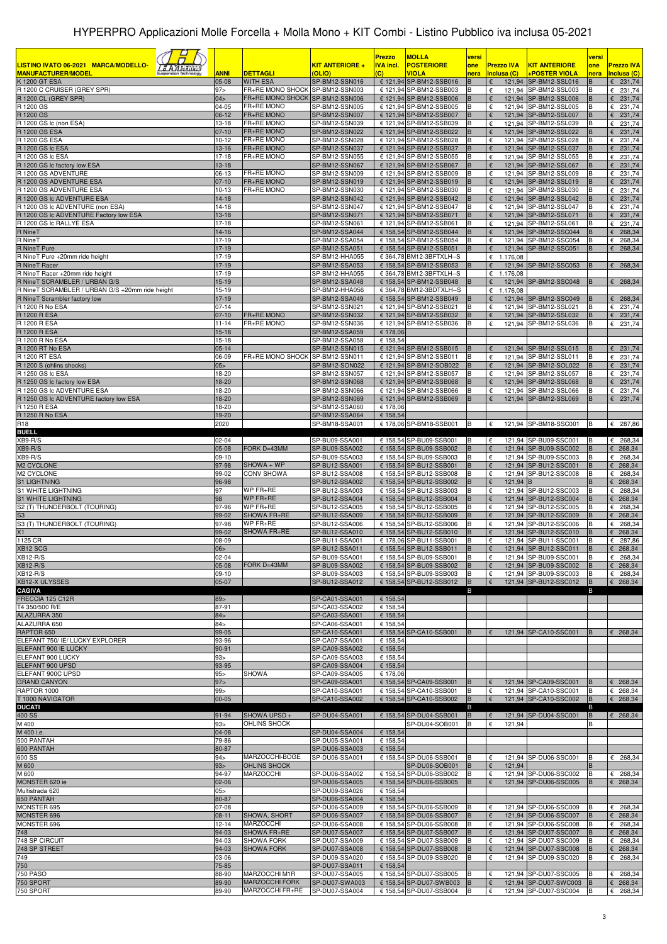|                                                                                           |                        |                                                     |                                        | <b>Prezzo</b>                      | <b>MOLLA</b>                                        | versi                   |                                  |                                                | versi       |                                        |
|-------------------------------------------------------------------------------------------|------------------------|-----------------------------------------------------|----------------------------------------|------------------------------------|-----------------------------------------------------|-------------------------|----------------------------------|------------------------------------------------|-------------|----------------------------------------|
| LISTINO IVATO 06-2021 MARCA/MODELLO-<br><i><b>FAAHIM</b></i><br><b>MANUFACTURER/MODEL</b> | <b>ANNI</b>            | <b>DETTAGLI</b>                                     | <b>KIT ANTERIORE +</b><br><b>OLIO)</b> | <b>IVA incl.</b><br>$\overline{c}$ | <b>POSTERIORE</b><br>VIOLA                          | one<br>nera             | <b>Prezzo IVA</b><br>inclusa (C) | <u>KIT ANTERIORE</u><br>+POSTER VIOLA          | one<br>nera | <b>Prezzo IVA</b><br>inclusa (C)       |
| K 1200 GT ESA                                                                             | 05-08                  | <b>WITH ESA</b>                                     | SP-BM12-SSN016                         |                                    | € 121,94 SP-BM12-SSB016                             | B                       | €                                | 121,94 SP-BM12-SSL016                          | в           | $\epsilon$ 231,74                      |
| R 1200 C CRUISER (GREY SPR)<br>R 1200 CL (GREY SPR)                                       | 97 ><br>04>            | FR+RE MONO SHOCK<br>FR+RE MONO SHOCK SP-BM12-SSN006 | SP-BM12-SSN003                         |                                    | € 121,94 SP-BM12-SSB003<br>€ 121,94 SP-BM12-SSB006  | B<br>B                  | €<br>€                           | 121,94 SP-BM12-SSL003<br>121.94 SP-BM12-SSL006 | в<br>B      | 231,74<br>€<br>231,74<br>€             |
| R 1200 GS                                                                                 | 04-05                  | FR+RE MONO                                          | SP-BM12-SSN005                         |                                    | € 121,94 SP-BM12-SSB005                             | B                       | €                                | 121,94 SP-BM12-SSL005                          |             | 231,74<br>€                            |
| R 1200 GS                                                                                 | $06-12$                | FR+RE MONO                                          | SP-BM12-SSN007                         |                                    | € 121,94 SP-BM12-SSB007                             | B                       | €                                | 121,94 SP-BM12-SSL007                          | в           | 231,74<br>€                            |
| R 1200 GS Ic (non ESA)<br><b>R 1200 GS ESA</b>                                            | $13 - 18$<br>$07-10$   | <b>FR+RE MONO</b><br>FR+RE MONO                     | SP-BM12-SSN039<br>SP-BM12-SSN022       |                                    | € 121,94 SP-BM12-SSB039<br>€ 121,94 SP-BM12-SSB022  | B<br>B                  | €<br>$\epsilon$                  | 121,94 SP-BM12-SSL039<br>121,94 SP-BM12-SSL022 | в<br>B      | 231,74<br>€<br>231,74<br>€             |
| R 1200 GS ESA                                                                             | $10 - 12$              | FR+RE MONO                                          | SP-BM12-SSN028                         |                                    | € 121,94 SP-BM12-SSB028                             | B                       | €                                | 121,94 SP-BM12-SSL028                          |             | 231,74<br>€                            |
| R 1200 GS Ic ESA<br>R 1200 GS Ic ESA                                                      | $13 - 16$<br>$17 - 18$ | FR+RE MONO<br>FR+RE MONO                            | SP-BM12-SSN037<br>SP-BM12-SSN055       |                                    | € 121,94 SP-BM12-SSB037<br>€ 121,94 SP-BM12-SSB055  | B<br>B                  | €<br>€                           | 121,94 SP-BM12-SSL037<br>121,94 SP-BM12-SSL055 | в           | 231,74<br>€<br>231,74<br>€             |
| R 1200 GS Ic factory low ESA                                                              | $13 - 18$              |                                                     | SP-BM12-SSN067                         |                                    | € 121,94 SP-BM12-SSB067                             | B                       | €                                | 121,94 SP-BM12-SSL067                          |             | 231,74<br>€                            |
| R 1200 GS ADVENTURE<br>R 1200 GS ADVENTURE ESA                                            | 06-13<br>$07 - 10$     | FR+RE MONO<br>FR+RE MONO                            | SP-BM12-SSN009<br>SP-BM12-SSN019       |                                    | € 121,94 SP-BM12-SSB009                             | B<br>B                  | €<br>€                           | 121,94 SP-BM12-SSL009<br>121,94 SP-BM12-SSL019 | B<br>в      | 231,74<br>€<br>231,74                  |
| R 1200 GS ADVENTURE ESA                                                                   | $10-13$                | FR+RE MONO                                          | SP-BM12-SSN030                         |                                    | € 121,94 SP-BM12-SSB019<br>€ 121,94 SP-BM12-SSB030  | B                       | €                                | 121,94 SP-BM12-SSL030                          | в           | €<br>€<br>231,74                       |
| R 1200 GS Ic ADVENTURE ESA                                                                | $14 - 18$              |                                                     | SP-BM12-SSN042                         |                                    | € 121,94 SP-BM12-SSB042                             | B                       | €                                | 121,94 SP-BM12-SSL042                          |             | 231,74<br>€                            |
| R 1200 GS Ic ADVENTURE (non ESA)<br>R 1200 GS Ic ADVENTURE Factory low ESA                | 14-18<br>$13 - 18$     |                                                     | SP-BM12-SSN047<br>SP-BM12-SSN071       |                                    | € 121,94 SP-BM12-SSB047<br>€ 121,94 SP-BM12-SSB071  | B<br>B                  | €<br>€                           | 121,94 SP-BM12-SSL047<br>121,94 SP-BM12-SSL071 | B<br>B      | €<br>231,74<br>231,74<br>€             |
| R 1200 GS Ic RALLYE ESA                                                                   | $17 - 18$              |                                                     | SP-BM12-SSN061                         |                                    | € 121,94 SP-BM12-SSB061                             | B                       | €                                | 121,94 SP-BM12-SSL061                          | B           | €<br>231,74                            |
| R NineT<br>R NineT                                                                        | 14-16<br>17-19         |                                                     | SP-BM12-SSA044<br>SP-BM12-SSA054       |                                    | € 158,54 SP-BM12-SSB044<br>€ 158,54 SP-BM12-SSB054  | B<br>B                  | €<br>€                           | 121,94 SP-BM12-SSC044<br>121,94 SP-BM12-SSC054 | B<br>в      | 268,34<br>€<br>268,34<br>€             |
| R NineT Pure                                                                              | $17 - 19$              |                                                     | SP-BM12-SSA051                         |                                    | € 158,54 SP-BM12-SSB051                             | B                       | €                                | 121,94 SP-BM12-SSC051                          | в           | 268,34<br>€                            |
| R NineT Pure +20mm ride height                                                            | $17-19$                |                                                     | SP-BM12-HHA055                         |                                    | € 364,78 BM12-3BFTXLH--S                            |                         | €<br>1.176,08                    |                                                |             |                                        |
| R NineT Racer<br>R NineT Racer +20mm ride height                                          | $17 - 19$<br>$17-19$   |                                                     | SP-BM12-SSA053<br>SP-BM12-HHA055       |                                    | € 158,54 SP-BM12-SSB053<br>€ 364,78 BM12-3BFTXLH--S | B                       | €<br>$E$ 1.176,08                | 121,94 SP-BM12-SSC053                          | В           | €<br>268,34                            |
| R NineT SCRAMBLER / URBAN G/S                                                             | $15-19$                |                                                     | SP-BM12-SSA048                         |                                    | € 158,54 SP-BM12-SSB048                             | B                       | €                                | 121,94 SP-BM12-SSC048                          |             | $E$ 268,34                             |
| R NineT SCRAMBLER / URBAN G/S +20mm ride height<br>R NineT Scrambler factory low          | 15-19<br>$17 - 19$     |                                                     | SP-BM12-HHA056<br>SP-BM12-SSA049       |                                    | € 364,78 BM12-3BDTXLH--S<br>€ 158,54 SP-BM12-SSB049 | B                       | $E$ 1.176,08<br>€                | 121,94 SP-BM12-SSC049                          | в           | $E$ 268,34                             |
| R 1200 R No ESA                                                                           | $07 - 14$              |                                                     | SP-BM12-SSN021                         |                                    | € 121,94 SP-BM12-SSB021                             | B                       | €                                | 121,94 SP-BM12-SSL021                          | в           | $E$ 231,74                             |
| R 1200 R ESA                                                                              | $07-10$                | FR+RE MONO                                          | SP-BM12-SSN032                         |                                    | € 121,94 SP-BM12-SSB032                             | B                       | 121,94<br>€                      | SP-BM12-SSL032                                 |             | 231,74<br>€                            |
| R 1200 R ESA<br>R 1200 R ESA                                                              | $11 - 14$<br>$15-18$   | FR+RE MONO                                          | SP-BM12-SSN036<br>SP-BM12-SSA059       | € 178,06                           | € 121,94 SP-BM12-SSB036                             | B                       | €                                | 121,94 SP-BM12-SSL036                          | в           | $\epsilon$ 231,74                      |
| R 1200 R No ESA                                                                           | $15 - 18$              |                                                     | SP-BM12-SSA058                         | € 158,54                           |                                                     |                         |                                  |                                                |             |                                        |
| R 1200 RT No ESA<br>R 1200 RT ESA                                                         | $05 - 14$<br>06-09     | FR+RE MONO SHOCK SP-BM12-SSN011                     | SP-BM12-SSN015                         |                                    | € 121,94 SP-BM12-SSB015<br>€ 121,94 SP-BM12-SSB011  | B<br>B                  | €                                | 121,94 SP-BM12-SSL015<br>121,94 SP-BM12-SSL011 | B<br>В      | $\epsilon$ 231,74<br>231,74<br>€       |
| R 1200 S (ohlins shocks)                                                                  | 05 >                   |                                                     | SP-BM12-SON022                         |                                    | € 121,94 SP-BM12-SOB022                             | B                       | €                                | 121,94 SP-BM12-SOL022                          |             | 231,74<br>€                            |
| R 1250 GS Ic ESA                                                                          | 18-20                  |                                                     | SP-BM12-SSN057                         |                                    | € 121,94 SP-BM12-SSB057                             | B                       | €                                | 121,94 SP-BM12-SSL057                          | В           | 231,74<br>€                            |
| R 1250 GS Ic factory low ESA<br>R 1250 GS Ic ADVENTURE ESA                                | 18-20<br>18-20         |                                                     | SP-BM12-SSN068<br>SP-BM12-SSN066       |                                    | € 121,94 SP-BM12-SSB068<br>€ 121,94 SP-BM12-SSB066  | B<br>B                  | €<br>€                           | 121,94 SP-BM12-SSL068<br>121,94 SP-BM12-SSL066 | в           | 231,74<br>€<br>231,74<br>€             |
| R 1250 GS Ic ADVENTURE factory low ESA                                                    | 18-20                  |                                                     | SP-BM12-SSN069                         |                                    | € 121,94 SP-BM12-SSB069                             | B                       | €                                | 121,94 SP-BM12-SSL069                          |             | 231,74<br>€                            |
| R 1250 R ESA<br>R 1250 R No ESA                                                           | 18-20<br>19-20         |                                                     | SP-BM12-SSA060<br>SP-BM12-SSA064       | € 178,06<br>€ 158,54               |                                                     |                         |                                  |                                                |             |                                        |
| R <sub>18</sub>                                                                           | 2020                   |                                                     | SP-BM18-SSA001                         |                                    | € 178,06 SP-BM18-SSB001                             | B                       | €                                | 121,94 SP-BM18-SSC001                          | B           | € 287,86                               |
| <b>BUELL</b><br>XB9-R/S                                                                   | $02 - 04$              |                                                     | SP-BU09-SSA001                         |                                    | € 158,54 SP-BU09-SSB001                             | B                       | €                                | 121,94 SP-BU09-SSC001                          | B           | $\epsilon$ 268,34                      |
| XB9-R/S                                                                                   | $05-08$                | FORK D=43MM                                         | SP-BU09-SSA002                         |                                    | € 158,54 SP-BU09-SSB002                             | B                       | €                                | 121,94 SP-BU09-SSC002                          | B           | $E$ 268,34                             |
| XB9-R/S                                                                                   | 09-10                  |                                                     | SP-BU09-SSA003                         |                                    | € 158,54 SP-BU09-SSB003                             | B                       | €                                | 121,94 SP-BU09-SSC003                          | B           | €<br>268,34                            |
| M2 CYCLONE<br>M2 CYCLONE                                                                  | 97-98<br>99-02         | SHOWA + WP<br><b>CONV SHOWA</b>                     | SP-BU12-SSA001<br>SP-BU12-SSA008       |                                    | € 158,54 SP-BU12-SSB001<br>€ 158,54 SP-BU12-SSB008  | B<br>B                  | €<br>€                           | 121,94 SP-BU12-SSC001<br>121,94 SP-BU12-SSC008 | B<br>в      | $E$ 268,34<br>268,34<br>€              |
| S1 LIGHTNING                                                                              | 96-98                  |                                                     | SP-BU12-SSA002                         |                                    | € 158,54 SP-BU12-SSB002                             | B                       | €<br>121,94 B                    |                                                |             | $E$ 268,34                             |
| S1 WHITE LIGHTNING<br><b>S1 WHITE LIGHTNING</b>                                           | 97<br>98               | WP FR+RE<br>WP FR+RE                                | SP-BU12-SSA003<br>SP-BU12-SSA004       |                                    | € 158,54 SP-BU12-SSB003<br>€ 158,54 SP-BU12-SSB004  | B<br>B                  | €<br>€                           | 121,94 SP-BU12-SSC003<br>121,94 SP-BU12-SSC004 | B<br>B      | €<br>268,34<br>£ 268,34                |
| S2 (T) THUNDERBOLT (TOURING)                                                              | 97-96                  | WP FR+RE                                            | SP-BU12-SSA005                         |                                    | € 158,54 SP-BU12-SSB005                             | B                       | €                                | 121,94 SP-BU12-SSC005                          | в           | 268,34<br>€                            |
| S <sub>3</sub><br>S3 (T) THUNDERBOLT (TOURING)                                            | 99-02<br>97-98         | SHOWA FR+RE<br>WP FR+RE                             | SP-BU12-SSA009<br>SP-BU12-SSA006       |                                    | € 158,54 SP-BU12-SSB009<br>€ 158.54 SP-BU12-SSB006  | B<br>B                  | €<br>€                           | 121,94 SP-BU12-SSC009<br>121,94 SP-BU12-SSC006 | в<br>B      | $E$ 268,34<br>268,34<br>€              |
| X1                                                                                        | 99-02                  | SHOWA FR+RE                                         | SP-BU12-SSA010                         |                                    | € 158,54 SP-BU12-SSB010                             | B                       | €                                | 121.94 SP-BU12-SSC010                          | B           | £ 268,34                               |
| 1125 CR                                                                                   | 08-09                  |                                                     | SP-BU11-SSA001                         |                                    | € 178.06 SP-BU11-SSB001                             | B                       | €                                | 121.94 SP-BU11-SSC001                          |             | €<br>287,86                            |
| XB12 SCG<br><b>XB12-R/S</b>                                                               | 06 ><br>$02 - 04$      |                                                     | SP-BU12-SSA011<br>SP-BU09-SSA001       |                                    | € 158,54 SP-BU12-SSB011<br>€ 158,54 SP-BU09-SSB001  | $\mathsf B$<br><b>B</b> | €<br>€                           | 121,94 SP-BU12-SSC011<br>121,94 SP-BU09-SSC001 | B<br>IB     | $E$ 268,34<br>$\epsilon$ 268,34        |
| <b>XB12-R/S</b>                                                                           | 05-08                  | FORK D=43MM                                         | SP-BU09-SSA002                         |                                    | € 158,54 SP-BU09-SSB002                             | B                       | €                                | 121,94 SP-BU09-SSC002                          | B           | $\epsilon$ 268,34                      |
| <b>XB12-R/S</b><br>XB12-X ULYSSES                                                         | 09-10<br>05-07         |                                                     | SP-BU09-SSA003<br>SP-BU12-SSA012       |                                    | € 158,54 SP-BU09-SSB003<br>€ 158,54 SP-BU12-SSB012  | B<br>$\, {\bf B}$       | €<br>€                           | 121,94 SP-BU09-SSC003<br>121,94 SP-BU12-SSC012 | B<br>B      | $E$ 268,34<br>$\epsilon$ 268,34        |
| <b>CAGIVA</b>                                                                             |                        |                                                     |                                        |                                    |                                                     | B                       |                                  |                                                | B           |                                        |
| FRECCIA 125 C12R<br>T4 350/500 R/E                                                        | $89 -$<br>87-91        |                                                     | SP-CA01-SSA001<br>SP-CA03-SSA002       | € 158,54<br>€ 158,54               |                                                     |                         |                                  |                                                |             |                                        |
| ALAZURRA 350                                                                              | 84 >                   |                                                     | SP-CA03-SSA001                         | € 158,54                           |                                                     |                         |                                  |                                                |             |                                        |
| ALAZURRA 650                                                                              | 84>                    |                                                     | SP-CA06-SSA001                         | € 158,54                           |                                                     |                         |                                  |                                                |             |                                        |
| RAPTOR 650<br>ELEFANT 750/ IE/ LUCKY EXPLORER                                             | 99-05<br>93-96         |                                                     | SP-CA10-SSA001<br>SP-CA07-SSA001       | € 158,54                           | € 158,54 SP-CA10-SSB001                             | B                       |                                  | 121,94 SP-CA10-SSC001                          |             | $E$ 268,34                             |
| ELEFANT 900 IE LUCKY                                                                      | 90-91                  |                                                     | SP-CA09-SSA002                         | € 158,54                           |                                                     |                         |                                  |                                                |             |                                        |
| ELEFANT 900 LUCKY<br>ELEFANT 900 UPSD                                                     | 93 ><br>93-95          |                                                     | SP-CA09-SSA003<br>SP-CA09-SSA004       | € 158,54<br>€ 158,54               |                                                     |                         |                                  |                                                |             |                                        |
| ELEFANT 900C UPSD                                                                         | 95                     | <b>SHOWA</b>                                        | SP-CA09-SSA005                         | € 178,06                           |                                                     |                         |                                  |                                                |             |                                        |
| <b>GRAND CANYON</b><br>RAPTOR 1000                                                        | 97 ><br>99             |                                                     | SP-CA09-SSA001<br>SP-CA10-SSA001       |                                    | € 158,54 SP-CA09-SSB001<br>€ 158,54 SP-CA10-SSB001  | B<br>B                  | €<br>€                           | 121,94 SP-CA09-SSC001<br>121,94 SP-CA10-SSC001 | B<br>B      | $E$ 268,34<br>€ 268,34                 |
| T 1000 NAVIGATOR                                                                          | $00 - 05$              |                                                     | SP-CA10-SSA002                         |                                    | € 158,54 SP-CA10-SSB002                             | B                       | $\epsilon$                       | 121,94 SP-CA10-SSC002                          | B           | $\epsilon$ 268,34                      |
| <b>DUCATI</b>                                                                             |                        |                                                     |                                        |                                    |                                                     | B                       |                                  |                                                | B           |                                        |
| 400 SS<br>M 400                                                                           | 91-94<br>93>           | SHOWA UPSD +<br>OHLINS SHOCK                        | SP-DU04-SSA001                         |                                    | € 158,54 SP-DU04-SSB001<br>SP-DU04-SOB001           | $\, {\bf B} \,$<br>B    | €<br>121,94<br>€                 | 121,94 SP-DU04-SSC001                          | B<br>B      | $\epsilon$ 268,34                      |
| M 400 i.e.                                                                                | 04-08                  |                                                     | SP-DU04-SSA004                         | € 158,54                           |                                                     |                         |                                  |                                                |             |                                        |
| 500 PANTAH<br>600 PANTAH                                                                  | 79-86<br>80-87         |                                                     | SP-DU05-SSA001<br>SP-DU06-SSA003       | € 158,54<br>€ 158,54               |                                                     |                         |                                  |                                                |             |                                        |
| 600 SS                                                                                    | 94 >                   | MARZOCCHI-BOGE                                      | SP-DU06-SSA001                         |                                    | € 158,54 SP-DU06-SSB001                             | B                       | €                                | 121,94 SP-DU06-SSC001                          | B           | $E$ 268,34                             |
| M 600<br>M 600                                                                            | 93 >                   | OHLINS SHOCK<br><b>MARZOCCHI</b>                    |                                        |                                    | SP-DU06-SOB001                                      | B                       | 121,94<br>€                      |                                                |             |                                        |
| MONSTER 620 ie                                                                            | 94-97<br>02-06         |                                                     | SP-DU06-SSA002<br>SP-DU06-SSA005       |                                    | € 158,54 SP-DU06-SSB002<br>€ 158,54 SP-DU06-SSB005  | B<br>B                  | €<br>€                           | 121,94 SP-DU06-SSC002<br>121,94 SP-DU06-SSC005 | B<br>B      | $E$ 268,34<br>$E$ 268,34               |
| Multistrada 620                                                                           | 05                     |                                                     | SP-DU09-SSA026                         | € 158,54                           |                                                     |                         |                                  |                                                |             |                                        |
| 650 PANTAH<br>MONSTER 695                                                                 | 80-87<br>07-08         |                                                     | SP-DU06-SSA004<br>SP-DU06-SSA009       | € 158,54                           | € 158,54 SP-DU06-SSB009                             | B                       | €                                | 121,94 SP-DU06-SSC009                          | В           | $E$ 268,34                             |
| MONSTER 696                                                                               | $08 - 11$              | SHOWA, SHORT                                        | SP-DU06-SSA007                         |                                    | € 158,54 SP-DU06-SSB007                             | B                       |                                  | 121,94 SP-DU06-SSC007                          | B           | $E$ 268,34                             |
| MONSTER 696                                                                               | $12 - 14$              | MARZOCCHI                                           | SP-DU06-SSA008                         |                                    | € 158,54 SP-DU06-SSB008                             | B<br>B                  | €<br>€                           | 121,94 SP-DU06-SSC008                          | B<br>B      | $E$ 268,34                             |
| 748<br>748 SP CIRCUIT                                                                     | 94-03<br>94-03         | SHOWA FR+RE<br><b>SHOWA FORK</b>                    | SP-DU07-SSA007<br>SP-DU07-SSA009       |                                    | € 158,54 SP-DU07-SSB007<br>€ 158,54 SP-DU07-SSB009  | B                       | €                                | 121,94 SP-DU07-SSC007<br>121,94 SP-DU07-SSC009 | в           | $E$ 268,34<br>$E$ 268,34               |
| 748 SP STREET                                                                             | 94-03                  | <b>SHOWA FORK</b>                                   | SP-DU07-SSA008                         |                                    | € 158,54 SP-DU07-SSB008                             | B                       | €                                | 121,94 SP-DU07-SSC008                          | B           | $E$ 268,34                             |
| 749<br>750                                                                                | 03-06<br>75-85         |                                                     | SP-DU09-SSA020<br>SP-DU07-SSA011       | € 158,54                           | € 158,54 SP-DU09-SSB020                             | B                       | €                                | 121,94 SP-DU09-SSC020                          | B           | $E$ 268,34                             |
| <b>750 PASO</b>                                                                           | 88-90                  | MARZOCCHI M1R                                       | SP-DU07-SSA005                         |                                    | € 158,54 SP-DU07-SSB005                             | B                       | €                                | 121,94 SP-DU07-SSC005                          | В           | $E$ 268,34                             |
| 750 SPORT                                                                                 | 89-90<br>89-90         | <b>MARZOCCHI FORK</b><br>MARZOCCHI FR+RE            | SP-DU07-SWA003<br>SP-DU07-SSA004       |                                    | € 158,54 SP-DU07-SWB003                             | B<br>B                  | €<br>€                           | 121,94 SP-DU07-SWC003                          | B<br>B      | $\epsilon$ 268,34<br>$\epsilon$ 268,34 |
| 750 SPORT                                                                                 |                        |                                                     |                                        |                                    | € 158,54 SP-DU07-SSB004                             |                         |                                  | 121,94 SP-DU07-SSC004                          |             |                                        |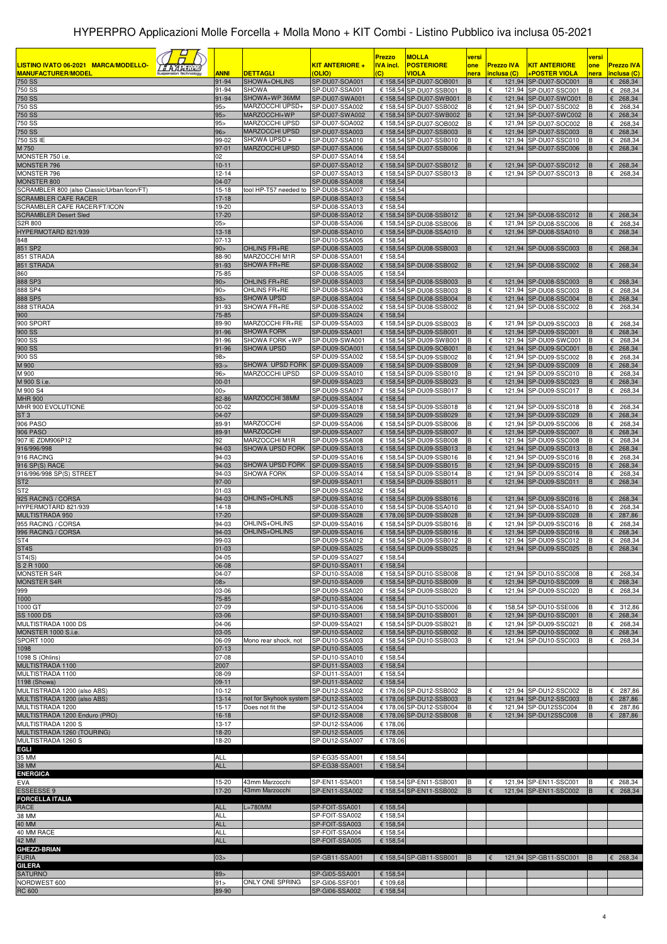| LISTINO IVATO 06-2021 MARCA/MODELLO-<br><u>a Azaristi</u><br><b>MANUFACTURER/MODEL</b><br><b>750 SS</b> | <b>ANNI</b><br>91-94     | <b>DETTAGLI</b><br>SHOWA+OHLINS                           | <u>KIT ANTERIORE +</u><br>(OLIO)<br>SP-DU07-SOA001 | <b>Prezzo</b><br><b>IVA incl.</b><br>(C) | <b>MOLLA</b><br><b>POSTERIORE</b><br>VIOLA<br>€ 158,54 SP-DU07-SOB001 | versi<br>one<br>nera<br>B | <b>Prezzo IVA</b><br>inclusa (C)<br>€ | <b>KIT ANTERIORE</b><br>+POSTER VIOLA<br>121,94 SP-DU07-SOC001                                               | versi<br>one<br>nera<br>в | <b>Prezzo IVA</b><br>inclusa (C)<br>$E$ 268,34 |
|---------------------------------------------------------------------------------------------------------|--------------------------|-----------------------------------------------------------|----------------------------------------------------|------------------------------------------|-----------------------------------------------------------------------|---------------------------|---------------------------------------|--------------------------------------------------------------------------------------------------------------|---------------------------|------------------------------------------------|
| 750 SS                                                                                                  | 91-94                    | <b>SHOWA</b>                                              | SP-DU07-SSA001                                     |                                          | € 158,54 SP-DU07-SSB001                                               | B                         | €                                     | 121.94 SP-DU07-SSC001                                                                                        | в                         | $\epsilon$ 268,34                              |
| 750 SS                                                                                                  | 91-94                    | SHOWA+WP 36MM                                             | SP-DU07-SWA001                                     |                                          | € 158,54 SP-DU07-SWB001                                               | B                         | €                                     | 121,94 SP-DU07-SWC001                                                                                        | B                         | $E$ 268,34                                     |
| 750 SS<br>750 SS                                                                                        | $95 -$<br>95 >           | MARZOCCHI UPSD+<br>MARZOCCHI+WP                           | SP-DU07-SSA002<br>SP-DU07-SWA002                   |                                          | € 158,54 SP-DU07-SSB002<br>€ 158,54 SP-DU07-SWB002                    | B<br>B                    | €<br>€                                | 121,94 SP-DU07-SSC002<br>121,94 SP-DU07-SWC002                                                               | В                         | €<br>268,34<br>€ 268,34                        |
| 750 SS                                                                                                  | $95 -$                   | MARZOCCHI UPSD                                            | SP-DU07-SOA002                                     |                                          | € 158,54 SP-DU07-SOB002                                               | B                         | €                                     | 121,94 SP-DU07-SOC002                                                                                        | в                         | 268,34<br>€                                    |
| 750 SS                                                                                                  | 96 >                     | MARZOCCHI UPSD                                            | SP-DU07-SSA003                                     |                                          | € 158,54 SP-DU07-SSB003                                               | B                         | €                                     | 121,94 SP-DU07-SSC003                                                                                        | B                         | $E$ 268,34                                     |
| 750 SS IE<br>M 750                                                                                      | 99-02<br>97-01           | SHOWA UPSD +<br>MARZOCCHI UPSD                            | SP-DU07-SSA010<br>SP-DU07-SSA006                   |                                          | € 158,54 SP-DU07-SSB010<br>€ 158,54 SP-DU07-SSB006                    | B                         | €<br>€                                | 121,94 SP-DU07-SSC010<br>121,94 SP-DU07-SSC006                                                               | в                         | 268,34<br>€<br>$E$ 268,34                      |
| MONSTER 750 i.e.                                                                                        | 02                       |                                                           | SP-DU07-SSA014                                     | € 158.54                                 |                                                                       |                           |                                       |                                                                                                              |                           |                                                |
| MONSTER 796<br>MONSTER 796                                                                              | $10 - 11$<br>$12 - 14$   |                                                           | SP-DU07-SSA012<br>SP-DU07-SSA013                   |                                          | € 158,54 SP-DU07-SSB012                                               | B<br>B                    | €<br>€                                | 121,94 SP-DU07-SSC012                                                                                        | в                         | $E$ 268,34<br>€                                |
| <b>MONSTER 800</b>                                                                                      | 04-07                    |                                                           | SP-DU08-SSA008                                     | € 158,54                                 | € 158,54 SP-DU07-SSB013                                               |                           |                                       | 121,94 SP-DU07-SSC013                                                                                        |                           | 268,34                                         |
| SCRAMBLER 800 (also Classic/Urban/Icon/FT)                                                              | $15 - 18$                | tool HP-T57 needed to                                     | SP-DU08-SSA007                                     | € 158,54                                 |                                                                       |                           |                                       |                                                                                                              |                           |                                                |
| <b>SCRAMBLER CAFE RACER</b><br>SCRAMBLER CAFE RACER/FT/ICON                                             | $17-18$<br>19-20         |                                                           | SP-DU08-SSA013<br>SP-DU08-SSA013                   | € 158,54<br>€ 158,54                     |                                                                       |                           |                                       |                                                                                                              |                           |                                                |
| <b>SCRAMBLER Desert Sled</b>                                                                            | $17-20$                  |                                                           | SP-DU08-SSA012                                     |                                          | € 158,54 SP-DU08-SSB012                                               | B                         | €                                     | 121,94 SP-DU08-SSC012                                                                                        |                           | $E$ 268,34                                     |
| S2R 800                                                                                                 | 05                       |                                                           | SP-DU08-SSA006                                     |                                          | € 158,54 SP-DU08-SSB006                                               | B                         | €                                     | 121,94 SP-DU08-SSC006                                                                                        | в                         | 268,34<br>€                                    |
| HYPERMOTARD 821/939<br>848                                                                              | $13 - 18$<br>07-13       |                                                           | SP-DU08-SSA010<br>SP-DU10-SSA005                   | € 158,54                                 | € 158,54 SP-DU08-SSA010                                               | B                         |                                       | 121,94 SP-DU08-SSA010                                                                                        |                           | $E$ 268,34                                     |
| 851 SP2                                                                                                 | 90 >                     | OHLINS FR+RE                                              | SP-DU08-SSA003                                     |                                          | € 158,54 SP-DU08-SSB003                                               | B                         | €                                     | 121,94 SP-DU08-SSC003                                                                                        | B                         | $E$ 268,34                                     |
| 851 STRADA                                                                                              | 88-90                    | MARZOCCHI M1R                                             | SP-DU08-SSA001                                     | € 158,54                                 |                                                                       |                           |                                       |                                                                                                              |                           |                                                |
| 851 STRADA<br>860                                                                                       | 91-93<br>75-85           | SHOWA FR+RE                                               | SP-DU08-SSA002<br>SP-DU08-SSA005                   | € 158,54                                 | € 158,54 SP-DU08-SSB002                                               | B                         |                                       | 121,94 SP-DU08-SSC002                                                                                        |                           | $E$ 268,34                                     |
| 888 SP3                                                                                                 | 90 >                     | OHLINS FR+RE                                              | SP-DU08-SSA003                                     |                                          | € 158,54 SP-DU08-SSB003                                               | B                         | €                                     | 121,94 SP-DU08-SSC003                                                                                        | B                         | $E$ 268,34                                     |
| 888 SP4                                                                                                 | 90 >                     | OHLINS FR+RE                                              | SP-DU08-SSA003                                     |                                          | € 158,54 SP-DU08-SSB003                                               | B                         | €                                     | 121,94 SP-DU08-SSC003                                                                                        | B                         | 268,34<br>€                                    |
| 888 SP5<br>888 STRADA                                                                                   | 93 ><br>91-93            | SHOWA UPSD<br>SHOWA FR+RE                                 | SP-DU08-SSA004<br>SP-DU08-SSA002                   |                                          | € 158,54 SP-DU08-SSB004<br>€ 158,54 SP-DU08-SSB002                    | <b>B</b><br>B             | €<br>€                                | 121,94 SP-DU08-SSC004<br>121,94 SP-DU08-SSC002                                                               | B<br>B                    | $E$ 268,34<br>268,34<br>€                      |
| 900                                                                                                     | 75-85                    |                                                           | SP-DU09-SSA024                                     | € 158,54                                 |                                                                       |                           |                                       |                                                                                                              |                           |                                                |
| 900 SPORT                                                                                               | 89-90                    | MARZOCCHI FR+RE                                           | SP-DU09-SSA003                                     |                                          | € 158,54 SP-DU09-SSB003                                               | B                         | €                                     | 121,94 SP-DU09-SSC003                                                                                        | в                         | 268,34<br>€                                    |
| 900 SS<br>900 SS                                                                                        | 91-96<br>91-96           | <b>SHOWA FORK</b><br>SHOWA FORK +WP                       | SP-DU09-SSA001<br>SP-DU09-SWA001                   |                                          | € 158,54 SP-DU09-SSB001<br>€ 158,54 SP-DU09-SWB001                    | B<br>B                    | €<br>€                                | 121,94 SP-DU09-SSC001<br>121,94 SP-DU09-SWC001                                                               | B<br>B                    | $E$ 268,34<br>268,34<br>€                      |
| 900 SS                                                                                                  | 91-96                    | <b>SHOWA UPSD</b>                                         | SP-DU09-SOA001                                     |                                          | € 158,54 SP-DU09-SOB001                                               | B                         | €                                     | 121,94 SP-DU09-SOC001                                                                                        | В                         | $E$ 268,34                                     |
| 900 SS                                                                                                  | 98 <sub>2</sub>          |                                                           | SP-DU09-SSA002                                     |                                          | € 158,54 SP-DU09-SSB002                                               | B                         | €                                     | 121,94 SP-DU09-SSC002                                                                                        | B                         | 268,34<br>€                                    |
| M 900<br>M 900                                                                                          | $93 - 5$<br>$96 -$       | SHOWA UPSD FORK<br>MARZOCCHI UPSD                         | SP-DU09-SSA009<br>SP-DU09-SSA010                   |                                          | € 158,54 SP-DU09-SSB009<br>€ 158,54 SP-DU09-SSB010                    | B<br>B                    | €<br>€                                | 121,94 SP-DU09-SSC009<br>121,94 SP-DU09-SSC010                                                               | в<br>B                    | 268,34<br>€<br>268,34<br>€                     |
| M 900 S i.e.                                                                                            | $00 - 01$                |                                                           | SP-DU09-SSA023                                     |                                          | € 158,54 SP-DU09-SSB023                                               | B                         | €                                     | 121,94 SP-DU09-SSC023                                                                                        | B                         | $\epsilon$ 268,34                              |
| M 900 S4                                                                                                | 00 >                     |                                                           | SP-DU09-SSA017                                     |                                          | € 158,54 SP-DU09-SSB017                                               | B                         | €                                     | 121,94 SP-DU09-SSC017                                                                                        |                           | 268,34<br>€                                    |
| <b>MHR 900</b><br>MHR 900 EVOLUTIONE                                                                    | 82-86<br>$00 - 02$       | MARZOCCHI 38MM                                            | SP-DU09-SSA004<br>SP-DU09-SSA018                   | € 158,54                                 | € 158,54 SP-DU09-SSB018                                               | B                         | €                                     | 121,94 SP-DU09-SSC018                                                                                        |                           | €<br>268,34                                    |
| ST <sub>3</sub>                                                                                         | 04-07                    |                                                           | SP-DU09-SSA029                                     |                                          | € 158,54 SP-DU09-SSB029                                               | B                         | €                                     | 121,94 SP-DU09-SSC029                                                                                        | в                         | 268,34<br>€                                    |
| <b>906 PASO</b>                                                                                         | 89-91                    | MARZOCCHI                                                 | SP-DU09-SSA006                                     |                                          | € 158,54 SP-DU09-SSB006                                               | B                         | €                                     | 121,94 SP-DU09-SSC006                                                                                        | в                         | €<br>268,34                                    |
| <b>906 PASO</b><br>907 IE ZDM906P12                                                                     | 89-91<br>92              | <b>MARZOCCHI</b><br>MARZOCCHI M1R                         | SP-DU09-SSA007<br>SP-DU09-SSA008                   |                                          | € 158,54 SP-DU09-SSB007<br>€ 158,54 SP-DU09-SSB008                    | B<br>B                    | €                                     | 121,94 SP-DU09-SSC007<br>121,94 SP-DU09-SSC008                                                               | B                         | 268,34<br>€<br>€<br>268,34                     |
| 916/996/998                                                                                             | 94-03                    | SHOWA UPSD FORK                                           | SP-DU09-SSA013                                     |                                          | € 158,54 SP-DU09-SSB013                                               | B                         | €                                     | 121,94 SP-DU09-SSC013                                                                                        |                           | 268,34<br>€                                    |
| 916 RACING                                                                                              | 94-03                    |                                                           | SP-DU09-SSA016                                     |                                          | € 158,54 SP-DU09-SSB016                                               | B                         | €                                     | 121,94 SP-DU09-SSC016                                                                                        | в                         | €<br>268,34                                    |
| 916 SP(S) RACE<br>916/996/998 SP(S) STREET                                                              | 94-03<br>94-03           | SHOWA UPSD FORK<br><b>SHOWA FORK</b>                      | SP-DU09-SSA015<br>SP-DU09-SSA014                   |                                          | € 158,54 SP-DU09-SSB015<br>€ 158,54 SP-DU09-SSB014                    | В<br>B                    | €<br>€                                | 121,94 SP-DU09-SSC015<br>121,94 SP-DU09-SSC014                                                               | B                         | 268,34<br>€<br>€<br>268,34                     |
| ST <sub>2</sub>                                                                                         | 97-00                    |                                                           | SP-DU09-SSA011                                     |                                          | € 158,54 SP-DU09-SSB011                                               | B                         | €                                     | 121,94 SP-DU09-SSC011                                                                                        | B                         | $E$ 268,34                                     |
| ST <sub>2</sub>                                                                                         | $01 - 03$                |                                                           | SP-DU09-SSA032                                     | € 158.54                                 |                                                                       |                           |                                       |                                                                                                              |                           |                                                |
| 925 RACING / CORSA<br>HYPERMOTARD 821/939                                                               | 94-03<br>14-18           | OHLINS+OHLINS                                             | SP-DU09-SSA016<br>SP-DU08-SSA010                   |                                          | € 158,54 SP-DU09-SSB016<br>€ 158,54 SP-DU08-SSA010                    | B<br>B                    | €<br>€                                | 121,94 SP-DU09-SSC016<br>121,94 SP-DU08-SSA010                                                               | в<br>B                    | $E$ 268,34<br>268,34<br>€                      |
| <b>MULTISTRADA 950</b>                                                                                  | 17-20                    |                                                           | SP-DU09-SSA028                                     |                                          | € 178,06 SP-DU09-SSB028                                               | B                         | €                                     | 121,94 SP-DU09-SSC028                                                                                        |                           | 287,86<br>€                                    |
| 955 RACING / CORSA                                                                                      | 94-03                    | OHLINS+OHLINS                                             | SP-DU09-SSA016                                     |                                          | € 158,54 SP-DU09-SSB016                                               | B                         | €                                     | 121,94 SP-DU09-SSC016                                                                                        | в                         | 268,34<br>€                                    |
| 996 RACING / CORSA<br>ST <sub>4</sub>                                                                   | 94-03<br>99-03           | OHLINS+OHLINS                                             | SP-DU09-SSA016<br>SP-DU09-SSA012                   |                                          | € 158,54 SP-DU09-SSB016<br>€ 158,54 SP-DU09-SSB012                    | B<br>B                    | €<br>€                                | 121,94 SP-DU09-SSC016<br>121,94 SP-DU09-SSC012                                                               | B<br>в                    | £ 268,34<br>€<br>268,34                        |
| ST <sub>4</sub> S                                                                                       | $01 - 03$                |                                                           | SP-DU09-SSA025                                     |                                          | € 158,54 SP-DU09-SSB025                                               | B                         | €                                     | 121,94 SP-DU09-SSC025                                                                                        | B                         | € 268,34                                       |
| ST4(S)                                                                                                  | $04-05$                  |                                                           | SP-DU09-SSA027                                     | € 158,54                                 |                                                                       |                           |                                       |                                                                                                              |                           |                                                |
| S 2 R 1000<br><b>MONSTER S4R</b>                                                                        | 06-08<br>04-07           |                                                           | SP-DU10-SSA011<br>SP-DU10-SSA008                   | € 158,54                                 | € 158,54 SP-DU10-SSB008                                               | B                         | €                                     | 121,94 SP-DU10-SSC008                                                                                        | в                         | $E$ 268,34                                     |
| <b>MONSTER S4R</b>                                                                                      | 08 >                     |                                                           | SP-DU10-SSA009                                     |                                          | € 158,54 SP-DU10-SSB009                                               | B                         | €                                     | 121,94 SP-DU10-SSC009                                                                                        |                           | £ 268,34                                       |
| 999                                                                                                     | 03-06                    |                                                           | SP-DU09-SSA020                                     |                                          | € 158,54 SP-DU09-SSB020                                               | B                         | €                                     | 121,94 SP-DU09-SSC020                                                                                        | в                         | $E$ 268,34                                     |
| 1000<br>1000 GT                                                                                         | 75-85<br>07-09           |                                                           | SP-DU10-SSA004<br>SP-DU10-SSA006                   | € 158,54                                 | € 158,54 SP-DU10-SSD006                                               | B                         | €                                     | 158,54 SP-DU10-SSE006                                                                                        |                           | € 312,86                                       |
| <b>SS 1000 DS</b>                                                                                       | 03-06                    |                                                           | SP-DU10-SSA001                                     |                                          | € 158,54 SP-DU10-SSB001                                               | B                         | €                                     | 121,94 SP-DU10-SSC001                                                                                        | B                         | $E$ 268,34                                     |
| MULTISTRADA 1000 DS                                                                                     | 04-06                    |                                                           | SP-DU09-SSA021                                     |                                          | € 158,54 SP-DU09-SSB021                                               | B                         | €                                     | 121,94 SP-DU09-SSC021                                                                                        | в                         | $E$ 268,34                                     |
| MONSTER 1000 S.i.e.<br>SPORT 1000                                                                       | 03-05<br>06-09           | Mono rear shock, not                                      | SP-DU10-SSA002<br>SP-DU10-SSA003                   |                                          | € 158,54 SP-DU10-SSB002<br>€ 158,54 SP-DU10-SSB003                    | B<br>B                    | €<br>€                                | 121,94 SP-DU10-SSC002<br>121,94 SP-DU10-SSC003                                                               | B<br>в                    | £ 268,34<br>$E$ 268,34                         |
| 1098                                                                                                    | $07 - 13$                |                                                           | SP-DU10-SSA005                                     | € 158,54                                 |                                                                       |                           |                                       |                                                                                                              |                           |                                                |
| 1098 S (Ohlins)                                                                                         | 07-08                    |                                                           | SP-DU10-SSA010                                     | € 158,54                                 |                                                                       |                           |                                       |                                                                                                              |                           |                                                |
| MULTISTRADA 1100<br>MULTISTRADA 1100                                                                    | 2007<br>08-09            |                                                           | SP-DU11-SSA003<br>SP-DU11-SSA001                   | € 158,54<br>€ 158,54                     |                                                                       |                           |                                       |                                                                                                              |                           |                                                |
| 1198 (Showa)                                                                                            | $09-11$                  |                                                           | SP-DU11-SSA002                                     | € 158,54                                 |                                                                       |                           |                                       |                                                                                                              |                           |                                                |
| MULTISTRADA 1200 (also ABS)                                                                             | $10 - 12$                |                                                           | SP-DU12-SSA002                                     |                                          | € 178,06 SP-DU12-SSB002                                               | B                         | €                                     | 121,94 SP-DU12-SSC002                                                                                        | В                         | € 287,86                                       |
| MULTISTRADA 1200 (also ABS)<br>MULTISTRADA 1200                                                         | $13 - 14$<br>$15 - 17$   | not for Skyhook system SP-DU12-SSA003<br>Does not fit the | SP-DU12-SSA004                                     |                                          | € 178,06 SP-DU12-SSB003<br>€ 178,06 SP-DU12-SSB004                    | <b>B</b><br>B             | €<br>€                                | 121,94 SP-DU12-SSC003<br>121,94 SP-DU12SSC004                                                                | B<br>в                    | $E$ 287,86<br>€ 287,86                         |
| MULTISTRADA 1200 Enduro (PRO)                                                                           | 16-18                    |                                                           | SP-DU12-SSA008                                     |                                          | € 178,06 SP-DU12-SSB008                                               | <b>B</b>                  | $\epsilon$                            | 121,94 SP-DU12SSC008                                                                                         | B                         | & 287,86                                       |
| MULTISTRADA 1200 S                                                                                      | $13 - 17$                |                                                           | SP-DU12-SSA006                                     | € 178,06                                 |                                                                       |                           |                                       |                                                                                                              |                           |                                                |
| MULTISTRADA 1260 (TOURING)<br>MULTISTRADA 1260 S                                                        | 18-20<br>18-20           |                                                           | SP-DU12-SSA005<br>SP-DU12-SSA007                   | € 178,06<br>€ 178,06                     |                                                                       |                           |                                       |                                                                                                              |                           |                                                |
| EGLI                                                                                                    |                          |                                                           |                                                    |                                          |                                                                       |                           |                                       |                                                                                                              |                           |                                                |
| 35 MM                                                                                                   | <b>ALL</b>               |                                                           | SP-EG35-SSA001                                     | € 158,54                                 |                                                                       |                           |                                       |                                                                                                              |                           |                                                |
| <b>38 MM</b><br><b>ENERGICA</b>                                                                         | <b>ALL</b>               |                                                           | SP-EG38-SSA001                                     | € 158,54                                 |                                                                       |                           |                                       |                                                                                                              |                           |                                                |
| EVA                                                                                                     | 15-20                    | 43mm Marzocchi                                            | SP-EN11-SSA001                                     |                                          | € 158,54 SP-EN11-SSB001                                               | B                         | €                                     | 121,94 SP-EN11-SSC001                                                                                        | B                         | € 268,34                                       |
| <b>ESSEESSE 9</b>                                                                                       | $17-20$                  | 43mm Marzocchi                                            | SP-EN11-SSA002                                     |                                          | € 158,54 SP-EN11-SSB002                                               | B                         | $\epsilon$                            | 121,94 SP-EN11-SSC002                                                                                        | B                         | $\epsilon$ 268,34                              |
| <b>FORCELLA ITALIA</b><br>RACE                                                                          | <b>ALL</b>               | $L = 780$ MM                                              | SP-FOIT-SSA001                                     | € 158,54                                 |                                                                       |                           |                                       |                                                                                                              |                           |                                                |
| 38 MM                                                                                                   | <b>ALL</b>               |                                                           | SP-FOIT-SSA002                                     | € 158,54                                 |                                                                       |                           |                                       |                                                                                                              |                           |                                                |
| 40 MM                                                                                                   | <b>ALL</b>               |                                                           | SP-FOIT-SSA003                                     | € 158,54                                 |                                                                       |                           |                                       |                                                                                                              |                           |                                                |
| 40 MM RACE<br><b>42 MM</b>                                                                              | <b>ALL</b><br><b>ALL</b> |                                                           | SP-FOIT-SSA004<br>SP-FOIT-SSA005                   | € 158,54<br>€ 158,54                     |                                                                       |                           |                                       |                                                                                                              |                           |                                                |
| <b>GHEZZI-BRIAN</b>                                                                                     |                          |                                                           |                                                    |                                          |                                                                       |                           |                                       |                                                                                                              |                           |                                                |
| <b>FURIA</b>                                                                                            | 03 >                     |                                                           | SP-GB11-SSA001                                     |                                          |                                                                       |                           |                                       | € 158,54 SP-GB11-SSB001 B $\left  \begin{array}{ccc} \epsilon & 121,94 \end{array} \right $ SP-GB11-SSC001 B |                           | $\epsilon$ 268,34                              |
| <b>GILERA</b><br><b>SATURNO</b>                                                                         | 89 >                     |                                                           | SP-GI05-SSA001                                     | € 158,54                                 |                                                                       |                           |                                       |                                                                                                              |                           |                                                |
| NORDWEST 600                                                                                            | 91 >                     | ONLY ONE SPRING                                           | SP-GI06-SSF001                                     | € 109,68                                 |                                                                       |                           |                                       |                                                                                                              |                           |                                                |
| <b>RC 600</b>                                                                                           | 89-90                    |                                                           | SP-GI06-SSA002                                     | € 158,54                                 |                                                                       |                           |                                       |                                                                                                              |                           |                                                |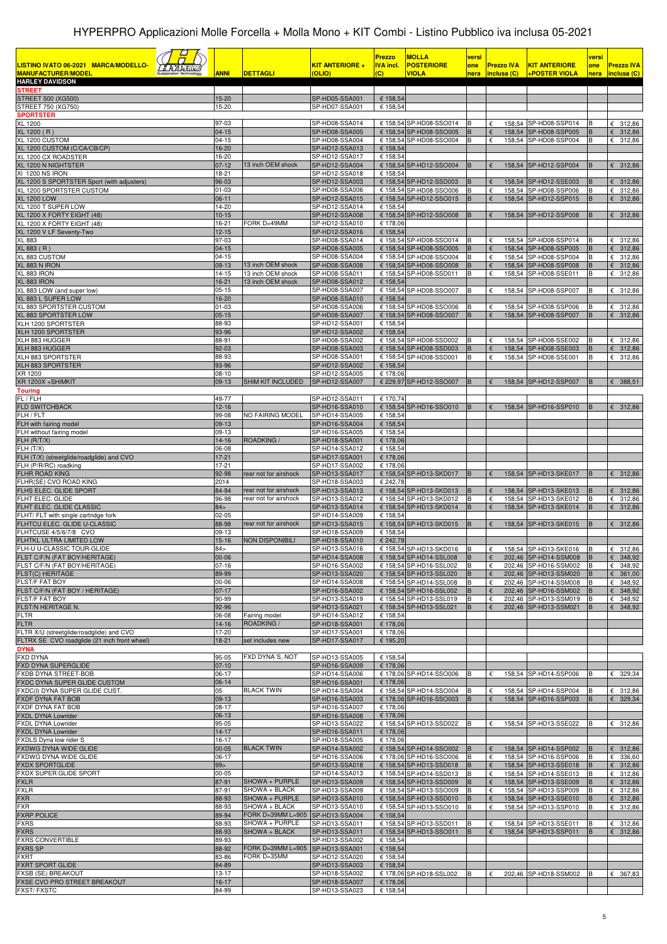| LISTINO IVATO 06-2021 MARCA/MODELLO-<br><u>a Azariku</u><br><b>MANUFACTURER/MODEL</b><br><b>HARLEY DAVIDSON</b> | <b>ANNI</b>          | <b>DETTAGLI</b>                                 | <b>KIT ANTERIORE +</b><br>(OLIO) | <b>Prezzo</b><br><b>IVA incl.</b><br>(C) | <b>MOLLA</b><br><b>POSTERIORE</b><br><b>VIOLA</b>  | versi<br>one<br>nera | <b>Prezzo IVA</b><br>inclusa (C) | <b>KIT ANTERIORE</b><br>+POSTER VIOLA          | versi<br>one<br>nera | <b>Prezzo IVA</b><br>inclusa (C)    |
|-----------------------------------------------------------------------------------------------------------------|----------------------|-------------------------------------------------|----------------------------------|------------------------------------------|----------------------------------------------------|----------------------|----------------------------------|------------------------------------------------|----------------------|-------------------------------------|
| <b>STREET</b><br><b>STREET 500 (XG500)</b>                                                                      | 15-20                |                                                 | SP-HD05-SSA001                   | € 158,54                                 |                                                    |                      |                                  |                                                |                      |                                     |
| STREET 750 (XG750)                                                                                              | 15-20                |                                                 | SP-HD07-SSA001                   | € 158,54                                 |                                                    |                      |                                  |                                                |                      |                                     |
| <b>SPORTSTER</b><br><b>XL 1200</b>                                                                              | 97-03                |                                                 | SP-HD08-SSA014                   |                                          | € 158,54 SP-HD08-SSO014                            | B                    | €                                | 158,54 SP-HD08-SSP014                          |                      | € 312,86                            |
| XL 1200 (R)                                                                                                     | $04-15$              |                                                 | SP-HD08-SSA005                   |                                          | € 158,54 SP-HD08-SSO005                            | B                    | €                                | 158,54 SP-HD08-SSP005                          | B                    | 312,86<br>€                         |
| XL 1200 CUSTOM<br>XL 1200 CUSTOM (C/CA/CB/CP)                                                                   | $04 - 15$<br>16-20   |                                                 | SP-HD08-SSA004<br>SP-HD12-SSA013 | € 158,54                                 | € 158,54 SP-HD08-SSO004                            | B                    | €                                | 158,54 SP-HD08-SSP004                          | в                    | € 312,86                            |
| XL 1200 CX ROADSTER<br>XL 1200 N NIGHTSTER                                                                      | 16-20<br>$07 - 12$   | 13 inch OEM shock                               | SP-HD12-SSA017<br>SP-HD12-SSA004 | € 158,54                                 | € 158,54 SP-HD12-SSO004                            | B                    | €                                | 158,54 SP-HD12-SSP004                          |                      | 6312,86                             |
| XI 1200 NS IRON                                                                                                 | 18-21                |                                                 | SP-HD12-SSA018                   | € 158,54                                 |                                                    |                      |                                  |                                                |                      |                                     |
| XL 1200 S SPORTSTER Sport (with adjusters)<br>XL 1200 SPORTSTER CUSTOM                                          | 96-03<br>$01 - 03$   |                                                 | SP-HD12-SSA003<br>SP-HD08-SSA006 |                                          | € 158,54 SP-HD12-SSD003<br>€ 158,54 SP-HD08-SSO006 | B<br>B               | $\epsilon$<br>€                  | 158,54 SP-HD12-SSE003<br>158,54 SP-HD08-SSP006 | B<br>B               | 6312,86<br>€ 312,86                 |
| <b>XL 1200 LOW</b>                                                                                              | 06-11                |                                                 | SP-HD12-SSA015                   |                                          | € 158,54 SP-HD12-SSO015                            | B                    |                                  | 158,54 SP-HD12-SSP015                          | B                    | 312,86<br>€                         |
| XL 1200 T SUPER LOW<br>XL 1200 X FORTY EIGHT (48)                                                               | 14-20<br>$10-15$     |                                                 | SP-HD12-SSA014<br>SP-HD12-SSA008 | € 158,54                                 | € 158,54 SP-HD12-SSO008                            | B                    | €                                | 158,54 SP-HD12-SSP008                          | B                    | 6312,86                             |
| XL 1200 X FORTY EIGHT (48)                                                                                      | 16-21                | FORK D=49MM                                     | SP-HD12-SSA010                   | € 178,06                                 |                                                    |                      |                                  |                                                |                      |                                     |
| XL 1200 V LF Seventy-Two<br><b>XL 883</b>                                                                       | $12 - 15$<br>97-03   |                                                 | SP-HD12-SSA016<br>SP-HD08-SSA014 | € 158,54                                 | € 158,54 SP-HD08-SSO014                            | B                    | €                                | 158,54 SP-HD08-SSP014                          |                      | € 312,86                            |
| XL 883 (R)                                                                                                      | $04-15$              |                                                 | SP-HD08-SSA005                   |                                          | € 158,54 SP-HD08-SSO005                            | B                    | €                                | 158,54 SP-HD08-SSP005                          | B                    | $\epsilon$<br>312,86                |
| 883 CUSTOM<br>XL 883 N IRON                                                                                     | $04 - 15$<br>09-13   | 13 inch OEM shock                               | SP-HD08-SSA004<br>SP-HD08-SSA008 |                                          | € 158,54 SP-HD08-SSO004<br>€ 158,54 SP-HD08-SSO008 | B<br>B               | €<br>$\epsilon$                  | 158,54 SP-HD08-SSP004<br>158,54 SP-HD08-SSP008 | B<br>B               | 312,86<br>€<br>312,86<br>$\epsilon$ |
| L 883 IRON                                                                                                      | $14 - 15$            | 13 inch OEM shock                               | SP-HD08-SSA011                   |                                          | € 158,54 SP-HD08-SSD011                            | B                    | $\epsilon$                       | 158,54 SP-HD08-SSE011                          | B                    | € 312,86                            |
| XL 883 IRON<br>L 883 LOW (and super low)                                                                        | 16-21<br>$05-15$     | 13 inch OEM shock                               | SP-HD08-SSA012<br>SP-HD08-SSA007 | € 158,54                                 | € 158,54 SP-HD08-SSO007                            | B                    | €                                | 158,54 SP-HD08-SSP007                          | E                    | € 312,86                            |
| XL 883 L SUPER LOW                                                                                              | 16-20                |                                                 | SP-HD08-SSA010                   | € 158,54                                 |                                                    |                      |                                  |                                                |                      |                                     |
| XL 883 SPORTSTER CUSTOM<br>XL 883 SPORTSTER LOW                                                                 | $01 - 03$<br>$05-15$ |                                                 | SP-HD08-SSA006<br>SP-HD08-SSA007 |                                          | € 158,54 SP-HD08-SSO006<br>€ 158.54 SP-HD08-SSO007 | B<br>B               | €<br>€                           | 158,54 SP-HD08-SSP006<br>158,54 SP-HD08-SSP007 | B<br>B               | € 312,86<br>€<br>312,86             |
| XLH 1200 SPORTSTER                                                                                              | 88-93<br>93-96       |                                                 | SP-HD12-SSA001                   | € 158,54<br>€ 158,54                     |                                                    |                      |                                  |                                                |                      |                                     |
| XLH 1200 SPORTSTER<br>XLH 883 HUGGER                                                                            | 88-91                |                                                 | SP-HD12-SSA002<br>SP-HD08-SSA002 |                                          | € 158,54 SP-HD08-SSD002                            | B                    | €                                | 158,54 SP-HD08-SSE002                          |                      | € 312,86                            |
| XLH 883 HUGGER                                                                                                  | 92-03<br>88-93       |                                                 | SP-HD08-SSA003                   |                                          | € 158,54 SP-HD08-SSD003                            | B<br>B               | €                                | 158,54 SP-HD08-SSE003                          | B                    | 312,86<br>€                         |
| XLH 883 SPORTSTER<br>XLH 883 SPORTSTER                                                                          | 93-96                |                                                 | SP-HD08-SSA001<br>SP-HD12-SSA002 | € 158.54                                 | € 158,54 SP-HD08-SSD001                            |                      | €                                | 158,54 SP-HD08-SSE001                          | B                    | €<br>312,86                         |
| XR 1200<br>XR 1200X +SHIMKIT                                                                                    | $08-10$<br>09-13     | SHIM KIT INCLUDED                               | SP-HD12-SSA005<br>SP-HD12-SSA007 | € 178,06                                 |                                                    | B                    | €                                |                                                | B                    | 6388.51                             |
| <b>Touring</b>                                                                                                  |                      |                                                 |                                  |                                          | € 229,97 SP-HD12-SSO007                            |                      |                                  | 158,54 SP-HD12-SSP007                          |                      |                                     |
| FL / FLH<br><b>FLD SWITCHBACK</b>                                                                               | 49-77<br>$12 - 16$   |                                                 | SP-HD12-SSA011<br>SP-HD16-SSA010 | € 170,74                                 | € 158,54 SP-HD16-SSO010                            | B                    |                                  | 158,54 SP-HD16-SSP010                          | B                    | 6312,86                             |
| FLH / FLT                                                                                                       | 99-08                | NO FAIRING MODEL                                | SP-HD14-SSA005                   | € 158,54                                 |                                                    |                      |                                  |                                                |                      |                                     |
| FLH with fairing model<br>FLH without fairing model                                                             | 09-13<br>09-13       |                                                 | SP-HD16-SSA004                   | € 158,54<br>€ 158,54                     |                                                    |                      |                                  |                                                |                      |                                     |
| FLH (R/T/X)                                                                                                     | 14-16                | ROADKING /                                      | SP-HD16-SSA005<br>SP-HD18-SSA001 | € 178,06                                 |                                                    |                      |                                  |                                                |                      |                                     |
| $\overline{FLH}$ (T/X)<br>FLH (T/X) (streetglide/roadglide) and CVO                                             | 06-08<br>$17 - 21$   |                                                 | SP-HD14-SSA012<br>SP-HD17-SSA001 | € 158,54<br>€ 178,06                     |                                                    |                      |                                  |                                                |                      |                                     |
| FLH (P/R/RC) roadking                                                                                           | $17-21$              |                                                 | SP-HD17-SSA002                   | € 178,06                                 |                                                    |                      |                                  |                                                |                      |                                     |
| FLHR ROAD KING<br>FLHR(SE) CVO ROAD KING                                                                        | 92-98<br>2014        | rear not for airshock                           | SP-HD13-SSA017<br>SP-HD18-SSA003 | € 242.78                                 | € 158,54 SP-HD13-SKD017                            | <b>B</b>             |                                  | 158,54 SP-HD13-SKE017                          | B                    | 312,86<br>€                         |
| FLHS ELEC. GLIDE SPORT                                                                                          | 84-94                | rear not for airshock                           | SP-HD13-SSA013                   |                                          | € 158,54 SP-HD13-SKD013                            | B                    | $\epsilon$                       | 158,54 SP-HD13-SKE013                          | B                    | 312,86<br>€                         |
| FLHT ELEC. GLIDE<br>FLHT ELEC. GLIDE CLASSIC                                                                    | 96-98<br>84 >        | rear not for airshock                           | SP-HD13-SSA012<br>SP-HD13-SSA014 |                                          | € 158,54 SP-HD13-SKD012<br>€ 158,54 SP-HD13-SKD014 | B<br>B               | €                                | 158,54 SP-HD13-SKE012<br>158,54 SP-HD13-SKE014 | B<br>B               | 312,86<br>€<br>312,86<br>€          |
| FLHT/ FLT with single cartridge fork                                                                            | $02-05$              |                                                 | SP-HD14-SSA009                   | € 158,54                                 |                                                    |                      |                                  |                                                |                      |                                     |
| FLHTCU ELEC. GLIDE U-CLASSIC<br>FLHTCUSE 4/5/6/7/8 CVO                                                          | 88-98<br>09-13       | rear not for airshock                           | SP-HD13-SSA015<br>SP-HD18-SSA009 | € 158,54                                 | € 158,54 SP-HD13-SKD015                            | B                    | €                                | 158,54 SP-HD13-SKE015                          | B                    | 6312,86                             |
| FLHTKL ULTRA LIMITED LOW                                                                                        | $15 - 16$            | <b>NON DISPONIBILI</b>                          | SP-HD18-SSA010                   | € 242,78                                 |                                                    |                      |                                  |                                                |                      |                                     |
| FLH-U U-CLASSIC TOUR-GLIDE<br>FLST C/F/N (FAT BOY/HERITAGE)                                                     | 84><br>00-06         |                                                 | SP-HD13-SSA016<br>SP-HD14-SSA008 |                                          | € 158,54 SP-HD13-SKD016<br>€ 158,54 SP-HD14-SSL008 | <b>B</b><br>B        | €<br>€                           | 158,54 SP-HD13-SKE016<br>202,46 SP-HD14-SSM008 | IB<br>B              | € 312,86<br>€<br>348,92             |
| FLST C/F/N (FAT BOY/HERITAGE)                                                                                   | $07-16$              |                                                 | SP-HD16-SSA002                   |                                          | € 158,54 SP-HD16-SSL002                            | B                    | €                                | 202,46 SP-HD16-SSM002                          | B                    | 348,92<br>€                         |
| <b>FLST(C) HERITAGE</b><br>FLST/F FAT BOY                                                                       | 89-99<br>00-06       |                                                 | SP-HD13-SSA020<br>SP-HD14-SSA008 |                                          | € 158,54 SP-HD13-SSL020<br>€ 158,54 SP-HD14-SSL008 | B<br>B               | €<br>$\epsilon$                  | 202,46 SP-HD13-SSM020<br>202,46 SP-HD14-SSM008 | B<br>B               | 361,00<br>€<br>6348,92              |
| FLST C/F/N (FAT BOY / HERITAGE)                                                                                 | $07-17$              |                                                 | SP-HD16-SSA002                   |                                          | € 158,54 SP-HD16-SSL002                            | B                    | $\epsilon$                       | 202,46 SP-HD16-SSM002                          | B                    | 348,92<br>€                         |
| FLST/F FAT BOY<br>FLST/N HERITAGE N.                                                                            | 90-99<br>92-96       |                                                 | SP-HD13-SSA019<br>SP-HD13-SSA021 |                                          | € 158,54 SP-HD13-SSL019<br>€ 158,54 SP-HD13-SSL021 | B<br>B               | €<br>€                           | 202,46 SP-HD13-SSM019<br>202,46 SP-HD13-SSM021 | B<br>B               | €<br>348,92<br>348,92<br>€          |
| <b>FLTR</b>                                                                                                     | 06-08                | Fairing model                                   | SP-HD14-SSA012                   | € 158,54                                 |                                                    |                      |                                  |                                                |                      |                                     |
| <b>FLTR</b><br>FLTR X/U (streetglide/roadglide) and CVO                                                         | 14-16<br>17-20       | ROADKING /                                      | SP-HD18-SSA001<br>SP-HD17-SSA001 | € 178,06<br>€ 178,06                     |                                                    |                      |                                  |                                                |                      |                                     |
| FLTRX SE CVO roadglide (21 inch front wheel)                                                                    | 18-21                | set includes new                                | SP-HD17-SSA017                   | € 195,20                                 |                                                    |                      |                                  |                                                |                      |                                     |
| <b>DYNA</b><br><b>FXD DYNA</b>                                                                                  | 95-05                | FXD DYNA'S, NOT                                 | SP-HD13-SSA005                   | € 158,54                                 |                                                    |                      |                                  |                                                |                      |                                     |
| FXD DYNA SUPERGLIDE                                                                                             | $07-10$              |                                                 | SP-HD16-SSA009                   | € 178,06                                 |                                                    |                      |                                  |                                                |                      |                                     |
| FXDB DYNA STREET-BOB<br>FXDC DYNA SUPER GLIDE CUSTOM                                                            | 06-17<br>06-14       |                                                 | SP-HD14-SSA006<br>SP-HD16-SSA001 | € 178,06                                 | € 178,06 SP-HD14-SSO006                            | B                    | €                                | 158,54 SP-HD14-SSP006                          |                      | 329,34<br>€                         |
| FXDC(I) DYNA SUPER GLIDE CUST.                                                                                  | 05                   | <b>BLACK TWIN</b>                               | SP-HD14-SSA004                   |                                          | € 158,54 SP-HD14-SSO004                            | B                    | €                                | 158,54 SP-HD14-SSP004                          |                      | € 312,86                            |
| FXDF DYNA FAT BOB<br>FXDF DYNA FAT BOB                                                                          | 09-13<br>$08-17$     |                                                 | SP-HD16-SSA003<br>SP-HD16-SSA007 | € 178,06                                 | € 178,06 SP-HD16-SSO003                            | <b>B</b>             | €                                | 158,54 SP-HD16-SSP003                          | B                    | 329,34<br>€                         |
| FXDL DYNA Lowrider                                                                                              | 06-13                |                                                 | SP-HD16-SSA008                   | € 178,06                                 |                                                    |                      |                                  |                                                |                      |                                     |
| FXDL DYNA Lowrider<br>FXDL DYNA Lowrider                                                                        | 95-05<br>$14-17$     |                                                 | SP-HD13-SSA022<br>SP-HD16-SSA011 | € 178,06                                 | € 158,54 SP-HD13-SSD022                            | B                    | €                                | 158,54 SP-HD13-SSE022                          |                      | € 312,86                            |
| FXDLS Dyna low rider S                                                                                          | 16-17                |                                                 | SP-HD18-SSA005                   | € 178,06                                 |                                                    |                      |                                  |                                                |                      |                                     |
| FXDWG DYNA WIDE GLIDE<br>FXDWG DYNA WIDE GLIDE                                                                  | $00 - 05$<br>06-17   | <b>BLACK TWIN</b>                               | SP-HD14-SSA002<br>SP-HD16-SSA006 |                                          | € 158,54 SP-HD14-SSO002<br>€ 178,06 SP-HD16-SSO006 | B<br>B               | €<br>$\epsilon$                  | 158,54 SP-HD14-SSP002<br>158,54 SP-HD16-SSP006 | B<br>B               | 6312,86<br>€ 336,60                 |
| <b>FXDX SPORTGLIDE</b><br>FXDX SUPER GLIDE SPORT                                                                | 99 ><br>$00 - 05$    |                                                 | SP-HD13-SSA018                   |                                          | € 158,54 SP-HD13-SSD018                            | B<br>B               | $\epsilon$<br>€                  | 158,54 SP-HD13-SSE018                          | B<br>B               | 312,86<br>€<br>€                    |
| <b>FXLR</b>                                                                                                     | 87-91                | SHOWA + PURPLE                                  | SP-HD14-SSA013<br>SP-HD13-SSA009 |                                          | € 158,54 SP-HD14-SSD013<br>€ 158,54 SP-HD13-SSD009 | B                    |                                  | 158,54 SP-HD14-SSE013<br>158,54 SP-HD13-SSE009 | B                    | 312,86<br>312,86<br>€               |
| <b>FXLR</b>                                                                                                     | 87-91                | SHOWA + BLACK                                   | SP-HD13-SSA009                   |                                          | € 158,54 SP-HD13-SSO009                            | B                    | $\epsilon$                       | 158,54 SP-HD13-SSP009                          | B                    | € 312,86                            |
| <b>FXR</b><br><b>FXR</b>                                                                                        | 88-93<br>88-93       | SHOWA + PURPLE<br>SHOWA + BLACK                 | SP-HD13-SSA010<br>SP-HD13-SSA010 |                                          | € 158,54 SP-HD13-SSD010<br>€ 158,54 SP-HD13-SSO010 | B<br>B               | €<br>€                           | 158,54 SP-HD13-SSE010<br>158,54 SP-HD13-SSP010 | B<br>B               | 312,86<br>€<br>312,86<br>€          |
| <b>FXRP POLICE</b>                                                                                              | 89-94                | FORK D=39MM L=905 SP-HD13-SSA004                |                                  | € 158,54                                 |                                                    |                      |                                  |                                                |                      |                                     |
| <b>FXRS</b><br><b>FXRS</b>                                                                                      | 88-93<br>88-93       | SHOWA + PURPLE<br>SHOWA + BLACK                 | SP-HD13-SSA011<br>SP-HD13-SSA011 |                                          | € 158,54 SP-HD13-SSD011<br>€ 158,54 SP-HD13-SSO011 | B<br>B               | €<br>€                           | 158,54 SP-HD13-SSE011<br>158,54 SP-HD13-SSP011 | B                    | € 312,86<br>6312,86                 |
| <b>FXRS CONVERTIBLE</b>                                                                                         | 89-93                |                                                 | SP-HD13-SSA002                   | € 158,54                                 |                                                    |                      |                                  |                                                |                      |                                     |
| <b>FXRS SP</b><br><b>FXRT</b>                                                                                   | 88-92<br>83-86       | FORK D=39MM L=905 SP-HD13-SSA001<br>FORK D=35MM | SP-HD12-SSA020                   | € 158,54<br>€ 158,54                     |                                                    |                      |                                  |                                                |                      |                                     |
| FXRT SPORT GLIDE                                                                                                | 84-89                |                                                 | SP-HD13-SSA003                   | € 158,54                                 |                                                    |                      |                                  |                                                |                      |                                     |
| FXSB (SE) BREAKOUT<br>FXSE CVO PRO STREET BREAKOUT                                                              | $13 - 17$<br>16-17   |                                                 | SP-HD18-SSA002<br>SP-HD18-SSA007 | € 178,06                                 | € 178,06 SP-HD18-SSL002                            | в                    | €                                | 202,46 SP-HD18-SSM002                          | в                    | € 367,83                            |
| FXST/FXSTC                                                                                                      | 84-99                |                                                 | SP-HD13-SSA023                   | € 158,54                                 |                                                    |                      |                                  |                                                |                      |                                     |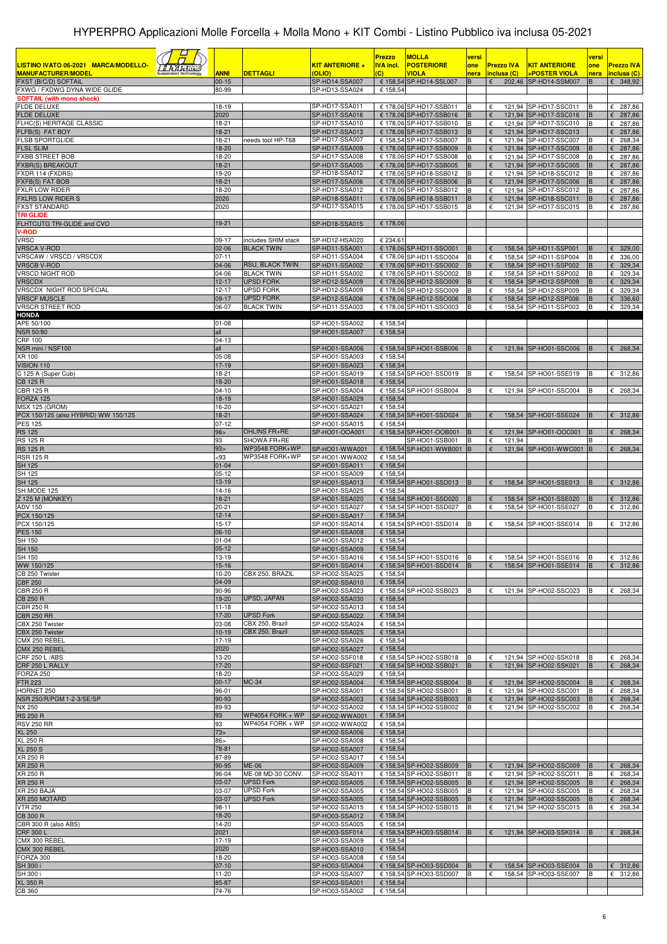| LISTINO IVATO 06-2021 MARCA/MODELLO-<br><u>s Alasimi</u><br><b>MANUFACTURER/MODEL</b><br>FXST (B/C/D) SOFTAIL | <b>ANNI</b><br>$00 - 15$ | <b>DETTAGLI</b>                       | <b>KIT ANTERIORE +</b><br>(OLIO)<br>SP-HD14-SSA007 | <b>Prezzo</b><br><b>IVA incl.</b><br>$\overline{c}$ | <b>MOLLA</b><br><b>POSTERIORE</b><br><b>VIOLA</b><br>€ 158,54 SP-HD14-SSL007 | versi<br>one<br>nera<br>B | <b>Prezzo IVA</b><br>inclusa (C)<br>€ | <u>KIT ANTERIORE</u><br><b>+POSTER VIOLA</b><br>202,46 SP-HD14-SSM007 | versi<br>one<br>nera<br>B | <b>Prezzo IVA</b><br>inclusa (C)<br>6348,92 |
|---------------------------------------------------------------------------------------------------------------|--------------------------|---------------------------------------|----------------------------------------------------|-----------------------------------------------------|------------------------------------------------------------------------------|---------------------------|---------------------------------------|-----------------------------------------------------------------------|---------------------------|---------------------------------------------|
| FXWG / FXDWG DYNA WIDE GLIDE<br><b>SOFTAIL (with mono shock)</b>                                              | 80-99                    |                                       | SP-HD13-SSA024                                     | € 158,54                                            |                                                                              |                           |                                       |                                                                       |                           |                                             |
| <b>FLDE DELUXE</b>                                                                                            | 18-19                    |                                       | SP-HD17-SSA011                                     |                                                     | € 178,06 SP-HD17-SSB011                                                      | B                         | €                                     | 121,94 SP-HD17-SSC011                                                 | B                         | 287,86<br>€                                 |
| <b>FLDE DELUXE</b><br>FLHC(S) HERITAGE CLASSIC                                                                | 2020<br>18-21            |                                       | SP-HD17-SSA016<br>SP-HD17-SSA010                   |                                                     | € 178,06 SP-HD17-SSB016<br>€ 178,06 SP-HD17-SSB010                           | B<br>B                    | €<br>€                                | 121,94 SP-HD17-SSC016<br>121.94 SP-HD17-SSC010                        | B<br>B                    | 287,86<br>€<br>287,86<br>€                  |
| FLFB(S) FAT BOY                                                                                               | 18-21                    |                                       | SP-HD17-SSA013                                     |                                                     | € 178,06 SP-HD17-SSB013                                                      | B                         | €                                     | 121,94 SP-HD17-SSC013                                                 |                           | 287,86<br>€                                 |
| <b>FLSB SPORTGLIDE</b><br><b>FLSL SLIM</b>                                                                    | 18-21<br>18-20           | needs tool HP-T68                     | SP-HD17-SSA007<br>SP-HD17-SSA009                   |                                                     | € 158,54 SP-HD17-SSB007<br>€ 178,06 SP-HD17-SSB009                           | B                         | €<br>€                                | 121,94 SP-HD17-SSC007<br>121,94 SP-HD17-SSC009                        | в                         | $\epsilon$ 268,34<br>287,86<br>€            |
| <b>FXBB STREET BOB</b>                                                                                        | 18-20                    |                                       | SP-HD17-SSA008                                     |                                                     | € 178.06 SP-HD17-SSB008                                                      | B                         | €                                     | 121,94 SP-HD17-SSC008                                                 | B                         | € 287,86                                    |
| <b>FXBR(S) BREAKOUT</b><br>FXDR 114 (FXDRS)                                                                   | 18-21<br>19-20           |                                       | SP-HD17-SSA005<br>SP-HD18-SSA012                   |                                                     | € 178,06 SP-HD17-SSB005<br>€ 178,06 SP-HD18-SSB012                           | B<br>B                    | €<br>$\epsilon$                       | 121,94 SP-HD17-SSC005<br>121,94 SP-HD18-SSC012                        | B                         | 287,86<br>€<br>€<br>287,86                  |
| FXFB(S) FAT BOB                                                                                               | $18-21$                  |                                       | SP-HD17-SSA006                                     |                                                     | € 178,06 SP-HD17-SSB006                                                      | B                         | $\epsilon$                            | 121,94 SP-HD17-SSC006                                                 |                           | 287,86<br>€                                 |
| <b>FXLR LOW RIDER</b><br><b>FXLRS LOW RIDER S</b>                                                             | 18-20<br>2020            |                                       | SP-HD17-SSA012                                     |                                                     | € 178,06 SP-HD17-SSB012                                                      | B<br>B                    | €<br>121,94                           | 121,94 SP-HD17-SSC012                                                 | B<br>B                    | 287,86<br>€<br>287,86<br>€                  |
| <b>FXST STANDARD</b>                                                                                          | 2020                     |                                       | SP-HD18-SSA011<br>SP-HD17-SSA015                   |                                                     | € 178,06 SP-HD18-SSB011<br>€ 178,06 SP-HD17-SSB015                           | B                         | €<br>121,94                           | SP-HD18-SSC011<br>SP-HD17-SSC015                                      | B                         | 287,86<br>€                                 |
| <b>TRI GLIDE</b>                                                                                              |                          |                                       |                                                    |                                                     |                                                                              |                           |                                       |                                                                       |                           |                                             |
| FLHTCUTG TRI-GLIDE and CVO<br><b>V-ROD</b>                                                                    | 19-21                    |                                       | SP-HD18-SSA015                                     | € 178,06                                            |                                                                              |                           |                                       |                                                                       |                           |                                             |
| <b>VRSC</b>                                                                                                   | 09-17                    | includes SHIM stack                   | SP-HD12-HSA020                                     | € 234,61                                            |                                                                              |                           |                                       |                                                                       |                           |                                             |
| <b>VRSCA V-ROD</b><br>VRSCAW / VRSCD / VRSCDX                                                                 | $02 - 06$<br>$07 - 11$   | <b>BLACK TWIN</b>                     | SP-HD11-SSA001<br>SP-HD11-SSA004                   |                                                     | € 178,06 SP-HD11-SSO001<br>€ 178,06 SP-HD11-SSO004                           | B<br>B                    | €<br>€                                | 158,54 SP-HD11-SSP001<br>158,54 SP-HD11-SSP004                        | B<br>B                    | 329,00<br>€<br>336,00<br>€                  |
| <b>VRSCB V-ROD</b>                                                                                            | 04-06                    | <b>RSU, BLACK TWIN</b>                | SP-HD11-SSA002                                     |                                                     | € 178,06 SP-HD11-SSO002                                                      | B                         | $\epsilon$                            | 158,54 SP-HD11-SSP002                                                 | B                         | 329,34<br>$\epsilon$                        |
| <b>VRSCD NIGHT ROD</b><br><b>VRSCDX</b>                                                                       | 04-06<br>$12 - 17$       | <b>BLACK TWIN</b><br><b>UPSD FORK</b> | SP-HD11-SSA002<br>SP-HD12-SSA009                   |                                                     | € 178,06 SP-HD11-SSO002<br>€ 178,06 SP-HD12-SSO009                           | B<br>B                    | $\epsilon$<br>$\epsilon$              | 158,54 SP-HD11-SSP002<br>158,54 SP-HD12-SSP009                        | E<br><b>B</b>             | 329,34<br>€<br>329,34<br>$\epsilon$         |
| VRSCDX NIGHT ROD SPECIAL                                                                                      | $12 - 17$                | <b>UPSD FORK</b>                      | SP-HD12-SSA009                                     |                                                     | € 178,06 SP-HD12-SSO009                                                      | B                         | €                                     | 158,54 SP-HD12-SSP009                                                 | B                         | 329,34<br>€                                 |
| <b>VRSCF MUSCLE</b><br><b>VRSCR STREET ROD</b>                                                                | 09-17                    | <b>UPSD FORK</b><br><b>BLACK TWIN</b> | SP-HD12-SSA006                                     |                                                     | € 178,06 SP-HD12-SSO006                                                      | B<br>l B                  | €                                     | 158,54 SP-HD12-SSP006                                                 | B<br>B                    | 336,60<br>€<br>6329.34                      |
| <b>HONDA</b>                                                                                                  | 06-07                    |                                       | SP-HD11-SSA003                                     |                                                     | € 178,06 SP-HD11-SSO003                                                      |                           | €                                     | 158,54 SP-HD11-SSP003                                                 |                           |                                             |
| APE 50/100                                                                                                    | $01 - 08$                |                                       | SP-HO01-SSA002                                     | € 158,54                                            |                                                                              |                           |                                       |                                                                       |                           |                                             |
| <b>NSR 50/80</b><br><b>CRF 100</b>                                                                            | all<br>04-13             |                                       | SP-HO01-SSA007                                     | € 158,54                                            |                                                                              |                           |                                       |                                                                       |                           |                                             |
| NSR mini / NSF100                                                                                             | all                      |                                       | SP-HO01-SSA006                                     |                                                     | € 158,54 SP-HO01-SSB006                                                      | B                         | €                                     | 121,94 SP-HO01-SSC006                                                 | B                         | $E$ 268,34                                  |
| XR 100<br>VISION 110                                                                                          | 05-08<br>$17-19$         |                                       | SP-HO01-SSA003<br>SP-HO01-SSA023                   | € 158,54<br>€ 158,54                                |                                                                              |                           |                                       |                                                                       |                           |                                             |
| C 125 A (Super Cub)                                                                                           | 18-21                    |                                       | SP-HO01-SSA019                                     |                                                     | € 158,54 SP-HO01-SSD019                                                      | B                         | €                                     | 158,54 SP-HO01-SSE019                                                 |                           | € 312,86                                    |
| <b>CB 125 R</b>                                                                                               | 18-20                    |                                       | SP-HO01-SSA018                                     | € 158,54                                            |                                                                              |                           |                                       |                                                                       |                           |                                             |
| CBR 125 R<br><b>FORZA 125</b>                                                                                 | $04-10$<br>18-19         |                                       | SP-HO01-SSA004<br>SP-HO01-SSA029                   | € 158,54                                            | € 158,54 SP-HO01-SSB004                                                      | B                         | €                                     | 121,94 SP-HO01-SSC004                                                 |                           | $E$ 268,34                                  |
| <b>MSX 125 (GROM)</b>                                                                                         | 16-20                    |                                       | SP-HO01-SSA021                                     | € 158,54                                            |                                                                              |                           |                                       |                                                                       |                           |                                             |
| PCX 150/125 (also HYBRID) WW 150/125<br><b>PES 125</b>                                                        | 18-21<br>$07-12$         |                                       | SP-HO01-SSA024<br>SP-HO01-SSA015                   | € 158,54                                            | € 158,54 SP-HO01-SSD024                                                      | B                         | €                                     | 158,54 SP-HO01-SSE024                                                 | B                         | 6312,86                                     |
| <b>RS 125</b>                                                                                                 | 96 >                     | OHLINS FR+RE                          | SP-HO01-OOA001                                     |                                                     | € 158,54 SP-HO01-OOB001                                                      | B                         |                                       | 121,94 SP-HO01-OOC001                                                 | B                         | 268,34<br>€                                 |
| <b>RS 125 R</b><br><b>RS 125 R</b>                                                                            | 93<br>93>                | SHOWA FR+RE<br>WP3548 FORK+WP         | SP-HO01-WWA001                                     |                                                     | SP-HO01-SSB001<br>€ 158,54 SP-HO01-WWB001                                    | B                         | €<br>121,94<br>€                      |                                                                       |                           | 268,34                                      |
| <b>RSR 125 R</b>                                                                                              | $93$                     | WP3548 FORK+WP                        | SP-HO01-WWA002                                     | € 158,54                                            |                                                                              | B                         |                                       | 121,94 SP-HO01-WWC001                                                 | B                         | €                                           |
| <b>SH 125</b>                                                                                                 | $01 - 04$                |                                       | SP-HO01-SSA011                                     | € 158,54                                            |                                                                              |                           |                                       |                                                                       |                           |                                             |
| <b>SH 125</b><br><b>SH 125</b>                                                                                | $05-12$<br>13-19         |                                       | SP-HO01-SSA009<br>SP-HO01-SSA013                   | € 158,54                                            | € 158,54 SP-HO01-SSD013                                                      | B                         | €                                     | 158,54 SP-HO01-SSE013                                                 | B                         | 6312,86                                     |
| SH MODE 125                                                                                                   | 14-16                    |                                       | SP-HO01-SSA025                                     | € 158,54                                            |                                                                              |                           |                                       |                                                                       |                           |                                             |
| Z 125 M (MONKEY)<br><b>ADV 150</b>                                                                            | 18-21<br>$20 - 21$       |                                       | SP-HO01-SSA020<br>SP-HO01-SSA027                   |                                                     | € 158,54 SP-HO01-SSD020<br>€ 158,54 SP-HO01-SSD027                           | B<br>B                    | €<br>€                                | 158,54 SP-HO01-SSE020<br>158,54 SP-HO01-SSE027                        | B<br>B                    | 312,86<br>€<br>€<br>312,86                  |
| PCX 150/125                                                                                                   | $12 - 14$                |                                       | SP-HO01-SSA017                                     | € 158,54                                            |                                                                              |                           |                                       |                                                                       |                           |                                             |
| PCX 150/125<br><b>PES 150</b>                                                                                 | $15 - 17$<br>$06-10$     |                                       | SP-HO01-SSA014<br>SP-HO01-SSA008                   | € 158,54                                            | € 158,54 SP-HO01-SSD014                                                      | B                         | €                                     | 158,54 SP-HO01-SSE014                                                 | в                         | € 312,86                                    |
| SH 150                                                                                                        | $01 - 04$                |                                       | SP-HO01-SSA012                                     | € 158,54                                            |                                                                              |                           |                                       |                                                                       |                           |                                             |
| <b>SH 150</b>                                                                                                 | $05-12$                  |                                       | SP-HO01-SSA009                                     | € 158,54                                            |                                                                              |                           |                                       |                                                                       |                           |                                             |
| SH 150<br>WW 150/125                                                                                          | 13-19<br>$15 - 16$       |                                       | SP-HO01-SSA016<br>SP-HO01-SSA014                   |                                                     | € 158,54 SP-HO01-SSD016<br>€ 158,54 SP-HO01-SSD014                           | B<br>B                    | €<br>€                                | 158,54 SP-HO01-SSE016<br>158,54 SP-HO01-SSE014                        | в<br>B                    | € 312,86<br>6312,86                         |
| CB 250 Twister                                                                                                | 10-20                    | CBX 250, BRAZIL                       | SP-HO02-SSA025                                     | € 158,54                                            |                                                                              |                           |                                       |                                                                       |                           |                                             |
| <b>CBF 250</b><br><b>CBR 250 R</b>                                                                            | 04-09<br>90-96           |                                       | SP-HO02-SSA010<br>SP-HO02-SSA023                   | € 158,54                                            | € 158,54 SP-HO02-SSB023                                                      | B                         | €                                     | 121,94 SP-HO02-SSC023                                                 | B                         | $E$ 268,34                                  |
| CB 250 R                                                                                                      | 19-20                    | UPSD, JAPAN                           | SP-HO02-SSA030                                     | € 158,54                                            |                                                                              |                           |                                       |                                                                       |                           |                                             |
| <b>CBR 250 R</b>                                                                                              | $11 - 18$<br>$17-20$     |                                       | SP-HO02-SSA013                                     | € 158,54                                            |                                                                              |                           |                                       |                                                                       |                           |                                             |
| <b>CBR 250 RR</b><br>CBX 250 Twister                                                                          | 03-08                    | <b>UPSD Fork</b><br>CBX 250, Brazil   | SP-HO02-SSA022<br>SP-HO02-SSA024                   | € 158,54<br>€ 158,54                                |                                                                              |                           |                                       |                                                                       |                           |                                             |
| CBX 250 Twister                                                                                               | $10-19$                  | CBX 250, Brazil                       | SP-HO02-SSA025                                     | € 158,54                                            |                                                                              |                           |                                       |                                                                       |                           |                                             |
| CMX 250 REBEL<br>CMX 250 REBEL                                                                                | 17-19<br>2020            |                                       | SP-HO02-SSA026<br>SP-HO02-SSA027                   | € 158,54<br>€ 158,54                                |                                                                              |                           |                                       |                                                                       |                           |                                             |
| CRF 250 L /ABS                                                                                                | 13-20                    |                                       | SP-HO02-SSF018                                     |                                                     | € 158,54 SP-HO02-SSB018                                                      | B                         | €                                     | 121,94 SP-HO02-SSK018                                                 | B                         | $E$ 268,34                                  |
| CRF 250 L RALLY<br>FORZA 250                                                                                  | 17-20<br>18-20           |                                       | SP-HO02-SSF021<br>SP-HO02-SSA029                   | € 158,54                                            | € 158,54 SP-HO02-SSB021                                                      | B                         |                                       | 121,94 SP-HO02-SSK021                                                 | B                         | 268,34<br>€                                 |
| <b>FTR 223</b>                                                                                                | $00-17$                  | <b>MC-34</b>                          | SP-HO02-SSA004                                     |                                                     | € 158,54 SP-HO02-SSB004                                                      | B                         |                                       | 121,94 SP-HO02-SSC004                                                 |                           | 268,34<br>€                                 |
| HORNET 250                                                                                                    | 96-01                    |                                       | SP-HO02-SSA001                                     |                                                     | € 158,54 SP-HO02-SSB001                                                      | B<br>B                    | €                                     | 121,94 SP-HO02-SSC001                                                 | B<br>B                    | $E$ 268,34<br>€                             |
| NSR 250/R/PGM 1-2-3/SE/SP<br>NX 250                                                                           | 90-93<br>89-93           |                                       | SP-HO02-SSA003<br>SP-HO02-SSA002                   |                                                     | € 158,54 SP-HO02-SSB003<br>€ 158,54 SP-HO02-SSB002                           | B                         | $\epsilon$<br>€                       | 121,94 SP-HO02-SSC003<br>121,94 SP-HO02-SSC002                        | B                         | 268,34<br>$E$ 268,34                        |
| <b>RS 250 R</b>                                                                                               | 93                       | <b>WP4054 FORK + WP</b>               | SP-HO02-WWA001                                     | € 158,54                                            |                                                                              |                           |                                       |                                                                       |                           |                                             |
| <b>RSV 250 RR</b><br><b>XL 250</b>                                                                            | 93<br>73>                | <b>WP4054 FORK + WP</b>               | SP-HO02-WWA002<br>SP-HO02-SSA006                   | € 158,54<br>€ 158,54                                |                                                                              |                           |                                       |                                                                       |                           |                                             |
| <b>XL 250 R</b>                                                                                               | $86 -$                   |                                       | SP-HO02-SSA008                                     | € 158,54                                            |                                                                              |                           |                                       |                                                                       |                           |                                             |
| <b>XL 250 S</b><br>XR 250 R                                                                                   | 78-81<br>87-89           |                                       | SP-HO02-SSA007<br>SP-HO02-SSA017                   | € 158,54<br>€ 158,54                                |                                                                              |                           |                                       |                                                                       |                           |                                             |
| <b>XR 250 R</b>                                                                                               | 90-95                    | <b>ME-06</b>                          | SP-HO02-SSA009                                     |                                                     | € 158,54 SP-HO02-SSB009                                                      | B                         | €                                     | 121,94 SP-HO02-SSC009                                                 | B                         | $\epsilon$ 268,34                           |
| XR 250 R                                                                                                      | 96-04                    | ME-08 MD-30 CONV.<br><b>UPSD Fork</b> | SP-HO02-SSA011                                     |                                                     | € 158,54 SP-HO02-SSB011                                                      | B                         | €                                     | 121,94 SP-HO02-SSC011                                                 | B                         | $E$ 268,34                                  |
| <b>XR 250 R</b><br>XR 250 BAJA                                                                                | 03-07<br>03-07           | <b>UPSD Fork</b>                      | SP-HO02-SSA005<br>SP-HO02-SSA005                   |                                                     | € 158,54 SP-HO02-SSB005<br>€ 158,54 SP-HO02-SSB005                           | B<br>B                    | €<br>$\epsilon$                       | 121,94 SP-HO02-SSC005<br>121,94 SP-HO02-SSC005                        | B<br>B                    | 268,34<br>€<br>$\overline{\epsilon}$ 268,34 |
| XR 250 MOTARD                                                                                                 | 03-07                    | <b>UPSD Fork</b>                      | SP-HO02-SSA005                                     |                                                     | € 158,54 SP-HO02-SSB005                                                      | B                         | $\epsilon$                            | 121,94 SP-HO02-SSC005                                                 | B                         | 268,34<br>€                                 |
| <b>VTR 250</b><br><b>CB 300 R</b>                                                                             | $98 - 11$<br>18-20       |                                       | SP-HO02-SSA015<br>SP-HO03-SSA012                   | € 158,54                                            | € 158,54 SP-HO02-SSB015                                                      |                           | $\epsilon$                            | 121,94 SP-HO02-SSC015                                                 | B                         | $E$ 268,34                                  |
| CBR 300 R (also ABS)                                                                                          | 14-20                    |                                       | SP-HO03-SSA005                                     | € 158,54                                            |                                                                              |                           |                                       |                                                                       |                           |                                             |
| CRF 300 L<br>CMX 300 REBEL                                                                                    | 2021<br>17-19            |                                       | SP-HO03-SSF014                                     |                                                     | € 158,54 SP-HO03-SSB014                                                      | B                         | €                                     | 121,94 SP-HO03-SSK014                                                 | B                         | $\epsilon$ 268,34                           |
| CMX 300 REBEL                                                                                                 | 2020                     |                                       | SP-HO03-SSA009<br>SP-HO03-SSA010                   | € 158,54<br>€ 158,54                                |                                                                              |                           |                                       |                                                                       |                           |                                             |
| FORZA 300                                                                                                     | 18-20                    |                                       | SP-HO03-SSA008                                     | € 158,54                                            |                                                                              |                           |                                       |                                                                       |                           |                                             |
| SH 300 i<br>SH 300 i                                                                                          | $07-10$<br>11-20         |                                       | SP-HO03-SSA004<br>SP-HO03-SSA007                   |                                                     | € 158,54 SP-HO03-SSD004<br>€ 158,54 SP-HO03-SSD007                           | B<br>B                    | €<br>€                                | 158,54 SP-HO03-SSE004<br>158,54 SP-HO03-SSE007                        | B<br>B                    | € 312,86<br>€ 312,86                        |
| <b>XL 350 R</b>                                                                                               | 85-87                    |                                       | SP-HO03-SSA001                                     | € 158,54                                            |                                                                              |                           |                                       |                                                                       |                           |                                             |
| CB 360                                                                                                        | 74-76                    |                                       | SP-HO03-SSA002                                     | € 158,54                                            |                                                                              |                           |                                       |                                                                       |                           |                                             |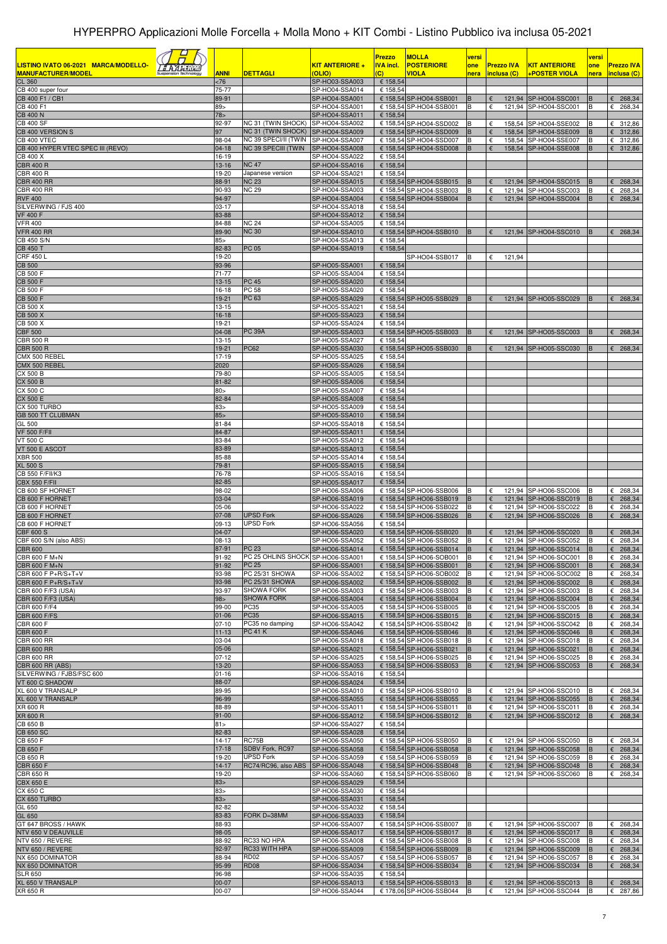| LISTINO IVATO 06-2021 MARCA/MODELLO-<br><i><b>FAAHIM</b></i><br><b>MANUFACTURER/MODEL</b> | <b>ANNI</b>                  | <b>DETTAGLI</b>                                   | <b>KIT ANTERIORE +</b><br>(OLIO) | <b>Prezzo</b><br><b>IVA incl.</b><br>$\overline{c}$ | <b>MOLLA</b><br><b>POSTERIORE</b><br>VIOLA         | versi<br>one<br>nera     | <b>Prezzo IVA</b><br>inclusa (C) | <u>KIT ANTERIORE</u><br><u>+POSTER VIOLA</u>   | versi<br>one<br>nera | <b>Prezzo IVA</b><br><mark>inclusa (C)</mark> |
|-------------------------------------------------------------------------------------------|------------------------------|---------------------------------------------------|----------------------------------|-----------------------------------------------------|----------------------------------------------------|--------------------------|----------------------------------|------------------------------------------------|----------------------|-----------------------------------------------|
| <b>CL 360</b><br>CB 400 super four                                                        | <76<br>75-77                 |                                                   | SP-HO03-SSA003<br>SP-HO04-SSA014 | € 158,54<br>€ 158,54                                |                                                    |                          |                                  |                                                |                      |                                               |
| CB 400 F1 / CB1                                                                           | 89-91                        |                                                   | SP-HO04-SSA001                   |                                                     | € 158,54 SP-HO04-SSB001                            | B                        |                                  | 121,94 SP-HO04-SSC001                          | B                    | 268,34<br>€                                   |
| CB 400 F1                                                                                 | 89>                          |                                                   | SP-HO04-SSA001                   |                                                     | € 158,54 SP-HO04-SSB001                            | B                        | €                                | 121,94 SP-HO04-SSC001                          | B                    | €<br>268,34                                   |
| <b>CB 400 N</b><br><b>CB 400 SF</b>                                                       | 78 <sub>5</sub><br>92-97     | NC 31 (TWIN SHOCK)                                | SP-HO04-SSA011<br>SP-HO04-SSA002 | € 158,54                                            | € 158,54 SP-HO04-SSD002                            | B                        | €                                | 158,54 SP-HO04-SSE002                          |                      | €<br>312,86                                   |
| CB 400 VERSION S                                                                          | 97                           | NC 31 (TWIN SHOCK)                                | SP-HO04-SSA009                   |                                                     | € 158,54 SP-HO04-SSD009                            | B                        | €                                | 158,54 SP-HO04-SSE009                          |                      | 312,86<br>€                                   |
| CB 400 VTEC<br>CB 400 HYPER VTEC SPEC III (REVO)                                          | 98-04<br>$04-18$             | NC 39 SPECI/II (TWIN<br>NC 39 SPECIII (TWIN       | SP-HO04-SSA007<br>SP-HO04-SSA008 |                                                     | € 158,54 SP-HO04-SSD007<br>€ 158,54 SP-HO04-SSD008 | B<br>B                   | €<br>€                           | 158,54 SP-HO04-SSE007<br>158,54 SP-HO04-SSE008 | B<br>B               | €<br>312,86<br>312,86<br>€                    |
| CB 400 X                                                                                  | 16-19                        |                                                   | SP-HO04-SSA022                   | € 158,54                                            |                                                    |                          |                                  |                                                |                      |                                               |
| <b>CBR 400 R</b><br><b>CBR 400 R</b>                                                      | 13-16<br>19-20               | <b>NC 47</b><br>Japanese version                  | SP-HO04-SSA016<br>SP-HO04-SSA021 | € 158,54<br>€ 158,54                                |                                                    |                          |                                  |                                                |                      |                                               |
| <b>CBR 400 RR</b>                                                                         | 88-91                        | <b>NC 23</b>                                      | SP-HO04-SSA015                   |                                                     | € 158,54 SP-HO04-SSB015                            | B                        | €                                | 121,94 SP-HO04-SSC015                          | B                    | 268,34<br>€                                   |
| <b>CBR 400 RR</b><br><b>RVF 400</b>                                                       | 90-93                        | NC 29                                             | SP-HO04-SSA003                   |                                                     | € 158,54 SP-HO04-SSB003                            | B<br>B                   | €<br>€                           | 121,94 SP-HO04-SSC003                          | B<br>B               | 268,34<br>€<br>268,34                         |
| SILVERWING / FJS 400                                                                      | 94-97<br>03-17               |                                                   | SP-HO04-SSA004<br>SP-HO04-SSA018 | € 158,54                                            | € 158,54 SP-HO04-SSB004                            |                          |                                  | 121,94 SP-HO04-SSC004                          |                      | €                                             |
| <b>VF 400 F</b>                                                                           | 83-88                        |                                                   | SP-HO04-SSA012                   | € 158,54                                            |                                                    |                          |                                  |                                                |                      |                                               |
| <b>VFR 400</b><br><b>VFR 400 RR</b>                                                       | 84-88<br>89-90               | <b>NC 24</b><br><b>NC 30</b>                      | SP-HO04-SSA005<br>SP-HO04-SSA010 | € 158,54                                            | € 158,54 SP-HO04-SSB010                            | B                        | €                                | 121,94 SP-HO04-SSC010                          | B                    | $\epsilon$ 268,34                             |
| CB 450 S/N                                                                                | $85-$                        |                                                   | SP-HO04-SSA013                   | € 158,54                                            |                                                    |                          |                                  |                                                |                      |                                               |
| <b>CB 450 T</b><br><b>CRF 450 L</b>                                                       | 82-83<br>19-20               | PC 05                                             | SP-HO04-SSA019                   | € 158,54                                            | SP-HO04-SSB017                                     | B                        | €<br>121,94                      |                                                |                      |                                               |
| <b>CB 500</b>                                                                             | 93-96                        |                                                   | SP-HO05-SSA001                   | € 158,54                                            |                                                    |                          |                                  |                                                |                      |                                               |
| <b>CB 500 F</b><br><b>CB 500 F</b>                                                        | 71-77<br>$13 - 15$           | PC 45                                             | SP-HO05-SSA004<br>SP-HO05-SSA020 | € 158,54<br>€ 158,54                                |                                                    |                          |                                  |                                                |                      |                                               |
| <b>CB 500 F</b>                                                                           | 16-18                        | PC 58                                             | SP-HO05-SSA020                   | € 158,54                                            |                                                    |                          |                                  |                                                |                      |                                               |
| <b>CB 500 F</b>                                                                           | 19-21                        | PC 63                                             | SP-HO05-SSA029                   |                                                     | € 158,54 SP-HO05-SSB029                            | B                        | €                                | 121,94 SP-HO05-SSC029                          | B                    | $E$ 268,34                                    |
| CB 500 X<br><b>CB 500 X</b>                                                               | 13-15<br>16-18               |                                                   | SP-HO05-SSA021<br>SP-HO05-SSA023 | € 158,54<br>€ 158,54                                |                                                    |                          |                                  |                                                |                      |                                               |
| CB 500 X                                                                                  | 19-21                        |                                                   | SP-HO05-SSA024                   | € 158,54                                            |                                                    |                          |                                  |                                                |                      |                                               |
| <b>CBF 500</b><br><b>CBR 500 R</b>                                                        | 04-08<br>$13 - 15$           | <b>PC 39A</b>                                     | SP-HO05-SSA003<br>SP-HO05-SSA027 | € 158,54                                            | € 158,54 SP-HO05-SSB003                            | B                        | €                                | 121,94 SP-HO05-SSC003                          |                      | 268,34<br>€                                   |
| <b>CBR 500 R</b>                                                                          | 19-21                        | <b>PC62</b>                                       | SP-HO05-SSA030                   |                                                     | € 158,54 SP-HO05-SSB030                            | B                        |                                  | 121,94 SP-HO05-SSC030                          |                      | 268,34<br>€                                   |
| CMX 500 REBEL<br>CMX 500 REBEL                                                            | 17-19<br>2020                |                                                   | SP-HO05-SSA025<br>SP-HO05-SSA026 | € 158,54<br>€ 158,54                                |                                                    |                          |                                  |                                                |                      |                                               |
| <b>CX 500 B</b>                                                                           | 79-80                        |                                                   | SP-HO05-SSA005                   | € 158,54                                            |                                                    |                          |                                  |                                                |                      |                                               |
| <b>CX 500 B</b>                                                                           | 81-82                        |                                                   | SP-HO05-SSA006                   | € 158,54                                            |                                                    |                          |                                  |                                                |                      |                                               |
| CX 500 C<br>CX 500 E                                                                      | 80><br>82-84                 |                                                   | SP-HO05-SSA007<br>SP-HO05-SSA008 | € 158,54<br>€ 158,54                                |                                                    |                          |                                  |                                                |                      |                                               |
| CX 500 TURBO                                                                              | 83>                          |                                                   | SP-HO05-SSA009                   | € 158,54                                            |                                                    |                          |                                  |                                                |                      |                                               |
| <b>GB 500 TT CLUBMAN</b><br>GL 500                                                        | 85 <sub>5</sub><br>$81 - 84$ |                                                   | SP-HO05-SSA010<br>SP-HO05-SSA018 | € 158,54<br>€ 158,54                                |                                                    |                          |                                  |                                                |                      |                                               |
| <b>VF 500 F/FII</b>                                                                       | 84-87                        |                                                   | SP-HO05-SSA011                   | € 158,54                                            |                                                    |                          |                                  |                                                |                      |                                               |
| VT 500 C                                                                                  | 83-84<br>83-89               |                                                   | SP-HO05-SSA012                   | € 158,54<br>€ 158,54                                |                                                    |                          |                                  |                                                |                      |                                               |
| VT 500 E ASCOT<br><b>XBR 500</b>                                                          | 85-88                        |                                                   | SP-HO05-SSA013<br>SP-HO05-SSA014 | € 158,54                                            |                                                    |                          |                                  |                                                |                      |                                               |
| <b>XL 500 S</b>                                                                           | 79-81                        |                                                   | SP-HO05-SSA015                   | € 158,54                                            |                                                    |                          |                                  |                                                |                      |                                               |
| CB 550 F/FII/K3<br><b>CBX 550 F/FII</b>                                                   | 76-78<br>82-85               |                                                   | SP-HO05-SSA016<br>SP-HO05-SSA017 | € 158,54<br>€ 158,54                                |                                                    |                          |                                  |                                                |                      |                                               |
| CB 600 SF HORNET                                                                          | 98-02                        |                                                   | SP-HO06-SSA006                   |                                                     | € 158,54 SP-HO06-SSB006                            | B                        | €                                | 121.94 SP-HO06-SSC006                          |                      | & 268,34                                      |
| CB 600 F HORNET<br>CB 600 F HORNET                                                        | 03-04<br>05-06               |                                                   | SP-HO06-SSA019<br>SP-HO06-SSA022 |                                                     | € 158,54 SP-HO06-SSB019<br>€ 158,54 SP-HO06-SSB022 | B                        | €<br>€                           | 121,94 SP-HO06-SSC019<br>121,94 SP-HO06-SSC022 | B                    | 268,34<br>€<br>€<br>268,34                    |
| CB 600 F HORNET                                                                           | 07-08                        | <b>UPSD Fork</b>                                  | SP-HO06-SSA026                   |                                                     | € 158,54 SP-HO06-SSB026                            | B                        | €                                | 121,94 SP-HO06-SSC026                          | B                    | 268,34<br>€                                   |
| CB 600 F HORNET<br><b>CBF 600 S</b>                                                       | 09-13<br>04-07               | UPSD Fork                                         | SP-HO06-SSA056<br>SP-HO06-SSA020 | € 158,54                                            | € 158,54 SP-HO06-SSB020                            | B                        | €                                | 121,94 SP-HO06-SSC020                          |                      | 268,34<br>€                                   |
| CBF 600 S/N (also ABS)                                                                    | 08-13                        |                                                   | SP-HO06-SSA052                   |                                                     | € 158,54 SP-HO06-SSB052                            | B                        | €                                | 121,94 SP-HO06-SSC052                          |                      | €<br>268,34                                   |
| <b>CBR 600</b><br>CBR 600 F M+N                                                           | 87-91                        | <b>PC 23</b><br>PC 25 OHLINS SHOCK SP-HO06-SSA001 | SP-HO06-SSA014                   |                                                     | € 158,54 SP-HO06-SSB014                            | B                        | €                                | 121,94 SP-HO06-SSC014                          | B                    | 268,34<br>€                                   |
| CBR 600 F M+N                                                                             | 91-92<br>91-92               | PC 25                                             | SP-HO06-SSA001                   |                                                     | € 158,54 SP-HO06-SOB001<br>€ 158,54 SP-HO06-SSB001 | <b>IB</b><br>$\mathsf B$ | $\epsilon$<br>$\epsilon$         | 121,94 SP-HO06-SOC001<br>121,94 SP-HO06-SSC001 | IВ<br>B              | $E$ 268,34<br>268,34<br>€                     |
| CBR 600 F P+R/S+T+V                                                                       | 93-98                        | PC 25/31 SHOWA                                    | SP-HO06-SSA002                   |                                                     | € 158,54 SP-HO06-SOB002                            | B                        | €                                | 121,94 SP-HO06-SOC002                          | B                    | €<br>268,34                                   |
| CBR 600 F P+R/S+T+V<br>CBR 600 F/F3 (USA)                                                 | 93-98<br>93-97               | PC 25/31 SHOWA<br><b>SHOWA FORK</b>               | SP-HO06-SSA002<br>SP-HO06-SSA003 |                                                     | € 158,54 SP-HO06-SSB002<br>€ 158,54 SP-HO06-SSB003 | B<br>B                   | $\epsilon$<br>€                  | 121,94 SP-HO06-SSC002<br>121,94 SP-HO06-SSC003 | B<br>B               | 268,34<br>€<br>$\epsilon$ 268,34              |
| CBR 600 F/F3 (USA)                                                                        | 98 <sub>2</sub>              | <b>SHOWA FORK</b>                                 | SP-HO06-SSA004                   |                                                     | € 158,54 SP-HO06-SSB004                            | B                        | $\epsilon$                       | 121,94 SP-HO06-SSC004                          |                      | 268,34<br>€                                   |
| CBR 600 F/F4<br><b>CBR 600 F/FS</b>                                                       | 99-00<br>$01 - 06$           | PC35<br>PC35                                      | SP-HO06-SSA005<br>SP-HO06-SSA015 |                                                     | € 158,54 SP-HO06-SSB005<br>€ 158,54 SP-HO06-SSB015 | B<br>B                   | €<br>$\epsilon$                  | 121,94 SP-HO06-SSC005<br>121,94 SP-HO06-SSC015 | B                    | $\epsilon$ 268,34<br>268,34<br>€              |
| CBR 600 F                                                                                 | $07 - 10$                    | PC35 no damping                                   | SP-HO06-SSA042                   |                                                     | € 158,54 SP-HO06-SSB042                            | B                        | €                                | 121,94 SP-HO06-SSC042                          | B                    | $\epsilon$ 268,34                             |
| <b>CBR 600 F</b>                                                                          | $11 - 13$                    | <b>PC 41 K</b>                                    | SP-HO06-SSA046                   |                                                     | € 158,54 SP-HO06-SSB046                            | B<br>B                   | $\epsilon$<br>€                  | 121,94 SP-HO06-SSC046<br>121,94 SP-HO06-SSC018 | B                    | $E$ 268,34                                    |
| <b>CBR 600 RR</b><br><b>CBR 600 RR</b>                                                    | 03-04<br>05-06               |                                                   | SP-HO06-SSA018<br>SP-HO06-SSA021 |                                                     | € 158,54 SP-HO06-SSB018<br>€ 158,54 SP-HO06-SSB021 | B                        | $\epsilon$                       | 121,94 SP-HO06-SSC021                          | в<br>B               | $E$ 268,34<br>268,34<br>€                     |
| <b>CBR 600 RR</b>                                                                         | $07-12$                      |                                                   | SP-HO06-SSA025                   |                                                     | € 158,54 SP-HO06-SSB025                            | B                        | €                                | 121,94 SP-HO06-SSC025                          | B                    | $E$ 268,34                                    |
| <b>CBR 600 RR (ABS)</b><br>SILVERWING / FJBS/FSC 600                                      | 13-20<br>$01 - 16$           |                                                   | SP-HO06-SSA053<br>SP-HO06-SSA016 | € 158,54                                            | € 158,54 SP-HO06-SSB053                            | B                        | €                                | 121,94 SP-HO06-SSC053                          | B                    | $\epsilon$ 268,34                             |
| VT 600 C SHADOW                                                                           | 88-07                        |                                                   | SP-HO06-SSA024                   | € 158,54                                            |                                                    |                          |                                  |                                                |                      |                                               |
| XL 600 V TRANSALP<br>XL 600 V TRANSALP                                                    | 89-95<br>96-99               |                                                   | SP-HO06-SSA010<br>SP-HO06-SSA055 |                                                     | € 158,54 SP-HO06-SSB010<br>€ 158,54 SP-HO06-SSB055 | B                        | €<br>€                           | 121,94 SP-HO06-SSC010<br>121,94 SP-HO06-SSC055 | B<br>B               | $E$ 268,34<br>$E$ 268,34                      |
| XR 600 R                                                                                  | 88-89                        |                                                   | SP-HO06-SSA011                   |                                                     | € 158,54 SP-HO06-SSB011                            | B                        | €                                | 121,94 SP-HO06-SSC011                          | B                    | $E$ 268,34                                    |
| XR 600 R<br>CB 650 B                                                                      | 91-00<br>81 >                |                                                   | SP-HO06-SSA012<br>SP-HO06-SSA027 | € 158,54                                            | € 158,54 SP-HO06-SSB012                            |                          | €                                | 121,94 SP-HO06-SSC012                          |                      | $\epsilon$ 268,34                             |
| <b>CB 650 SC</b>                                                                          | 82-83                        |                                                   | SP-HO06-SSA028                   | € 158,54                                            |                                                    |                          |                                  |                                                |                      |                                               |
| CB 650 F                                                                                  | 14-17                        | RC75B                                             | SP-HO06-SSA050                   |                                                     | € 158,54 SP-HO06-SSB050                            | в                        | €                                | 121,94 SP-HO06-SSC050                          |                      | $E$ 268,34                                    |
| CB 650 F<br>CB 650 R                                                                      | $17 - 18$<br>19-20           | SDBV Fork, RC97<br>UPSD Fork                      | SP-HO06-SSA058<br>SP-HO06-SSA059 |                                                     | € 158,54 SP-HO06-SSB058<br>€ 158,54 SP-HO06-SSB059 | В                        | €<br>€                           | 121,94 SP-HO06-SSC058<br>121,94 SP-HO06-SSC059 | B                    | 268,34<br>€<br>$E$ 268,34                     |
| <b>CBR 650 F</b>                                                                          | $14 - 17$                    | RC74/RC96, also ABS                               | SP-HO06-SSA048                   |                                                     | € 158,54 SP-HO06-SSB048                            | B                        | €                                | 121,94 SP-HO06-SSC048                          | B                    | $E$ 268,34                                    |
| CBR 650 R<br><b>CBX 650 E</b>                                                             | 19-20<br>83 <sub>2</sub>     |                                                   | SP-HO06-SSA060<br>SP-HO06-SSA029 | € 158,54                                            | € 158,54 SP-HO06-SSB060                            | В                        | €                                | 121,94 SP-HO06-SSC060                          | в                    | $E$ 268,34                                    |
| CX 650 C                                                                                  | 83>                          |                                                   | SP-HO06-SSA030                   | € 158,54                                            |                                                    |                          |                                  |                                                |                      |                                               |
| CX 650 TURBO                                                                              | 83 <sub>5</sub>              |                                                   | SP-HO06-SSA031                   | € 158,54                                            |                                                    |                          |                                  |                                                |                      |                                               |
| GL 650<br>GL 650                                                                          | 82-82<br>83-83               | FORK D=38MM                                       | SP-HO06-SSA032<br>SP-HO06-SSA033 | € 158,54<br>€ 158,54                                |                                                    |                          |                                  |                                                |                      |                                               |
| GT 647 BROSS / HAWK                                                                       | 88-93                        |                                                   | SP-HO06-SSA007                   |                                                     | € 158,54 SP-HO06-SSB007                            | в                        | €                                | 121,94 SP-HO06-SSC007                          |                      | $E$ 268,34                                    |
| NTV 650 V DEAUVILLE<br>NTV 650 / REVERE                                                   | 98-05<br>88-92               | RC33 NO HPA                                       | SP-HO06-SSA017<br>SP-HO06-SSA008 |                                                     | € 158,54 SP-HO06-SSB017<br>€ 158,54 SP-HO06-SSB008 | B<br>B                   | $\epsilon$<br>€                  | 121,94 SP-HO06-SSC017<br>121,94 SP-HO06-SSC008 | B<br>B               | 268,34<br>€<br>$\epsilon$ 268,34              |
| NTV 650 / REVERE                                                                          | 92-97                        | RC33 WITH HPA                                     | SP-HO06-SSA009                   |                                                     | € 158,54 SP-HO06-SSB009                            | B                        | €                                | 121,94 SP-HO06-SSC009                          | B                    | 268,34<br>€                                   |
| NX 650 DOMINATOR<br>NX 650 DOMINATOR                                                      | 88-94<br>95-99               | RD <sub>02</sub><br><b>RD08</b>                   | SP-HO06-SSA057<br>SP-HO06-SSA034 |                                                     | € 158,54 SP-HO06-SSB057<br>€ 158,54 SP-HO06-SSB034 | В<br>B                   | €<br>$\epsilon$                  | 121,94 SP-HO06-SSC057<br>121,94 SP-HO06-SSC034 | B<br>B               | 268,34<br>€<br>268,34<br>€                    |
| <b>SLR 650</b>                                                                            | 96-98                        |                                                   | SP-HO06-SSA035                   | € 158,54                                            |                                                    |                          |                                  |                                                |                      |                                               |
| XL 650 V TRANSALP<br>XR 650 R                                                             | 00-07<br>00-07               |                                                   | SP-HO06-SSA013<br>SP-HO06-SSA044 |                                                     | € 158,54 SP-HO06-SSB013<br>€ 178,06 SP-HO06-SSB044 | B<br>B                   | €<br>€                           | 121,94 SP-HO06-SSC013<br>121,94 SP-HO06-SSC044 | B<br>B               | $\epsilon$ 268,34<br>€ 287,86                 |
|                                                                                           |                              |                                                   |                                  |                                                     |                                                    |                          |                                  |                                                |                      |                                               |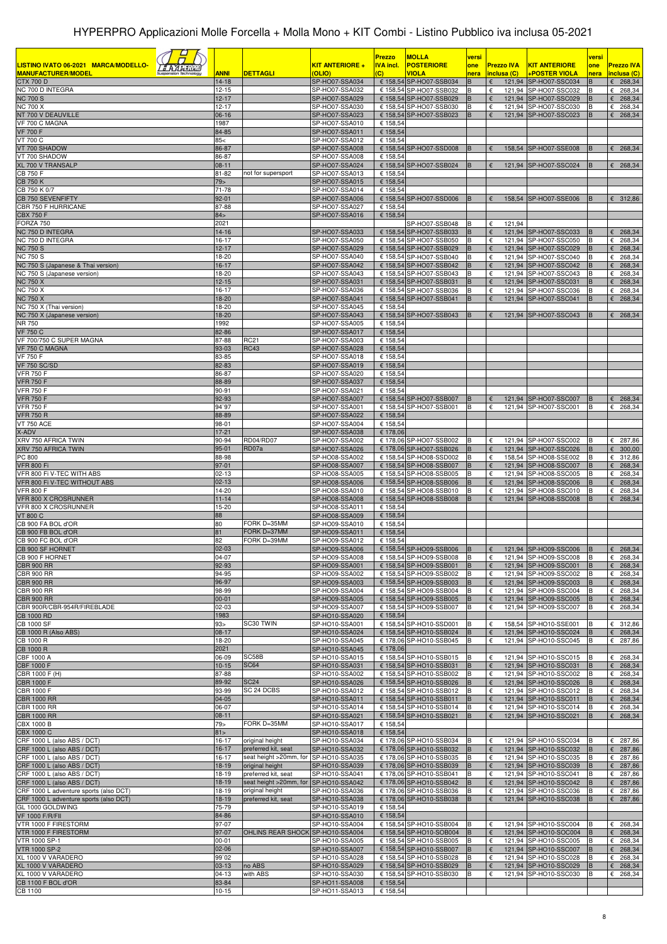|                                                                       |                        |                                           |                                  | <b>Prezzo</b>        | <b>MOLLA</b>                                       | versi     |        |                   |                                                | versi  |                            |
|-----------------------------------------------------------------------|------------------------|-------------------------------------------|----------------------------------|----------------------|----------------------------------------------------|-----------|--------|-------------------|------------------------------------------------|--------|----------------------------|
| LISTINO IVATO 06-2021 MARCA/MODELLO-                                  |                        |                                           | KIT ANTERIORE +                  | <b>IVA incl.</b>     | <b>POSTERIORE</b>                                  | one       |        | <b>Prezzo IVA</b> | <b>KIT ANTERIORE</b>                           | one    | <b>Prezzo IVA</b>          |
| <b>MANUFACTURER/MODEL</b><br><b>CTX 700 D</b>                         | <b>ANNI</b><br>$14-18$ | <b>DETTAGLI</b>                           | (OLIO)<br>SP-HO07-SSA034         | $\overline{c}$       | VIOLA<br>€ 158,54 SP-HO07-SSB034                   | nera<br>в | €      | inclusa (C)       | +POSTER VIOLA<br>121,94 SP-HO07-SSC034         | nera   | inclusa (C)<br>$E$ 268,34  |
| NC 700 D INTEGRA                                                      | $12 - 15$              |                                           | SP-HO07-SSA032                   |                      | € 158,54 SP-HO07-SSB032                            | в         |        |                   | 121,94 SP-HO07-SSC032                          |        | 268,34<br>€                |
| <b>NC 700 S</b>                                                       | 12-17                  |                                           | SP-HO07-SSA029                   |                      | € 158,54 SP-HO07-SSB029                            | B         |        |                   | 121,94 SP-HO07-SSC029                          |        | 268,34<br>€                |
| <b>NC 700 X</b>                                                       | $12 - 17$              |                                           | SP-HO07-SSA030                   |                      | € 158,54 SP-HO07-SSB030                            | B         | €      |                   | 121,94 SP-HO07-SSC030                          |        | €<br>268,34                |
| NT 700 V DEAUVILLE                                                    | 06-16                  |                                           | SP-HO07-SSA023                   |                      | € 158,54 SP-HO07-SSB023                            | B         | €      |                   | 121,94 SP-HO07-SSC023                          |        | 268,34<br>€                |
| VF 700 C MAGNA<br><b>VF 700 F</b>                                     | 1987<br>84-85          |                                           | SP-HO07-SSA010<br>SP-HO07-SSA011 | € 158,54<br>€ 158,54 |                                                    |           |        |                   |                                                |        |                            |
| VT 700 C                                                              | 85<                    |                                           | SP-HO07-SSA012                   | € 158,54             |                                                    |           |        |                   |                                                |        |                            |
| VT 700 SHADOW                                                         | 86-87                  |                                           | SP-HO07-SSA008                   |                      | € 158,54 SP-HO07-SSD008                            | B         |        |                   | 158,54 SP-HO07-SSE008                          |        | 268,34<br>€                |
| VT 700 SHADOW                                                         | 86-87                  |                                           | SP-HO07-SSA008                   | € 158,54             |                                                    |           |        |                   |                                                |        |                            |
| XL 700 V TRANSALP<br><b>CB 750 F</b>                                  | $08 - 11$<br>81-82     | not for supersport                        | SP-HO07-SSA024<br>SP-HO07-SSA013 | € 158,54             | € 158,54 SP-HO07-SSB024                            | B         | €      |                   | 121,94 SP-HO07-SSC024                          | в      | 268,34<br>€                |
| <b>CB 750 K</b>                                                       | 79 <sub>&gt;</sub>     |                                           | SP-HO07-SSA015                   | € 158,54             |                                                    |           |        |                   |                                                |        |                            |
| CB 750 K 0/7                                                          | 71-78                  |                                           | SP-HO07-SSA014                   | € 158,54             |                                                    |           |        |                   |                                                |        |                            |
| CB 750 SEVENFIFTY                                                     | $92 - 01$              |                                           | SP-HO07-SSA006                   |                      | € 158,54 SP-HO07-SSD006                            | B         | €      |                   | 158,54 SP-HO07-SSE006                          | в      | 6312,86                    |
| CBR 750 F HURRICANE<br><b>CBX 750 F</b>                               | 87-88                  |                                           | SP-HO07-SSA027                   | € 158,54             |                                                    |           |        |                   |                                                |        |                            |
| FORZA 750                                                             | 84 ><br>2021           |                                           | SP-HO07-SSA016                   | € 158,54             | SP-HO07-SSB048                                     | B         | €      | 121,94            |                                                |        |                            |
| NC 750 D INTEGRA                                                      | 14-16                  |                                           | SP-HO07-SSA033                   |                      | € 158,54 SP-HO07-SSB033                            | в         | €      |                   | 121,94 SP-HO07-SSC033                          | B      | 268,34<br>€                |
| NC 750 D INTEGRA                                                      | 16-17                  |                                           | SP-HO07-SSA050                   |                      | € 158,54 SP-HO07-SSB050                            | B         | €      |                   | 121,94 SP-HO07-SSC050                          | в      | 268,34<br>€                |
| <b>NC 750 S</b>                                                       | $12 - 17$              |                                           | SP-HO07-SSA029                   |                      | € 158,54 SP-HO07-SSB029                            | B         | €      |                   | 121,94 SP-HO07-SSC029                          |        | 268,34<br>€                |
| <b>NC 750 S</b><br>NC 750 S (Japanese & Thai version)                 | 18-20<br>$16-17$       |                                           | SP-HO07-SSA040<br>SP-HO07-SSA042 |                      | € 158,54 SP-HO07-SSB040<br>€ 158,54 SP-HO07-SSB042 | В<br>B    | €<br>€ | 121,94            | 121.94 SP-HO07-SSC040<br>SP-HO07-SSC042        | в      | 268,34<br>€<br>268,34<br>€ |
| NC 750 S (Japanese version)                                           | 18-20                  |                                           | SP-HO07-SSA043                   |                      | € 158,54 SP-HO07-SSB043                            | В         | €      |                   | 121,94 SP-HO07-SSC043                          |        | 268,34<br>€                |
| <b>NC 750 X</b>                                                       | $12 - 15$              |                                           | SP-HO07-SSA031                   |                      | € 158,54 SP-HO07-SSB031                            | B         | €      |                   | 121,94 SP-HO07-SSC031                          |        | 268,34<br>€                |
| <b>NC 750 X</b>                                                       | 16-17                  |                                           | SP-HO07-SSA036                   |                      | € 158,54 SP-HO07-SSB036                            | В         | €      |                   | 121.94 SP-HO07-SSC036                          | В      | €<br>268,34                |
| <b>NC 750 X</b><br>NC 750 X (Thai version)                            | 18-20<br>18-20         |                                           | SP-HO07-SSA041<br>SP-HO07-SSA045 | € 158,54             | € 158,54 SP-HO07-SSB041                            | B         | €      |                   | 121,94 SP-HO07-SSC041                          | B      | 268,34<br>€                |
| NC 750 X (Japanese version)                                           | 18-20                  |                                           | SP-HO07-SSA043                   |                      | € 158,54 SP-HO07-SSB043                            | B         | €      |                   | 121,94 SP-HO07-SSC043                          |        | $E$ 268,34                 |
| NR 750                                                                | 1992                   |                                           | SP-HO07-SSA005                   | € 158,54             |                                                    |           |        |                   |                                                |        |                            |
| <b>VF 750 C</b>                                                       | 82-86                  |                                           | SP-HO07-SSA017                   | € 158,54             |                                                    |           |        |                   |                                                |        |                            |
| VF 700/750 C SUPER MAGNA<br>VF 750 C MAGNA                            | 87-88<br>93-03         | RC21<br><b>RC43</b>                       | SP-HO07-SSA003<br>SP-HO07-SSA028 | € 158,54<br>€ 158,54 |                                                    |           |        |                   |                                                |        |                            |
| <b>VF 750 F</b>                                                       | 83-85                  |                                           | SP-HO07-SSA018                   | € 158,54             |                                                    |           |        |                   |                                                |        |                            |
| <b>VF 750 SC/SD</b>                                                   | 82-83                  |                                           | SP-HO07-SSA019                   | € 158,54             |                                                    |           |        |                   |                                                |        |                            |
| <b>VFR 750 F</b>                                                      | 86-87                  |                                           | SP-HO07-SSA020                   | € 158,54             |                                                    |           |        |                   |                                                |        |                            |
| <b>VFR 750 F</b>                                                      | 88-89                  |                                           | SP-HO07-SSA037                   | € 158,54             |                                                    |           |        |                   |                                                |        |                            |
| <b>VFR 750 F</b><br><b>VFR 750 F</b>                                  | 90-91<br>92-93         |                                           | SP-HO07-SSA021<br>SP-HO07-SSA007 | € 158,54             | € 158,54 SP-HO07-SSB007                            | B         |        |                   | 121,94 SP-HO07-SSC007                          | B      | 268,34<br>€                |
| <b>VFR 750 F</b>                                                      | 94`97                  |                                           | SP-HO07-SSA001                   |                      | € 158,54 SP-HO07-SSB001                            | B         | €      |                   | 121,94 SP-HO07-SSC001                          | в      | 268,34<br>€                |
| <b>VFR 750 R</b>                                                      | 88-89                  |                                           | SP-HO07-SSA022                   | € 158,54             |                                                    |           |        |                   |                                                |        |                            |
| <b>VT 750 ACE</b>                                                     | 98-01                  |                                           | SP-HO07-SSA004                   | € 158,54             |                                                    |           |        |                   |                                                |        |                            |
| X-ADV<br>XRV 750 AFRICA TWIN                                          | $17 - 21$<br>90-94     | <b>RD04/RD07</b>                          | SP-HO07-SSA038<br>SP-HO07-SSA002 | € 178,06             |                                                    |           | €      |                   |                                                |        | €                          |
| XRV 750 AFRICA TWIN                                                   | $95 - 01$              | RD07a                                     | SP-HO07-SSA026                   |                      | € 178,06 SP-HO07-SSB002<br>€ 178,06 SP-HO07-SSB026 | B         |        |                   | 121,94 SP-HO07-SSC002<br>121,94 SP-HO07-SSC026 |        | 287,86<br>300,00<br>€      |
| PC 800                                                                | 88-98                  |                                           | SP-HO08-SSA002                   |                      | € 158,54 SP-HO08-SSD002                            | B         | €      |                   | 158,54 SP-HO08-SSE002                          | в      | €<br>312,86                |
| <b>VFR 800 Fi</b>                                                     | $97 - 01$              |                                           | SP-HO08-SSA007                   |                      | € 158,54 SP-HO08-SSB007                            | в         | €      |                   | 121,94 SP-HO08-SSC007                          |        | 268,34<br>€                |
| VFR 800 Fi V-TEC WITH ABS<br>VFR 800 Fi V-TEC WITHOUT ABS             | $02 - 13$<br>$02 - 13$ |                                           | SP-HO08-SSA005<br>SP-HO08-SSA006 |                      | € 158,54 SP-HO08-SSB005<br>€ 158,54 SP-HO08-SSB006 | B         | €<br>€ |                   | 121,94 SP-HO08-SSC005<br>121,94 SP-HO08-SSC006 |        | €<br>268,34<br>268,34<br>€ |
| <b>VFR 800 F</b>                                                      | 14-20                  |                                           | SP-HO08-SSA010                   |                      | € 158,54 SP-HO08-SSB010                            | B         | €      |                   | 121.94 SP-HO08-SSC010                          |        | 268,34<br>€                |
| VFR 800 X CROSRUNNER                                                  | $11 - 14$              |                                           | SP-HO08-SSA008                   |                      | € 158,54 SP-HO08-SSB008                            | B         | €      |                   | 121,94 SP-HO08-SSC008                          |        | 268,34<br>€                |
| VFR 800 X CROSRUNNER                                                  | 15-20                  |                                           | SP-HO08-SSA011                   | € 158,54             |                                                    |           |        |                   |                                                |        |                            |
| <b>VT 800 C</b>                                                       | 88                     |                                           | SP-HO08-SSA009                   | € 158,54             |                                                    |           |        |                   |                                                |        |                            |
| CB 900 FA BOL d'OR<br>CB 900 FB BOL d'OR                              | 80<br>81               | FORK D=35MM<br>FORK D=37MM                | SP-HO09-SSA010<br>SP-HO09-SSA011 | € 158,54<br>€ 158,54 |                                                    |           |        |                   |                                                |        |                            |
| CB 900 FC BOL d'OR                                                    | 82                     | FORK D=39MM                               | SP-HO09-SSA012                   | € 158,54             |                                                    |           |        |                   |                                                |        |                            |
| CB 900 SF HORNET                                                      | $02 - 03$              |                                           | SP-HO09-SSA006                   |                      | € 158,54 SP-HO09-SSB006                            | B         | €      |                   | 121,94 SP-HO09-SSC006                          | B      | 268,34<br>€                |
| CB 900 F HORNET                                                       | 04-07                  |                                           | SP-HO09-SSA008                   |                      | € 158,54 SP-HO09-SSB008                            | IΒ        | €      |                   | 121,94 SP-HO09-SSC008                          | IB.    | $E$ 268,34                 |
| <b>CBR 900 RR</b><br><b>CBR 900 RR</b>                                | 92-93<br>94-95         |                                           | SP-HO09-SSA001<br>SP-HO09-SSA002 |                      | € 158,54 SP-HO09-SSB001<br>€ 158,54 SP-HO09-SSB002 | B<br>B    | €<br>€ |                   | 121,94 SP-HO09-SSC001<br>121,94 SP-HO09-SSC002 | B<br>в | €<br>268,34<br>€<br>268,34 |
| <b>CBR 900 RR</b>                                                     | 96-97                  |                                           | SP-HO09-SSA003                   |                      | € 158,54 SP-HO09-SSB003                            | B         |        |                   | 121,94 SP-HO09-SSC003                          | B      | 268,34<br>€                |
| <b>CBR 900 RR</b>                                                     | 98-99                  |                                           | SP-HO09-SSA004                   |                      | € 158,54 SP-HO09-SSB004                            | B         | €      |                   | 121,94 SP-HO09-SSC004                          | в      | 268,34<br>€                |
| <b>CBR 900 RR</b>                                                     | $00 - 01$              |                                           | SP-HO09-SSA005                   |                      | € 158,54 SP-HO09-SSB005                            | В         | €      |                   | 121,94 SP-HO09-SSC005                          | B      | 268,34<br>€                |
| CBR 900R/CBR-954R/FIREBLADE<br><b>CB 1000 RD</b>                      | 02-03<br>1983          |                                           | SP-HO09-SSA007                   | € 158,54             | € 158,54 SP-HO09-SSB007                            | B         | €      |                   | 121,94 SP-HO09-SSC007                          | в      | €<br>268,34                |
| CB 1000 SF                                                            | 93 >                   | SC30 TWIN                                 | SP-HO10-SSA020<br>SP-HO10-SSA001 |                      | € 158,54 SP-HO10-SSD001                            | B         | €      |                   | 158,54 SP-HO10-SSE001                          | В      | € 312,86                   |
| CB 1000 R (Also ABS)                                                  | $08-17$                |                                           | SP-HO10-SSA024                   |                      | € 158,54 SP-HO10-SSB024                            | в         | €      |                   | 121,94 SP-HO10-SSC024                          | в      | $\epsilon$ 268,34          |
| CB 1000 R                                                             | 18-20                  |                                           | SP-HO10-SSA045                   |                      | € 178,06 SP-HO10-SSB045                            | B         | €      |                   | 121,94 SP-HO10-SSC045                          | в      | € 287,86                   |
| CB 1000 R                                                             | 2021                   | SC58B                                     | SP-HO10-SSA045                   | € 178,06             |                                                    |           |        |                   |                                                |        |                            |
| <b>CBF 1000 A</b><br><b>CBF 1000 F</b>                                | 06-09<br>$10-15$       | <b>SC64</b>                               | SP-HO10-SSA015<br>SP-HO10-SSA031 |                      | € 158,54 SP-HO10-SSB015<br>€ 158,54 SP-HO10-SSB031 | B<br>B    | €<br>€ |                   | 121,94 SP-HO10-SSC015<br>121,94 SP-HO10-SSC031 | B      | 268,34<br>€<br>268,34<br>€ |
| CBR 1000 F (H)                                                        | 87-88                  |                                           | SP-HO10-SSA002                   |                      | € 158,54 SP-HO10-SSB002                            | В         | €      |                   | 121,94 SP-HO10-SSC002                          | В      | $E$ 268,34                 |
| <b>CBR 1000 F</b>                                                     | 89-92                  | <b>SC24</b>                               | SP-HO10-SSA026                   |                      | € 158,54 SP-HO10-SSB026                            | в         | €      |                   | 121,94 SP-HO10-SSC026                          |        | 268,34<br>€                |
| CBR 1000 F<br><b>CBR 1000 RR</b>                                      | 93-99                  | SC 24 DCBS                                | SP-HO10-SSA012                   |                      | € 158,54 SP-HO10-SSB012                            | В         | €      |                   | 121,94 SP-HO10-SSC012                          | в      | $E$ 268,34                 |
| <b>CBR 1000 RR</b>                                                    | 04-05<br>06-07         |                                           | SP-HO10-SSA011<br>SP-HO10-SSA014 |                      | € 158,54 SP-HO10-SSB011<br>€ 158,54 SP-HO10-SSB014 | B<br>В    | €<br>€ |                   | 121,94 SP-HO10-SSC011<br>121,94 SP-HO10-SSC014 | в<br>в | 268,34<br>€<br>$E$ 268,34  |
| <b>CBR 1000 RR</b>                                                    | $08 - 11$              |                                           | SP-HO10-SSA021                   |                      | € 158,54 SP-HO10-SSB021                            |           | €      |                   | 121,94 SP-HO10-SSC021                          | B      | 268,34<br>€                |
| <b>CBX 1000 B</b>                                                     | 79>                    | FORK D=35MM                               | SP-HO10-SSA017                   | € 158,54             |                                                    |           |        |                   |                                                |        |                            |
| <b>CBX 1000 C</b>                                                     | 81 >                   |                                           | SP-HO10-SSA018                   | € 158,54             |                                                    |           |        |                   |                                                |        |                            |
| CRF 1000 L (also ABS / DCT)<br>CRF 1000 L (also ABS / DCT)            | 16-17<br>16-17         | original height<br>preferred kit, seat    | SP-HO10-SSA034<br>SP-HO10-SSA032 |                      | € 178,06 SP-HO10-SSB034<br>€ 178,06 SP-HO10-SSB032 | В         | €      |                   | 121,94 SP-HO10-SSC034<br>121,94 SP-HO10-SSC032 |        | € 287,86<br>287,86<br>€    |
| CRF 1000 L (also ABS / DCT)                                           | 16-17                  | seat height >20mm, for                    | SP-HO10-SSA035                   |                      | € 178,06 SP-HO10-SSB035                            | В         | €      |                   | 121,94 SP-HO10-SSC035                          | в      | 287,86<br>€                |
| CRF 1000 L (also ABS / DCT)                                           | 18-19                  | original height                           | SP-HO10-SSA039                   |                      | € 178,06 SP-HO10-SSB039                            | B         | €      |                   | 121,94 SP-HO10-SSC039                          | B      | $E$ 287,86                 |
| CRF 1000 L (also ABS / DCT)                                           | 18-19                  | preferred kit, seat                       | SP-HO10-SSA041                   |                      | € 178,06 SP-HO10-SSB041                            | в         | €      |                   | 121,94 SP-HO10-SSC041                          | в      | 287,86<br>€                |
| CRF 1000 L (also ABS / DCT)<br>CRF 1000 L adventure sports (also DCT) | 18-19<br>18-19         | seat height >20mm, for<br>original height | SP-HO10-SSA042<br>SP-HO10-SSA036 |                      | € 178,06 SP-HO10-SSB042<br>€ 178,06 SP-HO10-SSB036 | В<br>В    | €      |                   | 121,94 SP-HO10-SSC042<br>121,94 SP-HO10-SSC036 | В<br>В | €<br>287,86<br>€ 287,86    |
| CRF 1000 L adventure sports (also DCT)                                | 18-19                  | preferred kit, seat                       | SP-HO10-SSA038                   |                      | € 178,06 SP-HO10-SSB038                            | B         |        |                   | 121,94 SP-HO10-SSC038                          | B.     | 6287,86                    |
| GL 1000 GOLDWING                                                      | 75-79                  |                                           | SP-HO10-SSA019                   | € 158,54             |                                                    |           |        |                   |                                                |        |                            |
| <b>VF 1000 F/R/FII</b>                                                | 84-86                  |                                           | SP-HO10-SSA010                   | € 158,54             |                                                    |           |        |                   |                                                |        |                            |
| VTR 1000 F FIRESTORM                                                  | 97-07                  |                                           | SP-HO10-SSA004                   |                      | € 158,54 SP-HO10-SSB004                            | В         | €      |                   | 121,94 SP-HO10-SSC004                          | В      | $E$ 268,34                 |
| VTR 1000 F FIRESTORM<br>VTR 1000 SP-1                                 | 97-07<br>$00 - 01$     | OHLINS REAR SHOCK SP-HO10-SSA004          | SP-HO10-SSA005                   |                      | € 158,54 SP-HO10-SOB004<br>€ 158,54 SP-HO10-SSB005 | B<br>В    | €<br>€ |                   | 121,94 SP-HO10-SOC004<br>121,94 SP-HO10-SSC005 | B<br>в | 268,34<br>€<br>€<br>268,34 |
| <b>VTR 1000 SP-2</b>                                                  | $02 - 06$              |                                           | SP-HO10-SSA007                   |                      | € 158,54 SP-HO10-SSB007                            | B         | €      |                   | 121,94 SP-HO10-SSC007                          | B      | 268,34<br>€                |
| XL 1000 V VARADERO                                                    | 99'02                  |                                           | SP-HO10-SSA028                   |                      | € 158,54 SP-HO10-SSB028                            |           | €      |                   | 121,94 SP-HO10-SSC028                          | B      | 268,34<br>€                |
| XL 1000 V VARADERO                                                    | $03-13$                | no ABS                                    | SP-HO10-SSA029                   |                      | € 158,54 SP-HO10-SSB029                            | B         |        |                   | 121,94 SP-HO10-SSC029                          | в      | 268,34<br>€                |
| XL 1000 V VARADERO<br>CB 1100 F BOL d'OR                              | $04-13$<br>83-84       | with ABS                                  | SP-HO10-SSA030<br>SP-HO11-SSA008 | € 158,54             | € 158,54 SP-HO10-SSB030                            | B         | €      |                   | 121,94 SP-HO10-SSC030                          | B      | $E$ 268,34                 |
| CB 1100                                                               | $10-15$                |                                           | SP-HO11-SSA013                   | € 158,54             |                                                    |           |        |                   |                                                |        |                            |
|                                                                       |                        |                                           |                                  |                      |                                                    |           |        |                   |                                                |        |                            |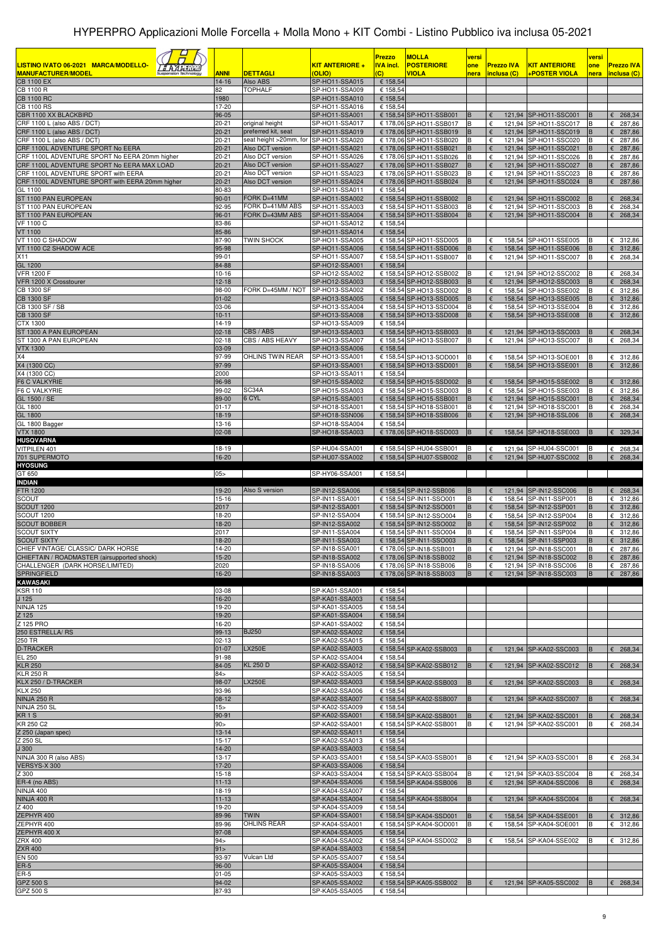|                                                                                         |                        |                                      |                                  | <b>Prezzo</b>                      | <b>MOLLA</b>                                       | versi       |                                  |                                                | versi       |                                  |
|-----------------------------------------------------------------------------------------|------------------------|--------------------------------------|----------------------------------|------------------------------------|----------------------------------------------------|-------------|----------------------------------|------------------------------------------------|-------------|----------------------------------|
| LISTINO IVATO 06-2021 MARCA/MODELLO-<br><u>'s Alderium</u><br><b>MANUFACTURER/MODEL</b> | <b>ANNI</b>            | <b>DETTAGLI</b>                      | KIT ANTERIORE +<br><b>OLIO)</b>  | <b>IVA incl.</b><br>$\overline{c}$ | <b>POSTERIORE</b><br><b>VIOLA</b>                  | one<br>nera | <b>Prezzo IVA</b><br>inclusa (C) | <b>KIT ANTERIORE</b><br>+POSTER VIOLA          | one<br>nera | <b>Prezzo IVA</b><br>inclusa (C) |
| <b>CB 1100 EX</b>                                                                       | $14 - 16$              | Also ABS                             | SP-HO11-SSA015                   | € 158,54                           |                                                    |             |                                  |                                                |             |                                  |
| CB 1100 R<br><b>CB 1100 RC</b>                                                          | 82<br>1980             | TOPHALF                              | SP-HO11-SSA009<br>SP-HO11-SSA010 | € 158,54<br>€ 158,54               |                                                    |             |                                  |                                                |             |                                  |
| <b>CB 1100 RS</b>                                                                       | 17-20                  |                                      | SP-HO11-SSA016                   | € 158,54                           |                                                    |             |                                  |                                                |             |                                  |
| CBR 1100 XX BLACKBIRD<br>CRF 1100 L (also ABS / DCT)                                    | 96-05<br>$20 - 21$     | original height                      | SP-HO11-SSA001<br>SP-HO11-SSA017 |                                    | € 158,54 SP-HO11-SSB001<br>€ 178,06 SP-HO11-SSB017 | B           | €<br>€                           | 121,94 SP-HO11-SSC001<br>121,94 SP-HO11-SSC017 | B           | $E$ 268,34<br>287,86<br>€        |
| CRF 1100 L (also ABS / DCT)                                                             | $20 - 21$              | preferred kit, seat                  | SP-HO11-SSA019                   |                                    | € 178,06 SP-HO11-SSB019                            | B           |                                  | 121,94 SP-HO11-SSC019                          | В           | 287,86<br>€                      |
| CRF 1100 L (also ABS / DCT)                                                             | $20 - 21$              | seat height >20mm, for               | SP-HO11-SSA020                   |                                    | € 178,06 SP-HO11-SSB020                            | B           | €                                | 121,94 SP-HO11-SSC020                          |             | 287,86<br>€                      |
| CRF 1100L ADVENTURE SPORT No EERA<br>CRF 1100L ADVENTURE SPORT No EERA 20mm higher      | $20 - 21$<br>$20 - 21$ | Also DCT version<br>Also DCT version | SP-HO11-SSA021<br>SP-HO11-SSA026 |                                    | € 178,06 SP-HO11-SSB021<br>€ 178,06 SP-HO11-SSB026 | B<br>B      | €                                | 121,94 SP-HO11-SSC021<br>121,94 SP-HO11-SSC026 | B           | 287,86<br>€<br>287,86<br>€       |
| CRF 1100L ADVENTURE SPORT No EERA MAX LOAD                                              | $20 - 21$              | Also DCT version                     | SP-HO11-SSA027                   |                                    | € 178,06 SP-HO11-SSB027                            | B           |                                  | 121,94 SP-HO11-SSC027                          |             | 287,86<br>€                      |
| CRF 1100L ADVENTURE SPORT with EERA<br>CRF 1100L ADVENTURE SPORT with EERA 20mm higher  | $20 - 21$<br>$20 - 21$ | Also DCT version<br>Also DCT version | SP-HO11-SSA023<br>SP-HO11-SSA024 |                                    | € 178,06 SP-HO11-SSB023<br>€ 178,06 SP-HO11-SSB024 | B<br>B      | €<br>€                           | 121,94 SP-HO11-SSC023<br>121,94 SP-HO11-SSC024 |             | 287,86<br>€<br>287,86<br>€       |
| GL 1100                                                                                 | 80-83                  |                                      | SP-HO11-SSA011                   | € 158,54                           |                                                    |             |                                  |                                                |             |                                  |
| ST 1100 PAN EUROPEAN                                                                    | $90 - 01$              | FORK D=41MM<br>FORK D=41MM ABS       | SP-HO11-SSA002                   |                                    | € 158,54 SP-HO11-SSB002<br>€ 158,54 SP-HO11-SSB003 |             | €                                | 121,94 SP-HO11-SSC002                          |             | 268,34<br>€<br>€                 |
| ST 1100 PAN EUROPEAN<br>ST 1100 PAN EUROPEAN                                            | 92-95<br>96-01         | FORK D=43MM ABS                      | SP-HO11-SSA003<br>SP-HO11-SSA004 |                                    | € 158,54 SP-HO11-SSB004                            | B<br>B      | €                                | 121,94 SP-HO11-SSC003<br>121,94 SP-HO11-SSC004 | в<br>B      | 268,34<br>268,34<br>€            |
| <b>VF 1100 C</b>                                                                        | 83-86                  |                                      | SP-HO11-SSA012                   | € 158,54                           |                                                    |             |                                  |                                                |             |                                  |
| <b>VT 1100</b><br>VT 1100 C SHADOW                                                      | 85-86<br>87-90         | TWIN SHOCK                           | SP-HO11-SSA014<br>SP-HO11-SSA005 | € 158,54                           | € 158,54 SP-HO11-SSD005                            | B           | €                                | 158,54 SP-HO11-SSE005                          | в           | $E$ 312,86                       |
| VT 1100 C2 SHADOW ACE                                                                   | 95-98                  |                                      | SP-HO11-SSA006                   |                                    | € 158,54 SP-HO11-SSD006                            |             | €                                | 158,54 SP-HO11-SSE006                          |             | 312,86<br>€                      |
| X11<br>GL 1200                                                                          | 99-01<br>84-88         |                                      | SP-HO11-SSA007<br>SP-HO12-SSA001 | € 158,54                           | € 158,54 SP-HO11-SSB007                            | B           | €                                | 121,94 SP-HO11-SSC007                          | в           | 268,34<br>€                      |
| <b>VFR 1200 F</b>                                                                       | $10 - 16$              |                                      | SP-HO12-SSA002                   |                                    | € 158,54 SP-HO12-SSB002                            | В           | €                                | 121,94 SP-HO12-SSC002                          |             | 268,34<br>€                      |
| VFR 1200 X Crosstourer                                                                  | $12 - 18$              |                                      | SP-HO12-SSA003                   |                                    | € 158,54 SP-HO12-SSB003                            | B           | €                                | 121,94 SP-HO12-SSC003                          |             | 268,34<br>€                      |
| <b>CB 1300 SF</b><br><b>CB 1300 SF</b>                                                  | 98-00<br>$01 - 02$     | FORK D=45MM / NOT                    | SP-HO13-SSA002<br>SP-HO13-SSA005 |                                    | € 158,54 SP-HO13-SSD002<br>€ 158,54 SP-HO13-SSD005 | B<br>в      | €<br>€                           | 158,54 SP-HO13-SSE002<br>158,54 SP-HO13-SSE005 | В           | €<br>312,86<br>312,86<br>€       |
| CB 1300 SF / SB                                                                         | 03-06                  |                                      | SP-HO13-SSA004                   |                                    | € 158,54 SP-HO13-SSD004                            | В           | €                                | 158,54 SP-HO13-SSE004                          | в           | € 312,86                         |
| <b>CB 1300 SF</b><br>CTX 1300                                                           | $10 - 11$<br>14-19     |                                      | SP-HO13-SSA008<br>SP-HO13-SSA009 | € 158,54                           | € 158,54 SP-HO13-SSD008                            | B           | €                                | 158,54 SP-HO13-SSE008                          |             | 312,86<br>€                      |
| ST 1300 A PAN EUROPEAN                                                                  | $02 - 18$              | CBS / ABS                            | SP-HO13-SSA003                   |                                    | € 158,54 SP-HO13-SSB003                            | В           | €                                | 121,94 SP-HO13-SSC003                          |             | $E$ 268,34                       |
| ST 1300 A PAN EUROPEAN                                                                  | $02 - 18$              | CBS / ABS HEAVY                      | SP-HO13-SSA007                   |                                    | € 158,54 SP-HO13-SSB007                            | B           | €                                | 121,94 SP-HO13-SSC007                          | В           | 268,34<br>€                      |
| <b>VTX 1300</b><br>X4                                                                   | 03-09<br>97-99         | OHLINS TWIN REAR                     | SP-HO13-SSA006<br>SP-HO13-SSA001 | € 158,54                           | € 158,54 SP-HO13-SOD001                            | В           | €                                | 158,54 SP-HO13-SOE001                          |             | € 312,86                         |
| X4 (1300 CC)                                                                            | 97-99                  |                                      | SP-HO13-SSA001                   |                                    | € 158,54 SP-HO13-SSD001                            |             | €                                | 158,54 SP-HO13-SSE001                          |             | €<br>312,86                      |
| X4 (1300 CC)<br><b>F6 C VALKYRIE</b>                                                    | 2000<br>96-98          |                                      | SP-HO13-SSA011<br>SP-HO15-SSA002 | € 158,54                           | € 158,54 SP-HO15-SSD002                            | в           | €                                | 158,54 SP-HO15-SSE002                          |             | € 312,86                         |
| <b>F6 C VALKYRIE</b>                                                                    | 99-02                  | SC34A                                | SP-HO15-SSA003                   |                                    | € 158,54 SP-HO15-SSD003                            | в           | €                                | 158,54 SP-HO15-SSE003                          | в           | 312,86<br>€                      |
| GL 1500 / SE                                                                            | 89-00                  | 6 CYL                                | SP-HO15-SSA001                   |                                    | € 158,54 SP-HO15-SSB001                            | B           | €                                | 121,94 SP-HO15-SSC001                          |             | 268,34<br>€                      |
| GL 1800<br>GL 1800                                                                      | $01 - 17$<br>18-19     |                                      | SP-HO18-SSA001<br>SP-HO18-SSN006 |                                    | € 158,54 SP-HO18-SSB001<br>€ 158,54 SP-HO18-SSB006 | В<br>B      |                                  | 121,94 SP-HO18-SSC001<br>121,94 SP-HO18-SSL006 | в           | 268,34<br>€<br>268,34<br>€       |
| GL 1800 Bagger                                                                          | 13-16                  |                                      | SP-HO18-SSA004                   | € 158,54                           |                                                    |             |                                  |                                                |             |                                  |
| <b>VTX 1800</b><br><b>HUSQVARNA</b>                                                     | $02 - 08$              |                                      | SP-HO18-SSA003                   |                                    | € 178,06 SP-HO18-SSD003                            | <b>B</b>    | €                                | 158,54 SP-HO18-SSE003                          | B           | 6329,34                          |
| VITPILEN 401                                                                            | 18-19                  |                                      | SP-HU04-SSA001                   |                                    | € 158,54 SP-HU04-SSB001                            | B           | €                                | 121,94 SP-HU04-SSC001                          | <b>B</b>    | $\epsilon$ 268,34                |
| 701 SUPERMOTO<br><b>HYOSUNG</b>                                                         | 16-20                  |                                      | SP-HU07-SSA002                   |                                    | € 158,54 SP-HU07-SSB002                            | B           | €                                | 121,94 SP-HU07-SSC002                          | B           | $\epsilon$ 268,34                |
| GT 650                                                                                  | 05 >                   |                                      | SP-HY06-SSA001                   | € 158,54                           |                                                    |             |                                  |                                                |             |                                  |
| <b>INDIAN</b>                                                                           |                        |                                      |                                  |                                    |                                                    |             |                                  |                                                |             |                                  |
| <b>FTR 1200</b><br><b>SCOUT</b>                                                         | 19-20<br>15-16         | Also S version                       | SP-IN12-SSA006<br>SP-IN11-SSA001 |                                    | € 158,54 SP-IN12-SSB006<br>€ 158,54 SP-IN11-SSO001 | B<br>B      | €<br>€                           | 121,94 SP-IN12-SSC006<br>158,54 SP-IN11-SSP001 | В<br>В      | $E$ 268,34<br>€<br>312,86        |
| SCOUT 1200                                                                              | 2017                   |                                      | SP-IN12-SSA001                   |                                    | € 158,54 SP-IN12-SSO001                            | B           | €                                | 158,54 SP-IN12-SSP001                          |             | €<br>312,86                      |
| SCOUT 1200<br><b>SCOUT BOBBER</b>                                                       | 18-20<br>18-20         |                                      | SP-IN12-SSA004<br>SP-IN12-SSA002 |                                    | € 158,54 SP-IN12-SSO004<br>€ 158,54 SP-IN12-SSO002 | в<br>B      | €<br>€                           | 158,54 SP-IN12-SSP004<br>158,54 SP-IN12-SSP002 | В           | € 312,86<br>312,86<br>€          |
| <b>SCOUT SIXTY</b>                                                                      | 2017                   |                                      | SP-IN11-SSA004                   |                                    | € 158,54 SP-IN11-SSO004                            | В           | €                                | 158,54 SP-IN11-SSP004                          | в           | 312,86<br>€                      |
| <b>SCOUT SIXTY</b>                                                                      | 18-20<br>14-20         |                                      | SP-IN11-SSA003<br>SP-IN18-SSA001 |                                    | € 158,54 SP-IN11-SSO003                            | В           | €                                | 158,54 SP-IN11-SSP003                          |             | 312,86<br>€                      |
| CHIEF VINTAGE/ CLASSIC/ DARK HORSE<br>CHIEFTAIN / ROADMASTER (airsupported shock)       | 15-20                  |                                      | SP-IN18-SSA002                   |                                    | € 178,06 SP-IN18-SSB001<br>€ 178,06 SP-IN18-SSB002 | B<br>IB.    | €<br>€                           | 121,94 SP-IN18-SSC001<br>121,94 SP-IN18-SSC002 | в<br>B      | € 287,86<br>€ 287,86             |
| CHALLENGER (DARK HORSE/LIMITED)                                                         | 2020                   |                                      | SP-IN18-SSA006                   |                                    | € 178,06 SP-IN18-SSB006                            | B           | €                                | 121,94 SP-IN18-SSC006                          | в           | € 287,86                         |
| <b>SPRINGFIELD</b><br><b>KAWASAKI</b>                                                   | 16-20                  |                                      | SP-IN18-SSA003                   |                                    | € 178,06 SP-IN18-SSB003                            |             |                                  | 121,94 SP-IN18-SSC003                          |             | $E$ 287,86                       |
| <b>KSR 110</b>                                                                          | 03-08                  |                                      | SP-KA01-SSA001                   | € 158,54                           |                                                    |             |                                  |                                                |             |                                  |
| J 125<br><b>NINJA 125</b>                                                               | 16-20<br>19-20         |                                      | SP-KA01-SSA003<br>SP-KA01-SSA005 | € 158,54<br>€ 158,54               |                                                    |             |                                  |                                                |             |                                  |
| Z 125                                                                                   | 19-20                  |                                      | SP-KA01-SSA004                   | € 158,54                           |                                                    |             |                                  |                                                |             |                                  |
| Z 125 PRO                                                                               | 16-20                  |                                      | SP-KA01-SSA002                   | € 158,54                           |                                                    |             |                                  |                                                |             |                                  |
| 250 ESTRELLA/RS<br>250 TR                                                               | 99-13<br>$02 - 13$     | <b>BJ250</b>                         | SP-KA02-SSA002<br>SP-KA02-SSA015 | € 158,54<br>€ 158,54               |                                                    |             |                                  |                                                |             |                                  |
| <b>D-TRACKER</b>                                                                        | $01 - 07$              | LX250E                               | SP-KA02-SSA003                   |                                    | € 158,54 SP-KA02-SSB003                            | В           |                                  | 121,94 SP-KA02-SSC003                          | в           | 268,34<br>€                      |
| EL 250<br><b>KLR 250</b>                                                                | 91-98<br>84-05         | KL 250 D                             | SP-KA02-SSA004<br>SP-KA02-SSA012 | € 158.54                           | € 158,54 SP-KA02-SSB012                            | B           |                                  | 121,94 SP-KA02-SSC012                          |             | $E$ 268,34                       |
| <b>KLR 250 R</b>                                                                        | 84 >                   |                                      | SP-KA02-SSA005                   | € 158.54                           |                                                    |             |                                  |                                                |             |                                  |
| KLX 250 / D-TRACKER                                                                     | 98-07                  | <b>LX250E</b>                        | SP-KA02-SSA003                   |                                    | € 158,54 SP-KA02-SSB003                            | B           | €                                | 121,94 SP-KA02-SSC003                          | в           | $E$ 268,34                       |
| <b>KLX 250</b><br><b>NINJA 250 R</b>                                                    | 93-96<br>$08-12$       |                                      | SP-KA02-SSA006<br>SP-KA02-SSA007 | € 158,54                           | € 158,54 SP-KA02-SSB007                            | B           |                                  | 121,94 SP-KA02-SSC007                          |             | $E$ 268,34                       |
| NINJA 250 SL                                                                            | 15 <sub>&gt;</sub>     |                                      | SP-KA02-SSA009                   | € 158,54                           |                                                    |             |                                  |                                                |             |                                  |
| KR <sub>1</sub> S<br>KR 250 C2                                                          | 90-91<br>90 >          |                                      | SP-KA02-SSA001<br>SP-KA02-SSA001 |                                    | € 158,54 SP-KA02-SSB001<br>€ 158,54 SP-KA02-SSB001 | В<br>B      | €                                | 121,94 SP-KA02-SSC001<br>121,94 SP-KA02-SSC001 |             | $E$ 268,34<br>268,34<br>€        |
| Z 250 (Japan spec)                                                                      | $13 - 14$              |                                      | SP-KA02-SSA011                   | € 158,54                           |                                                    |             |                                  |                                                |             |                                  |
| Z 250 SL<br>J 300                                                                       | $15 - 17$<br>14-20     |                                      | SP-KA02-SSA013<br>SP-KA03-SSA003 | € 158,54<br>€ 158,54               |                                                    |             |                                  |                                                |             |                                  |
| NINJA 300 R (also ABS)                                                                  | 13-17                  |                                      | SP-KA03-SSA001                   |                                    | € 158,54 SP-KA03-SSB001                            | B           | €                                | 121,94 SP-KA03-SSC001                          | в           | 268,34<br>€                      |
| VERSYS-X 300                                                                            | 17-20                  |                                      | SP-KA03-SSA006                   | € 158,54                           |                                                    |             |                                  |                                                |             |                                  |
| Z 300<br>ER-4 (no ABS)                                                                  | 15-18<br>11-13         |                                      | SP-KA03-SSA004<br>SP-KA04-SSA006 |                                    | € 158,54 SP-KA03-SSB004<br>€ 158,54 SP-KA04-SSB006 | B<br>B      | €<br>€                           | 121,94 SP-KA03-SSC004<br>121,94 SP-KA04-SSC006 | в<br>B      | $E$ 268,34<br>268,34<br>€        |
| <b>NINJA 400</b>                                                                        | 18-19                  |                                      | SP-KA04-SSA007                   | € 158,54                           |                                                    |             |                                  |                                                |             |                                  |
| <b>NINJA 400 R</b><br>Z 400                                                             | 11-13<br>19-20         |                                      | SP-KA04-SSA004<br>SP-KA04-SSA009 | € 158,54                           | € 158,54 SP-KA04-SSB004                            | B           |                                  | 121,94 SP-KA04-SSC004                          |             | $E$ 268,34                       |
| ZEPHYR 400                                                                              | 89-96                  | <b>TWIN</b>                          | SP-KA04-SSA001                   |                                    | € 158,54 SP-KA04-SSD001                            | B           | €                                | 158,54 SP-KA04-SSE001                          |             | 6312,86                          |
| ZEPHYR 400                                                                              | 89-96                  | OHLINS REAR                          | SP-KA04-SSA001                   |                                    | € 158,54 SP-KA04-SOD001                            | B           | €                                | 158,54 SP-KA04-SOE001                          | в           | € 312,86                         |
| ZEPHYR 400 X<br><b>ZRX 400</b>                                                          | 97-08<br>94 >          |                                      | SP-KA04-SSA005<br>SP-KA04-SSA002 | € 158,54                           | € 158,54 SP-KA04-SSD002                            | В           | €                                | 158,54 SP-KA04-SSE002                          |             | € 312,86                         |
| <b>ZXR 400</b>                                                                          | 91                     |                                      | SP-KA04-SSA003                   | € 158,54                           |                                                    |             |                                  |                                                |             |                                  |
| <b>EN 500</b><br>$ER-5$                                                                 | 93-97<br>96-00         | Vulcan Ltd                           | SP-KA05-SSA007<br>SP-KA05-SSA004 | € 158,54<br>€ 158,54               |                                                    |             |                                  |                                                |             |                                  |
| ER-5                                                                                    | $01 - 05$              |                                      | SP-KA05-SSA003                   | € 158,54                           |                                                    |             |                                  |                                                |             |                                  |
| <b>GPZ 500 S</b>                                                                        | 94-02                  |                                      | SP-KA05-SSA002                   |                                    | € 158,54 SP-KA05-SSB002                            | B           | €                                | 121,94 SP-KA05-SSC002                          | B           | $\epsilon$ 268,34                |
| GPZ 500 S                                                                               | 87-93                  |                                      | SP-KA05-SSA005                   | € 158,54                           |                                                    |             |                                  |                                                |             |                                  |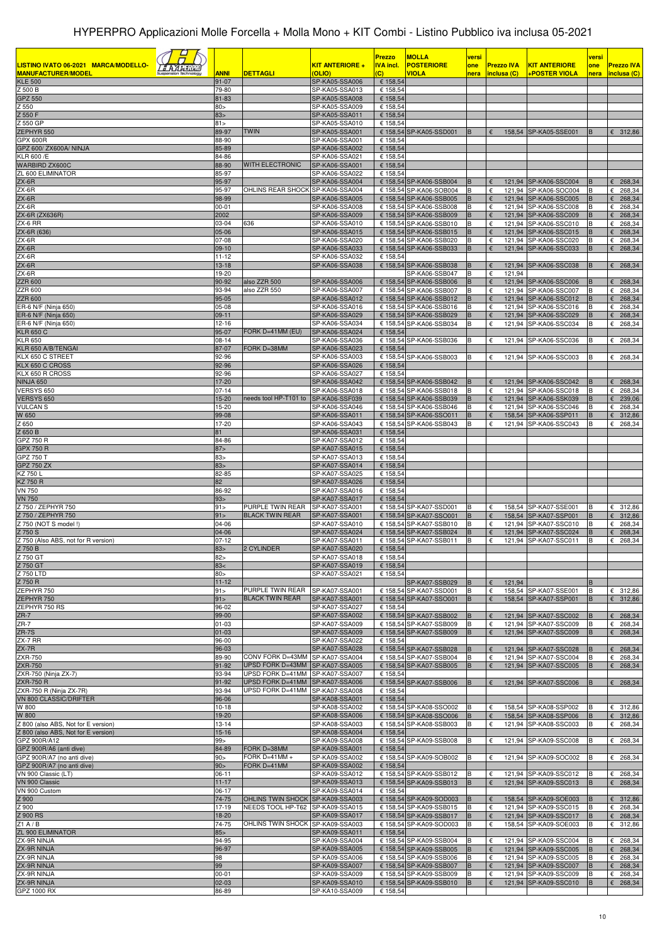|                                                 |                    |                                      |                                  | <b>Prezzo</b>        | <b>MOLLA</b>                                       | versi    |                 |                   |                                                | versi  |                            |
|-------------------------------------------------|--------------------|--------------------------------------|----------------------------------|----------------------|----------------------------------------------------|----------|-----------------|-------------------|------------------------------------------------|--------|----------------------------|
| LISTINO IVATO 06-2021 MARCA/MODELLO-<br>$BAA =$ |                    |                                      | KIT ANTERIORE +                  | <b>IVA incl.</b>     | <b>POSTERIORE</b>                                  | one      |                 | <b>Prezzo IVA</b> | <b>KIT ANTERIORE</b>                           | one    | <b>Prezzo IVA</b>          |
| <b>MANUFACTURER/MODEL</b>                       | <b>ANNI</b>        | <u>DETTAGLI</u>                      | <b>(OLIO)</b>                    | $\overline{c}$       | <b>VIOLA</b>                                       | nera     |                 | inclusa (C)       | +POSTER VIOLA                                  | nera   | inclusa (C)                |
| <b>KLE 500</b><br>$\overline{Z}$ 500 B          | $91 - 07$<br>79-80 |                                      | SP-KA05-SSA006<br>SP-KA05-SSA013 | € 158,54<br>€ 158,54 |                                                    |          |                 |                   |                                                |        |                            |
| <b>GPZ 550</b>                                  | 81-83              |                                      | SP-KA05-SSA008                   | € 158,54             |                                                    |          |                 |                   |                                                |        |                            |
| Z 550                                           | 80 >               |                                      | SP-KA05-SSA009                   | € 158,54             |                                                    |          |                 |                   |                                                |        |                            |
| 550 F                                           | 83 <sub>5</sub>    |                                      | SP-KA05-SSA011                   | € 158,54             |                                                    |          |                 |                   |                                                |        |                            |
| Z 550 GP<br><b>ZEPHYR 550</b>                   | 81<br>89-97        | <b>TWIN</b>                          | SP-KA05-SSA010<br>SP-KA05-SSA001 | € 158,54             | € 158,54 SP-KA05-SSD001                            | B        |                 |                   | 158,54 SP-KA05-SSE001                          | B      | 6312,86                    |
| <b>GPX 600R</b>                                 | 88-90              |                                      | SP-KA06-SSA001                   | € 158,54             |                                                    |          |                 |                   |                                                |        |                            |
| GPZ 600/ ZX600A/ NINJA                          | 85-89              |                                      | SP-KA06-SSA002                   | € 158,54             |                                                    |          |                 |                   |                                                |        |                            |
| KLR 600 /E                                      | 84-86              |                                      | SP-KA06-SSA021                   | € 158,54             |                                                    |          |                 |                   |                                                |        |                            |
| WARBIRD ZX600C<br>ZL 600 ELIMINATOR             | 88-90<br>85-97     | WITH ELECTRONIC                      | SP-KA06-SSA001<br>SP-KA06-SSA022 | € 158,54<br>€ 158,54 |                                                    |          |                 |                   |                                                |        |                            |
| ZX-6R                                           | 95-97              |                                      | SP-KA06-SSA004                   |                      | € 158,54 SP-KA06-SSB004                            | B        | €               |                   | 121,94 SP-KA06-SSC004                          | B      | 268,34<br>€                |
| ZX-6R                                           | 95-97              | OHLINS REAR SHOCK SP-KA06-SSA004     |                                  |                      | € 158,54 SP-KA06-SOB004                            | B        | €               |                   | 121,94 SP-KA06-SOC004                          | B      | 268,34<br>€                |
| ZX-6R                                           | 98-99              |                                      | SP-KA06-SSA005                   |                      | € 158.54 SP-KA06-SSB005                            | B        | €               |                   | 121,94 SP-KA06-SSC005                          | B      | 268,34<br>€                |
| ZX-6R<br>ZX-6R (ZX636R)                         | $00 - 01$<br>2002  |                                      | SP-KA06-SSA008<br>SP-KA06-SSA009 |                      | € 158,54 SP-KA06-SSB008<br>€ 158,54 SP-KA06-SSB009 | B<br>B   | €<br>€          |                   | 121,94 SP-KA06-SSC008<br>121,94 SP-KA06-SSC009 | B<br>B | 268,34<br>€<br>268,34<br>€ |
| ZX-6 RR                                         | 03-04              | 636                                  | SP-KA06-SSA010                   |                      | € 158,54 SP-KA06-SSB010                            | B        | €               |                   | 121,94 SP-KA06-SSC010                          | B      | 268,34<br>€                |
| ZX-6R (636)                                     | 05-06              |                                      | SP-KA06-SSA015                   |                      | € 158,54 SP-KA06-SSB015                            | B        | €               |                   | 121,94 SP-KA06-SSC015                          | B      | 268,34<br>€                |
| ZX-6R                                           | 07-08              |                                      | SP-KA06-SSA020                   |                      | € 158,54 SP-KA06-SSB020                            | B        | €               |                   | 121,94 SP-KA06-SSC020                          |        | & 268,34                   |
| ZX-6R<br>ZX-6R                                  | $09-10$<br>11-12   |                                      | SP-KA06-SSA033<br>SP-KA06-SSA032 | € 158,54             | € 158,54 SP-KA06-SSB033                            | B        | €               |                   | 121.94 SP-KA06-SSC033                          | B      | 268,34<br>€                |
| ZX-6R                                           | $13 - 18$          |                                      | SP-KA06-SSA038                   |                      | € 158,54 SP-KA06-SSB038                            | B        | €               |                   | 121,94 SP-KA06-SSC038                          | B      | 268,34<br>€                |
| ZX-6R                                           | 19-20              |                                      |                                  |                      | SP-KA06-SSB047                                     | B        | $\epsilon$      | 121,94            |                                                |        |                            |
| <b>ZZR 600</b>                                  | 90-92              | also ZZR 500                         | SP-KA06-SSA006                   |                      | € 158,54 SP-KA06-SSB006                            | B        | €               |                   | 121,94 SP-KA06-SSC006                          | B      | 268,34<br>€                |
| <b>ZZR 600</b><br><b>ZZR 600</b>                | 93-94<br>95-05     | also ZZR 550                         | SP-KA06-SSA007<br>SP-KA06-SSA012 |                      | € 158,54 SP-KA06-SSB007<br>€ 158,54 SP-KA06-SSB012 | B<br>B   | €               |                   | 121,94 SP-KA06-SSC007<br>121,94 SP-KA06-SSC012 | B      | 268,34<br>€<br>268,34<br>€ |
| ER-6 N/F (Ninja 650)                            | 05-08              |                                      | SP-KA06-SSA016                   |                      | € 158,54 SP-KA06-SSB016                            | B        | €               |                   | 121,94 SP-KA06-SSC016                          |        | €<br>268,34                |
| ER-6 N/F (Ninja 650)                            | $09-11$            |                                      | SP-KA06-SSA029                   |                      | € 158,54 SP-KA06-SSB029                            | B        | €               |                   | 121.94 SP-KA06-SSC029                          | B      | 268,34<br>€                |
| ER-6 N/F (Ninja 650)                            | $12 - 16$          |                                      | SP-KA06-SSA034                   |                      | € 158,54 SP-KA06-SSB034                            | B        | €               |                   | 121,94 SP-KA06-SSC034                          |        | 268,34<br>€                |
| <b>KLR 650 C</b><br><b>KLR 650</b>              | 95-07<br>$08 - 14$ | FORK D=41MM (EU)                     | SP-KA06-SSA024<br>SP-KA06-SSA036 | € 158,54             | € 158,54 SP-KA06-SSB036                            | B        | €               | 121,94            | SP-KA06-SSC036                                 |        | €<br>268,34                |
| KLR 650 A/B/TENGAI                              | 87-07              | ORK D=38MM                           | SP-KA06-SSA023                   | € 158,54             |                                                    |          |                 |                   |                                                |        |                            |
| KLX 650 C STREET                                | 92-96              |                                      | SP-KA06-SSA003                   |                      | € 158,54 SP-KA06-SSB003                            | B        | €               |                   | 121,94 SP-KA06-SSC003                          |        | $E$ 268,34                 |
| KLX 650 C CROSS                                 | 92-96              |                                      | SP-KA06-SSA026                   | € 158,54             |                                                    |          |                 |                   |                                                |        |                            |
| KLX 650 R CROSS<br><b>NINJA 650</b>             | 92-96<br>$17 - 20$ |                                      | SP-KA06-SSA027<br>SP-KA06-SSA042 | € 158,54             | € 158,54 SP-KA06-SSB042                            | B        | €               |                   | 121,94 SP-KA06-SSC042                          | B      | 268,34<br>€                |
| VERSYS 650                                      | $07 - 14$          |                                      | SP-KA06-SSA018                   |                      | € 158,54 SP-KA06-SSB018                            | B        | €               |                   | 121,94 SP-KA06-SSC018                          | B      | €<br>268,34                |
| VERSYS 650                                      | 15-20              | needs tool HP-T101 to                | SP-KA06-SSF039                   |                      | € 158,54 SP-KA06-SSB039                            | B        | €               |                   | 121,94 SP-KA06-SSK039                          | B      | 239,06<br>€                |
| <b>VULCAN S</b>                                 | 15-20              |                                      | SP-KA06-SSA046                   |                      | € 158,54 SP-KA06-SSB046                            | B        | €               |                   | 121,94 SP-KA06-SSC046                          | в      | 268,34<br>€                |
| W 650<br>Z 650                                  | 99-08<br>17-20     |                                      | SP-KA06-SSA011<br>SP-KA06-SSA043 |                      | € 158,54 SP-KA06-SSO011<br>€ 158,54 SP-KA06-SSB043 | B<br>B   | €<br>€          |                   | 158,54 SP-KA06-SSP011<br>121,94 SP-KA06-SSC043 | B<br>B | 312,86<br>€<br>268,34<br>€ |
| Z 650 B                                         | 81                 |                                      | SP-KA06-SSA031                   | € 158,54             |                                                    |          |                 |                   |                                                |        |                            |
| GPZ 750 R                                       | 84-86              |                                      | SP-KA07-SSA012                   | € 158,54             |                                                    |          |                 |                   |                                                |        |                            |
| <b>GPX 750 R</b>                                | 87 >               |                                      | SP-KA07-SSA015                   | € 158,54             |                                                    |          |                 |                   |                                                |        |                            |
| GPZ 750 T<br><b>GPZ 750 ZX</b>                  | 83 ><br>83>        |                                      | SP-KA07-SSA013<br>SP-KA07-SSA014 | € 158,54<br>€ 158,54 |                                                    |          |                 |                   |                                                |        |                            |
| KZ 750 L                                        | 82-85              |                                      | SP-KA07-SSA025                   | € 158,54             |                                                    |          |                 |                   |                                                |        |                            |
| KZ 750 R                                        | 82                 |                                      | SP-KA07-SSA026                   | € 158,54             |                                                    |          |                 |                   |                                                |        |                            |
| <b>VN 750</b>                                   | 86-92              |                                      | SP-KA07-SSA016                   | € 158,54             |                                                    |          |                 |                   |                                                |        |                            |
| <b>VN 750</b><br>Z 750 / ZEPHYR 750             | 93 ><br>91 >       | PURPLE TWIN REAR                     | SP-KA07-SSA017<br>SP-KA07-SSA001 | € 158,54             | € 158,54 SP-KA07-SSD001                            | B        | €               |                   | 158,54 SP-KA07-SSE001                          | B      | € 312,86                   |
| Z 750 / ZEPHYR 750                              | 91                 | <b>BLACK TWIN REAR</b>               | SP-KA07-SSA001                   |                      | € 158,54 SP-KA07-SSO001                            | B        | €               |                   | 158,54 SP-KA07-SSP001                          | B      | 312,86<br>€                |
| Z 750 (NOT S model !)                           | 04-06              |                                      | SP-KA07-SSA010                   |                      | € 158,54 SP-KA07-SSB010                            | B        | €               |                   | 121,94 SP-KA07-SSC010                          | в      | 268,34<br>€                |
| Z 750 S                                         | 04-06              |                                      | SP-KA07-SSA024                   |                      | € 158,54 SP-KA07-SSB024                            |          |                 | 121,94            | SP-KA07-SSC024                                 |        | 268,34                     |
| Z 750 (Also ABS, not for R version)<br>Z 750 B  | $07-12$<br>83 >    | 2 CYLINDER                           | SP-KA07-SSA011<br>SP-KA07-SSA020 | € 158,54             | € 158,54 SP-KA07-SSB011                            | B        | €               |                   | 121,94 SP-KA07-SSC011                          | B      | 268,34<br>€                |
| Z 750 GT                                        | 82 >               |                                      | SP-KA07-SSA018                   | € 158,54             |                                                    |          |                 |                   |                                                |        |                            |
| Z 750 GT                                        | 83<                |                                      | SP-KA07-SSA019                   | € 158,54             |                                                    |          |                 |                   |                                                |        |                            |
| Z 750 LTD                                       | 80 >               |                                      | SP-KA07-SSA021                   | € 158,54             |                                                    |          |                 |                   |                                                |        |                            |
| Z 750 R<br>ZEPHYR 750                           | $11 - 12$<br>91    | PURPLE TWIN REAR                     | SP-KA07-SSA001                   |                      | SP-KA07-SSB029<br>€ 158,54 SP-KA07-SSD001          | B<br>B   | €<br>$\epsilon$ | 121,94            | 158,54 SP-KA07-SSE001                          | B<br>B | € 312,86                   |
| ZEPHYR 750                                      | 91                 | <b>BLACK TWIN REAR</b>               | SP-KA07-SSA001                   |                      | € 158,54 SP-KA07-SSO001                            | B        | €               |                   | 158,54 SP-KA07-SSP001                          | B      | 312,86<br>€                |
| ZEPHYR 750 RS                                   | 96-02              |                                      | SP-KA07-SSA027                   | € 158,54             |                                                    |          |                 |                   |                                                |        |                            |
| $ZR-7$<br>$ZR-7$                                | 99-00<br>$01 - 03$ |                                      | SP-KA07-SSA002                   |                      | € 158,54 SP-KA07-SSB002<br>€ 158.54 SP-KA07-SSB009 | B<br>B   | €               |                   | 121,94 SP-KA07-SSC002                          |        | 268,34<br>€                |
| $ZR-7S$                                         | $01 - 03$          |                                      | SP-KA07-SSA009<br>SP-KA07-SSA009 |                      | € 158,54 SP-KA07-SSB009                            | <b>B</b> | €               |                   | 121,94 SP-KA07-SSC009<br>121,94 SP-KA07-SSC009 | B<br>B | $E$ 268,34<br>268,34<br>€  |
| ZX-7 RR                                         | 96-00              |                                      | SP-KA07-SSA022                   | € 158,54             |                                                    |          |                 |                   |                                                |        |                            |
| $ZX-7R$                                         | 96-03              |                                      | SP-KA07-SSA028                   |                      | € 158,54 SP-KA07-SSB028                            | B        | €               |                   | 121,94 SP-KA07-SSC028                          |        | $\epsilon$ 268,34          |
| <b>ZXR-750</b><br><b>ZXR-750</b>                | 89-90<br>91-92     | CONV FORK D=43MM<br>UPSD FORK D=43MM | SP-KA07-SSA004<br>SP-KA07-SSA005 |                      | € 158,54 SP-KA07-SSB004<br>€ 158,54 SP-KA07-SSB005 | B<br>B   | €<br>€          |                   | 121,94 SP-KA07-SSC004<br>121,94 SP-KA07-SSC005 | B<br>B | $E$ 268,34<br>€<br>268,34  |
| ZXR-750 (Ninja ZX-7)                            | 93-94              | UPSD FORK D=41MM                     | SP-KA07-SSA007                   | € 158,54             |                                                    |          |                 |                   |                                                |        |                            |
| <b>ZXR-750 R</b>                                | 91-92              | UPSD FORK D=41MM                     | SP-KA07-SSA006                   |                      | € 158,54 SP-KA07-SSB006                            | B        | €               |                   | 121.94 SP-KA07-SSC006                          | B      | 268,34<br>€                |
| ZXR-750 R (Ninja ZX-7R)                         | 93-94              | UPSD FORK D=41MM                     | SP-KA07-SSA008                   | € 158,54             |                                                    |          |                 |                   |                                                |        |                            |
| <b>VN 800 CLASSIC/DRIFTER</b><br>W 800          | 96-06              |                                      | SP-KA08-SSA001<br>SP-KA08-SSA002 | € 158,54             |                                                    | B        | €               |                   | 158,54 SP-KA08-SSP002                          |        |                            |
| W 800                                           | 10-18<br>19-20     |                                      | SP-KA08-SSA006                   |                      | € 158,54 SP-KA08-SSO002<br>€ 158,54 SP-KA08-SSO006 | B        | €               |                   | 158,54 SP-KA08-SSP006                          | B      | € 312,86<br>312,86<br>€    |
| Z 800 (also ABS, Not for E version)             | $13 - 14$          |                                      | SP-KA08-SSA003                   |                      | € 158,54 SP-KA08-SSB003                            | B        | $\epsilon$      |                   | 121,94 SP-KA08-SSC003                          | B      | 6268,34                    |
| Z 800 (also ABS, Not for E version)             | $15 - 16$          |                                      | SP-KA08-SSA004                   | € 158,54             |                                                    |          |                 |                   |                                                |        |                            |
| GPZ 900R/A12<br>GPZ 900R/A6 (anti dive)         | 99><br>84-89       | FORK D=38MM                          | SP-KA09-SSA008<br>SP-KA09-SSA001 | € 158,54             | € 158,54 SP-KA09-SSB008                            | B        | €               |                   | 121,94 SP-KA09-SSC008                          |        | 268,34<br>€                |
| GPZ 900R/A7 (no anti dive)                      | 90 >               | FORK D=41MM +                        | SP-KA09-SSA002                   |                      | € 158,54 SP-KA09-SOB002                            | B        | €               |                   | 121,94 SP-KA09-SOC002                          |        | $E$ 268,34                 |
| GPZ 900R/A7 (no anti dive)                      | 90 >               | FORK D=41MM                          | SP-KA09-SSA002                   | € 158,54             |                                                    |          |                 |                   |                                                |        |                            |
| VN 900 Classic (LT)                             | $06-11$            |                                      | SP-KA09-SSA012                   |                      | € 158,54 SP-KA09-SSB012                            | B        | €               |                   | 121,94 SP-KA09-SSC012                          |        | 6268,34                    |
| VN 900 Classic<br>VN 900 Custom                 | $11 - 17$<br>06-17 |                                      | SP-KA09-SSA013<br>SP-KA09-SSA014 | € 158,54             | € 158,54 SP-KA09-SSB013                            | B        | €               |                   | 121,94 SP-KA09-SSC013                          | B      | 268,34<br>€                |
| Z 900                                           | 74-75              | OHLINS TWIN SHOCK SP-KA09-SSA003     |                                  |                      | € 158,54 SP-KA09-SOD003                            | B        | €               |                   | 158,54 SP-KA09-SOE003                          | B      | 6312,86                    |
| Z 900                                           | 17-19              | NEEDS TOOL HP-T62                    | SP-KA09-SSA015                   |                      | € 158,54 SP-KA09-SSB015                            | B        | €               |                   | 121,94 SP-KA09-SSC015                          | B      | $\epsilon$ 268,34          |
| Z 900 RS                                        | 18-20              |                                      | SP-KA09-SSA017                   |                      | € 158,54 SP-KA09-SSB017                            | B        | €               |                   | 121,94 SP-KA09-SSC017                          | B      | 268,34<br>€                |
| Z1A/B<br><b>ZL 900 ELIMINATOR</b>               | 74-75<br>85 >      | OHLINS TWIN SHOCK                    | SP-KA09-SSA003<br>SP-KA09-SSA011 | € 158,54             | € 158,54 SP-KA09-SOD003                            | B        | €               |                   | 158,54 SP-KA09-SOE003                          | B      | € 312,86                   |
| ZX-9R NINJA                                     | 94-95              |                                      | SP-KA09-SSA004                   |                      | € 158,54 SP-KA09-SSB004                            | B        | €               |                   | 121,94 SP-KA09-SSC004                          | в      | $E$ 268,34                 |
| ZX-9R NINJA                                     | 96-97              |                                      | SP-KA09-SSA005                   |                      | € 158,54 SP-KA09-SSB005                            | B        | €               |                   | 121,94 SP-KA09-SSC005                          | B      | 268,34<br>€                |
| ZX-9R NINJA                                     | 98                 |                                      | SP-KA09-SSA006                   |                      | € 158,54 SP-KA09-SSB006                            | B        | €               |                   | 121,94 SP-KA09-SSC005                          | B      | 268,34<br>€                |
| ZX-9R NINJA<br>ZX-9R NINJA                      | 99<br>$00 - 01$    |                                      | SP-KA09-SSA007<br>SP-KA09-SSA009 |                      | € 158,54 SP-KA09-SSB007<br>€ 158,54 SP-KA09-SSB009 | B<br>B   | €<br>€          |                   | 121,94 SP-KA09-SSC007<br>121,94 SP-KA09-SSC009 | B<br>B | 268,34<br>€<br>$E$ 268,34  |
| ZX-9R NINJA                                     | $02 - 03$          |                                      | SP-KA09-SSA010                   |                      | € 158,54 SP-KA09-SSB010                            | B        | €               |                   | 121,94 SP-KA09-SSC010                          | B      | $\epsilon$ 268,34          |
| GPZ 1000 RX                                     | 86-89              |                                      | SP-KA10-SSA009                   | € 158,54             |                                                    |          |                 |                   |                                                |        |                            |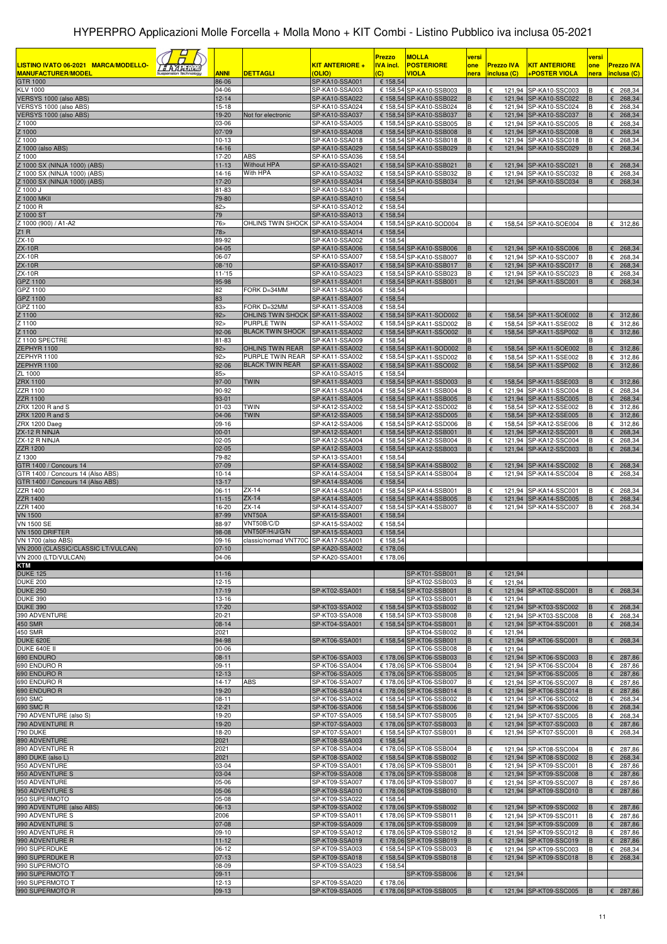|                                                             |                          |                                                       |                                  | <b>Prezzo</b>              | <b>MOLLA</b>                                       | versi  |             |                   |                                                | versi  |                            |
|-------------------------------------------------------------|--------------------------|-------------------------------------------------------|----------------------------------|----------------------------|----------------------------------------------------|--------|-------------|-------------------|------------------------------------------------|--------|----------------------------|
| LISTINO IVATO 06-2021 MARCA/MODELLO-                        |                          |                                                       | KIT ANTERIORE +                  | <b>IVA incl.</b>           | <b>POSTERIORE</b>                                  | one    |             | <b>Prezzo IVA</b> | <b>KIT ANTERIORE</b>                           | one    | <b>Prezzo IVA</b>          |
| <b>MANUFACTURER/MODEL</b><br><b>GTR 1000</b>                | <b>ANNI</b><br>86-06     | <b>DETTAGLI</b>                                       | (OLIO)<br>SP-KA10-SSA001         | $\overline{c}$<br>€ 158,54 | <b>VIOLA</b>                                       | nera   | inclusa (C) |                   | +POSTER VIOLA                                  | nera   | inclusa (C)                |
| <b>KLV 1000</b>                                             | 04-06                    |                                                       | SP-KA10-SSA003                   |                            | € 158,54 SP-KA10-SSB003                            | B      | €           |                   | 121,94 SP-KA10-SSC003                          | в      | $E$ 268,34                 |
| VERSYS 1000 (also ABS)                                      | $12 - 14$                |                                                       | SP-KA10-SSA022                   |                            | € 158,54 SP-KA10-SSB022                            | B      |             |                   | 121,94 SP-KA10-SSC022                          |        | 268,34<br>€                |
| VERSYS 1000 (also ABS)<br>VERSYS 1000 (also ABS)            | $15 - 18$<br>19-20       | Not for electronic                                    | SP-KA10-SSA024<br>SP-KA10-SSA037 |                            | € 158,54 SP-KA10-SSB024<br>€ 158,54 SP-KA10-SSB037 | В<br>B | €<br>€      |                   | 121,94 SP-KA10-SSC024<br>121,94 SP-KA10-SSC037 |        | 268,34<br>€<br>268,34<br>€ |
| Z 1000                                                      | 03-06                    |                                                       | SP-KA10-SSA005                   |                            | € 158,54 SP-KA10-SSB005                            | В      | €           |                   | 121,94 SP-KA10-SSC005                          |        | 268,34<br>€                |
| 1000                                                        | 07-'09                   |                                                       | SP-KA10-SSA008                   |                            | € 158,54 SP-KA10-SSB008                            | В      | €           |                   | 121,94 SP-KA10-SSC008                          | в<br>B | 268,34<br>€                |
| 1000<br>1000 (also ABS)                                     | $10 - 13$<br>$14 - 16$   |                                                       | SP-KA10-SSA018<br>SP-KA10-SSA029 |                            | € 158,54 SP-KA10-SSB018<br>€ 158,54 SP-KA10-SSB029 | B<br>B | €<br>€      |                   | 121,94 SP-KA10-SSC018<br>121,94 SP-KA10-SSC029 | в      | 268,34<br>€<br>268,34<br>€ |
| 1000                                                        | 17-20                    | ABS                                                   | SP-KA10-SSA036                   | € 158,54                   |                                                    |        |             |                   |                                                |        |                            |
| 1000 SX (NINJA 1000) (ABS)<br>Z 1000 SX (NINJA 1000) (ABS)  | $11 - 13$                | <b>Without HPA</b>                                    | SP-KA10-SSA021                   |                            | € 158,54 SP-KA10-SSB021                            | B      | €           |                   | 121,94 SP-KA10-SSC021                          | B      | 268,34<br>€                |
| Z 1000 SX (NINJA 1000) (ABS)                                | 14-16<br>17-20           | With HPA                                              | SP-KA10-SSA032<br>SP-KA10-SSA034 |                            | € 158,54 SP-KA10-SSB032<br>€ 158,54 SP-KA10-SSB034 | B<br>B | €<br>€      |                   | 121,94 SP-KA10-SSC032<br>121,94 SP-KA10-SSC034 | B      | €<br>268,34<br>268,34<br>€ |
| Z 1000 J                                                    | 81-83                    |                                                       | SP-KA10-SSA011                   | € 158,54                   |                                                    |        |             |                   |                                                |        |                            |
| 1000 MKII                                                   | 79-80                    |                                                       | SP-KA10-SSA010                   | € 158,54                   |                                                    |        |             |                   |                                                |        |                            |
| 7 1000 R<br>1000 ST                                         | 82 ><br>79               |                                                       | SP-KA10-SSA012<br>SP-KA10-SSA013 | € 158,54<br>€ 158,54       |                                                    |        |             |                   |                                                |        |                            |
| Z 1000 (900) / A1-A2                                        | 76 <sub>5</sub>          | OHLINS TWIN SHOCK                                     | SP-KA10-SSA004                   |                            | € 158,54 SP-KA10-SOD004                            | B      | €           |                   | 158,54 SP-KA10-SOE004                          |        | € 312,86                   |
| Z1R<br>ZX-10                                                | 78 <sub>5</sub><br>89-92 |                                                       | SP-KA10-SSA014<br>SP-KA10-SSA002 | € 158,54<br>€ 158,54       |                                                    |        |             |                   |                                                |        |                            |
| <b>ZX-10R</b>                                               | 04-05                    |                                                       | SP-KA10-SSA006                   |                            | € 158,54 SP-KA10-SSB006                            | в      |             |                   | 121,94 SP-KA10-SSC006                          |        | €<br>268,34                |
| <b>ZX-10R</b>                                               | 06-07                    |                                                       | SP-KA10-SSA007                   |                            | € 158,54 SP-KA10-SSB007                            | B      | €           |                   | 121,94 SP-KA10-SSC007                          | в      | €<br>268,34                |
| <b>ZX-10R</b><br><b>ZX-10R</b>                              | $08 - 10$<br>$11 - 15$   |                                                       | SP-KA10-SSA017<br>SP-KA10-SSA023 |                            | € 158,54 SP-KA10-SSB017<br>€ 158,54 SP-KA10-SSB023 | B<br>B | €<br>€      |                   | 121,94 SP-KA10-SSC017<br>121,94 SP-KA10-SSC023 | B<br>в | 268,34<br>€<br>€<br>268,34 |
| GPZ 1100                                                    | 95-98                    |                                                       | SP-KA11-SSA001                   |                            | € 158,54 SP-KA11-SSB001                            | B      | €           |                   | 121,94 SP-KA11-SSC001                          |        | 268,34<br>€                |
| GPZ 1100                                                    | 82                       | FORK D=34MM                                           | SP-KA11-SSA006                   | € 158,54                   |                                                    |        |             |                   |                                                |        |                            |
| GPZ 1100<br>GPZ 1100                                        | 83<br>83>                | FORK D=32MM                                           | SP-KA11-SSA007<br>SP-KA11-SSA008 | € 158,54<br>€ 158,54       |                                                    |        |             |                   |                                                |        |                            |
| Z 1100                                                      | 92>                      | OHLINS TWIN SHOCK SP-KA11-SSA002                      |                                  |                            | € 158,54 SP-KA11-SOD002                            | B      | €           |                   | 158,54 SP-KA11-SOE002                          |        | 6312,86                    |
| Z 1100                                                      | 92 >                     | PURPLE TWIN                                           | SP-KA11-SSA002                   |                            | € 158,54 SP-KA11-SSD002                            | B      | €           |                   | 158,54 SP-KA11-SSE002                          | в      | €<br>312,86                |
| Z 1100<br>Z 1100 SPECTRE                                    | 92-06<br>81-83           | <b>BLACK TWIN SHOCK</b>                               | SP-KA11-SSA002<br>SP-KA11-SSA009 | € 158,54                   | € 158,54 SP-KA11-SSO002                            | B<br>R | €           |                   | 158,54 SP-KA11-SSP002                          | B      | €<br>312,86                |
| ZEPHYR 1100                                                 | 92>                      | OHLINS TWIN REAR                                      | SP-KA11-SSA002                   |                            | € 158,54 SP-KA11-SOD002                            | B      | €           |                   | 158,54 SP-KA11-SOE002                          | B      | 6312,86                    |
| ZEPHYR 1100                                                 | 92>                      | PURPLE TWIN REAR                                      | SP-KA11-SSA002                   |                            | € 158,54 SP-KA11-SSD002                            | В      | €           |                   | 158,54 SP-KA11-SSE002                          | в      | $E$ 312,86                 |
| ZEPHYR 1100<br>ZL 1000                                      | 92-06<br>$85 -$          | <b>BLACK TWIN REAR</b>                                | SP-KA11-SSA002<br>SP-KA10-SSA015 | € 158,54                   | € 158.54 SP-KA11-SSO002                            |        | €           |                   | 158,54 SP-KA11-SSP002                          |        | 312,86<br>€                |
| ZRX 1100                                                    | 97-00                    | TWIN                                                  | SP-KA11-SSA003                   |                            | € 158,54 SP-KA11-SSD003                            | B      | €           |                   | 158,54 SP-KA11-SSE003                          |        | 6312,86                    |
| ZZR 1100                                                    | 90-92                    |                                                       | SP-KA11-SSA004                   |                            | € 158,54 SP-KA11-SSB004                            | В      | €           |                   | 121,94 SP-KA11-SSC004                          | В      | €<br>268,34                |
| <b>ZZR 1100</b><br>ZRX 1200 R and S                         | 93-01<br>$01 - 03$       | twin                                                  | SP-KA11-SSA005<br>SP-KA12-SSA002 |                            | € 158,54 SP-KA11-SSB005<br>€ 158,54 SP-KA12-SSD002 | B<br>В | €<br>€      |                   | 121,94 SP-KA11-SSC005<br>158,54 SP-KA12-SSE002 | в      | €<br>268,34<br>312,86<br>€ |
| ZRX 1200 R and S                                            | 04-06                    | <b>TWIN</b>                                           | SP-KA12-SSA005                   |                            | € 158,54 SP-KA12-SSD005                            | B      | €           |                   | 158,54 SP-KA12-SSE005                          |        | 312,86<br>€                |
| ZRX 1200 Daeg                                               | 09-16                    |                                                       | SP-KA12-SSA006                   |                            | € 158,54 SP-KA12-SSD006                            | В      | €           |                   | 158,54 SP-KA12-SSE006                          | в      | 312,86<br>€                |
| ZX-12 R NINJA<br>ZX-12 R NINJA                              | $00 - 01$<br>$02 - 05$   |                                                       | SP-KA12-SSA001<br>SP-KA12-SSA004 |                            | € 158,54 SP-KA12-SSB001<br>€ 158,54 SP-KA12-SSB004 | B<br>В | €           |                   | 121,94 SP-KA12-SSC001<br>121,94 SP-KA12-SSC004 | в      | 268,34<br>€<br>268,34<br>€ |
| <b>ZZR 1200</b>                                             | $02 - 05$                |                                                       | SP-KA12-SSA003                   |                            | € 158,54 SP-KA12-SSB003                            | B      | €           |                   | 121,94 SP-KA12-SSC003                          | B      | 268,34<br>€                |
| Z 1300                                                      | 79-82                    |                                                       | SP-KA13-SSA001                   | € 158,54                   |                                                    |        |             |                   |                                                |        |                            |
| GTR 1400 / Concours 14<br>GTR 1400 / Concours 14 (Also ABS) | 07-09<br>$10 - 14$       |                                                       | SP-KA14-SSA002<br>SP-KA14-SSA004 |                            | € 158,54 SP-KA14-SSB002<br>€ 158,54 SP-KA14-SSB004 | B<br>B | €<br>€      |                   | 121,94 SP-KA14-SSC002<br>121,94 SP-KA14-SSC004 | в<br>в | 268,34<br>€<br>268,34<br>€ |
| GTR 1400 / Concours 14 (Also ABS)                           | $13 - 17$                |                                                       | SP-KA14-SSA006                   | € 158,54                   |                                                    |        |             |                   |                                                |        |                            |
| ZZR 1400                                                    | $06-11$                  | ZX-14                                                 | SP-KA14-SSA001                   |                            | € 158,54 SP-KA14-SSB001                            | B      | €           |                   | 121,94 SP-KA14-SSC001                          | В      | €<br>268,34                |
| <b>ZZR 1400</b><br>ZZR 1400                                 | $11 - 15$<br>16-20       | $ZX-14$<br>ZX-14                                      | SP-KA14-SSA005<br>SP-KA14-SSA007 |                            | € 158,54 SP-KA14-SSB005<br>€ 158,54 SP-KA14-SSB007 | B<br>B | €           |                   | 121,94 SP-KA14-SSC005<br>121,94 SP-KA14-SSC007 | R<br>B | 268,34<br>€<br>268,34<br>€ |
| <b>VN 1500</b>                                              | 87-99                    | VNT50A                                                | SP-KA15-SSA001                   | € 158,54                   |                                                    |        |             |                   |                                                |        |                            |
| <b>VN 1500 SE</b>                                           | 88-97                    | VNT50B/C/D                                            | SP-KA15-SSA002                   | € 158,54                   |                                                    |        |             |                   |                                                |        |                            |
| VN 1500 DRIFTER<br>VN 1700 (also ABS)                       | 98-08<br>$09-16$         | VNT50F/H/J/G/N<br>classic/nomad VNT70C SP-KA17-SSA001 | SP-KA15-SSA003                   | € 158,54<br>€ 158,54       |                                                    |        |             |                   |                                                |        |                            |
| VN 2000 (CLASSIC/CLASSIC LT/VULCAN)                         | $07-10$                  |                                                       | SP-KA20-SSA002                   | € 178,06                   |                                                    |        |             |                   |                                                |        |                            |
| VN 2000 (LTD/VULCAN)                                        | 04-06                    |                                                       | SP-KA20-SSA001                   | € 178,06                   |                                                    |        |             |                   |                                                |        |                            |
| <b>KTM</b><br><b>DUKE 125</b>                               | $11 - 16$                |                                                       |                                  |                            | SP-KT01-SSB001                                     | B      | €           | 121,94            |                                                |        |                            |
| <b>DUKE 200</b>                                             | $12 - 15$                |                                                       |                                  |                            | SP-KT02-SSB003                                     | В      | €           | 121,94            |                                                |        |                            |
| <b>DUKE 250</b>                                             | 17-19                    |                                                       | SP-KT02-SSA001                   |                            | € 158,54 SP-KT02-SSB001                            | B      | €           |                   | 121,94 SP-KT02-SSC001                          | B      | $E$ 268,34                 |
| <b>DUKE 390</b><br><b>DUKE 390</b>                          | 13-16<br>17-20           |                                                       | SP-KT03-SSA002                   |                            | SP-KT03-SSB001<br>€ 158,54 SP-KT03-SSB002          | B<br>B | €<br>€      | 121,94            | 121,94 SP-KT03-SSC002                          |        | $E$ 268,34                 |
| 390 ADVENTURE                                               | $20 - 21$                |                                                       | SP-KT03-SSA008                   |                            | € 158,54 SP-KT03-SSB008                            | В      | €           |                   | 121,94 SP-KT03-SSC008                          | в      | €<br>268,34                |
| <b>450 SMR</b>                                              | $08-14$                  |                                                       | SP-KT04-SSA001                   |                            | € 158,54 SP-KT04-SSB001                            | В      | €           |                   | 121,94 SP-KT04-SSC001                          | B      | 268,34<br>€                |
| 450 SMR<br>DUKE 620E                                        | 2021<br>94-98            |                                                       | SP-KT06-SSA001                   | € 158,54                   | SP-KT04-SSB002<br>SP-KT06-SSB001                   | в<br>B | €<br>€      | 121,94            | 121,94 SP-KT06-SSC001                          | в      | 268,34<br>€                |
| DUKE 640E II                                                | 00-06                    |                                                       |                                  |                            | SP-KT06-SSB008                                     | В      | €           | 121,94            |                                                |        |                            |
| 690 ENDURO<br>690 ENDURO R                                  | $08 - 11$<br>$09-11$     |                                                       | SP-KT06-SSA003<br>SP-KT06-SSA004 |                            | € 178,06 SP-KT06-SSB003<br>€ 178,06 SP-KT06-SSB004 | B<br>В | €<br>€      |                   | 121,94 SP-KT06-SSC003<br>121,94 SP-KT06-SSC004 | В      | $E$ 287,86<br>€<br>287,86  |
| 690 ENDURO R                                                | 12-13                    |                                                       | SP-KT06-SSA005                   |                            | € 178,06 SP-KT06-SSB005                            | B      | €           |                   | 121,94 SP-KT06-SSC005                          | B      | €<br>287,86                |
| 690 ENDURO R                                                | 14-17                    | ABS                                                   | SP-KT06-SSA007                   |                            | € 178,06 SP-KT06-SSB007                            | в      | €           |                   | 121,94 SP-KT06-SSC007                          | В      | 287,86<br>€                |
| 690 ENDURO R<br>690 SMC                                     | 19-20<br>$08 - 11$       |                                                       | SP-KT06-SSA014<br>SP-KT06-SSA002 |                            | € 178,06 SP-KT06-SSB014<br>€ 158,54 SP-KT06-SSB002 | B<br>В | €<br>€      |                   | 121,94 SP-KT06-SSC014<br>121,94 SP-KT06-SSC002 | B<br>В | 287,86<br>€<br>268,34<br>€ |
| 690 SMC R                                                   | $12 - 21$                |                                                       | SP-KT06-SSA006                   |                            | € 158,54 SP-KT06-SSB006                            | B      | €           |                   | 121,94 SP-KT06-SSC006                          | B      | 268,34<br>€                |
| 790 ADVENTURE (also S)                                      | 19-20                    |                                                       | SP-KT07-SSA005                   |                            | € 158,54 SP-KT07-SSB005                            | В      | €           |                   | 121,94 SP-KT07-SSC005                          | В      | 268,34<br>€                |
| 790 ADVENTURE R<br><b>790 DUKE</b>                          | 19-20<br>18-20           |                                                       | SP-KT07-SSA003<br>SP-KT07-SSA001 |                            | € 178,06 SP-KT07-SSB003<br>€ 158,54 SP-KT07-SSB001 | B<br>В | €<br>€      |                   | 121,94 SP-KT07-SSC003<br>121,94 SP-KT07-SSC001 | B<br>в | 287,86<br>€<br>$E$ 268,34  |
| 890 ADVENTURE                                               | 2021                     |                                                       | SP-KT08-SSA003                   | € 158,54                   |                                                    |        |             |                   |                                                |        |                            |
| 890 ADVENTURE R                                             | 2021                     |                                                       | SP-KT08-SSA004                   |                            | € 178,06 SP-KT08-SSB004                            | В      | €           |                   | 121,94 SP-KT08-SSC004                          | в      | 287,86<br>€                |
| 890 DUKE (also L)<br>950 ADVENTURE                          | 2021<br>03-04            |                                                       | SP-KT08-SSA002<br>SP-KT09-SSA001 |                            | € 158,54 SP-KT08-SSB002<br>€ 178,06 SP-KT09-SSB001 | B<br>В | €           |                   | 121,94 SP-KT08-SSC002<br>121,94 SP-KT09-SSC001 | B<br>в | €<br>268,34<br>287,86<br>€ |
| 950 ADVENTURE S                                             | 03-04                    |                                                       | SP-KT09-SSA008                   |                            | € 178,06 SP-KT09-SSB008                            | B      | €           |                   | 121,94 SP-KT09-SSC008                          | в      | €<br>287,86                |
| 950 ADVENTURE                                               | 05-06                    |                                                       | SP-KT09-SSA007                   |                            | € 178,06 SP-KT09-SSB007                            |        | €           |                   | 121,94 SP-KT09-SSC007                          |        | 287,86<br>€                |
| 950 ADVENTURE S<br>950 SUPERMOTO                            | 05-06<br>05-08           |                                                       | SP-KT09-SSA010<br>SP-KT09-SSA022 | € 158,54                   | € 178,06 SP-KT09-SSB010                            | B      | €           |                   | 121,94 SP-KT09-SSC010                          | в      | 287,86<br>€                |
| 990 ADVENTURE (also ABS)                                    | $06-13$                  |                                                       | SP-KT09-SSA002                   |                            | € 178,06 SP-KT09-SSB002                            | B      | €           |                   | 121,94 SP-KT09-SSC002                          | В      | 6287,86                    |
| 990 ADVENTURE S                                             | 2006                     |                                                       | SP-KT09-SSA011                   |                            | € 178,06 SP-KT09-SSB011                            |        | €           |                   | 121,94 SP-KT09-SSC011                          |        | 287,86<br>€                |
| 990 ADVENTURE S<br>990 ADVENTURE R                          | 07-08<br>$09-10$         |                                                       | SP-KT09-SSA009<br>SP-KT09-SSA012 |                            | € 178,06 SP-KT09-SSB009<br>€ 178,06 SP-KT09-SSB012 | B<br>B | €<br>€      |                   | 121,94 SP-KT09-SSC009<br>121,94 SP-KT09-SSC012 | B<br>B | 287,86<br>€<br>€<br>287,86 |
| 990 ADVENTURE R                                             | $11 - 12$                |                                                       | SP-KT09-SSA019                   |                            | € 178,06 SP-KT09-SSB019                            | B      | €           |                   | 121,94 SP-KT09-SSC019                          | B      | 287,86<br>€                |
| 990 SUPERDUKE                                               | $06-12$                  |                                                       | SP-KT09-SSA003                   |                            | € 158,54 SP-KT09-SSB003                            |        |             |                   | 121,94 SP-KT09-SSC003                          |        | €<br>268,34                |
| 990 SUPERDUKE R<br>990 SUPERMOTO                            | $07-13$<br>08-09         |                                                       | SP-KT09-SSA018<br>SP-KT09-SSA023 | € 158,54                   | € 158,54 SP-KT09-SSB018                            | B      | €           |                   | 121,94 SP-KT09-SSC018                          | в      | 268,34<br>€                |
| 990 SUPERMOTO T                                             | $09-11$                  |                                                       |                                  |                            | SP-KT09-SSB006                                     | В      | €           | 121,94            |                                                |        |                            |
| 990 SUPERMOTO T                                             | 12-13                    |                                                       | SP-KT09-SSA020                   | € 178,06                   |                                                    |        |             |                   |                                                |        |                            |
| 990 SUPERMOTO R                                             | 09-13                    |                                                       | SP-KT09-SSA005                   |                            | € 178,06 SP-KT09-SSB005                            | B      | €           |                   | 121,94 SP-KT09-SSC005                          | B      | 287,86<br>€                |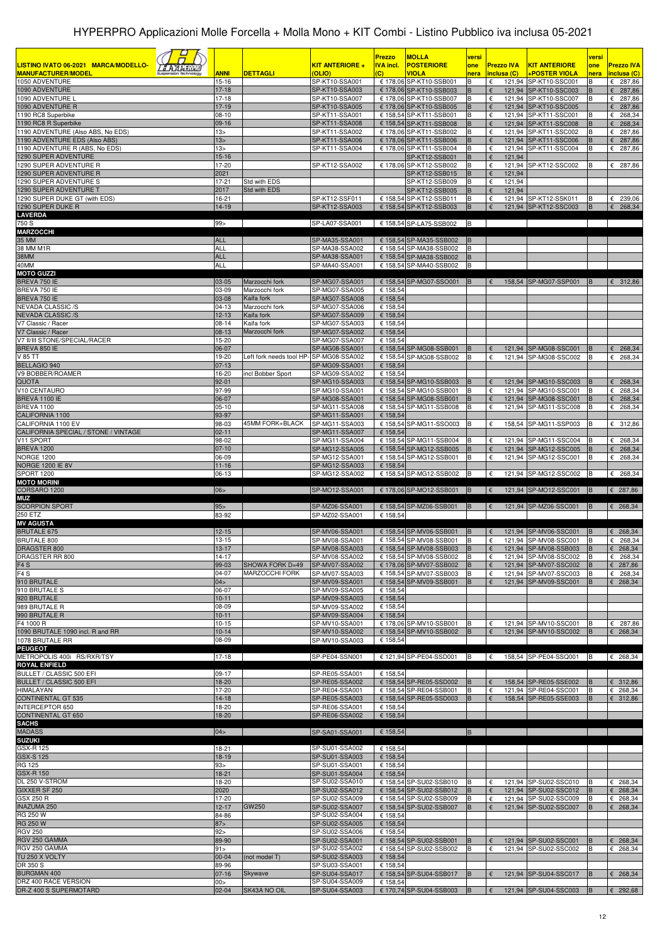| LISTINO IVATO 06-2021 MARCA/MODELLO-<br><i><b>LAALINE</b></i>      |                                    |                                          | <u>KIT ANTERIORE +</u>           | <b>Prezzo</b><br><b>IVA incl.</b> | <b>MOLLA</b><br><b>POSTERIORE</b>                  | versi<br>one | <b>Prezzo IVA</b> | <b>KIT ANTERIORE</b>                           | versi<br>one | <b>Prezzo IVA</b>          |
|--------------------------------------------------------------------|------------------------------------|------------------------------------------|----------------------------------|-----------------------------------|----------------------------------------------------|--------------|-------------------|------------------------------------------------|--------------|----------------------------|
| <b>MANUFACTURER/MODEL</b>                                          | <b>ANNI</b>                        | <b>DETTAGLI</b>                          | (OLIO)                           | $\overline{C}$                    | <b>VIOLA</b>                                       | nera         | inclusa (C)       | +POSTER VIOLA                                  | nera         | inclusa (C)                |
| 1050 ADVENTURE<br>1090 ADVENTURE                                   | $15 - 16$<br>$17 - 18$             |                                          | SP-KT10-SSA001<br>SP-KT10-SSA003 |                                   | € 178,06 SP-KT10-SSB001<br>€ 178,06 SP-KT10-SSB003 | В<br>B       | €<br>€            | 121,94 SP-KT10-SSC001<br>121,94 SP-KT10-SSC003 | В<br>B       | € 287,86<br>287,86<br>€    |
| 1090 ADVENTURE L                                                   | $17 - 18$                          |                                          | SP-KT10-SSA007                   |                                   | € 178,06 SP-KT10-SSB007<br>€ 178,06 SP-KT10-SSB005 | В<br>B       | €<br>€            | 121,94 SP-KT10-SSC007                          | R            | €<br>287,86                |
| 1090 ADVENTURE R<br>1190 RC8 Superbike                             | $17-19$<br>$08-10$                 |                                          | SP-KT10-SSA005<br>SP-KT11-SSA001 |                                   | € 158,54 SP-KT11-SSB001                            | В            | €                 | 121,94 SP-KT10-SSC005<br>121,94 SP-KT11-SSC001 |              | 287,86<br>€<br>268,34<br>€ |
| 1190 RC8 R Superbike                                               | $09-16$                            |                                          | SP-KT11-SSA008                   |                                   | € 158,54 SP-KT11-SSB008                            | B            |                   | 121,94 SP-KT11-SSC008                          |              | 268,34<br>€                |
| 1190 ADVENTURE (Also ABS, No EDS)<br>1190 ADVENTURE EDS (Also ABS) | 13 <sub>2</sub><br>13 <sub>2</sub> |                                          | SP-KT11-SSA002<br>SP-KT11-SSA006 |                                   | € 178,06 SP-KT11-SSB002<br>€ 178,06 SP-KT11-SSB006 | В<br>B       | €                 | 121,94 SP-KT11-SSC002<br>121,94 SP-KT11-SSC006 |              | 287,86<br>€<br>287,86<br>€ |
| 1190 ADVENTURE R (ABS, No EDS)                                     | 13 <sub>2</sub>                    |                                          | SP-KT11-SSA004                   |                                   | € 178,06 SP-KT11-SSB004                            |              | €                 | 121,94 SP-KT11-SSC004                          |              | €<br>287,86                |
| 1290 SUPER ADVENTURE<br>1290 SUPER ADVENTURE R                     | $15-16$<br>17-20                   |                                          |                                  |                                   | SP-KT12-SSB001<br>€ 178,06 SP-KT12-SSB002          | B<br>B       | 121,94<br>€<br>€  | 121,94 SP-KT12-SSC002                          |              | € 287,86                   |
| 1290 SUPER ADVENTURE R                                             | 2021                               |                                          | SP-KT12-SSA002                   |                                   | SP-KT12-SSB015                                     | В            | 121,94<br>€       |                                                |              |                            |
| 1290 SUPER ADVENTURE S                                             | 17-21                              | Std with EDS                             |                                  |                                   | SP-KT12-SSB009                                     | В            | 121,94<br>€       |                                                |              |                            |
| 1290 SUPER ADVENTURE T<br>1290 SUPER DUKE GT (with EDS)            | 2017<br>16-21                      | Std with EDS                             | SP-KT12-SSF011                   |                                   | SP-KT12-SSB005<br>€ 158,54 SP-KT12-SSB011          | В<br>B       | 121,94<br>€       | 121,94 SP-KT12-SSK011                          |              | 239,06<br>€                |
| 1290 SUPER DUKE R                                                  | 14-19                              |                                          | SP-KT12-SSA003                   |                                   | € 158,54 SP-KT12-SSB003                            | B            |                   | 121,94 SP-KT12-SSC003                          | B            | €<br>268,34                |
| <b>LAVERDA</b><br>750 S                                            | 99                                 |                                          | SP-LA07-SSA001                   |                                   | € 158,54 SP-LA75-SSB002                            | B            |                   |                                                |              |                            |
| <b>MARZOCCHI</b>                                                   |                                    |                                          |                                  |                                   |                                                    |              |                   |                                                |              |                            |
| 35 MM                                                              | <b>ALL</b>                         |                                          | SP-MA35-SSA001                   |                                   | € 158,54 SP-MA35-SSB002                            | B            |                   |                                                |              |                            |
| 38 MM M1R<br>38MM                                                  | ALL<br><b>ALL</b>                  |                                          | SP-MA38-SSA002<br>SP-MA38-SSA001 |                                   | € 158,54 SP-MA38-SSB002<br>€ 158,54 SP-MA38-SSB002 | B<br>B       |                   |                                                |              |                            |
| 40MM                                                               | ALL                                |                                          | SP-MA40-SSA001                   |                                   | € 158,54 SP-MA40-SSB002                            | B            |                   |                                                |              |                            |
| <b>MOTO GUZZI</b><br>BREVA 750 IE                                  | 03-05                              | Marzocchi fork                           | SP-MG07-SSA001                   |                                   | € 158,54 SP-MG07-SSO001                            | <b>B</b>     |                   |                                                | B            |                            |
| BREVA 750 IE                                                       | 03-09                              | Marzocchi fork                           | SP-MG07-SSA005                   | € 158,54                          |                                                    |              | €                 | 158,54 SP-MG07-SSP001                          |              | 6312,86                    |
| BREVA 750 IE                                                       | 03-08                              | Kaifa fork                               | SP-MG07-SSA008                   | € 158,54                          |                                                    |              |                   |                                                |              |                            |
| NEVADA CLASSIC /S<br><b>NEVADA CLASSIC/S</b>                       | $04-13$<br>$12 - 13$               | Marzocchi fork<br>Kaifa fork             | SP-MG07-SSA006<br>SP-MG07-SSA009 | € 158,54<br>€ 158.54              |                                                    |              |                   |                                                |              |                            |
| V7 Classic / Racer                                                 | $08-14$                            | Kaifa fork                               | SP-MG07-SSA003                   | € 158,54                          |                                                    |              |                   |                                                |              |                            |
| V7 Classic / Racer<br>V7 II/III STONE/SPECIAL/RACER                | $08-13$<br>15-20                   | Marzocchi fork                           | SP-MG07-SSA002<br>SP-MG07-SSA007 | € 158,54<br>€ 158,54              |                                                    |              |                   |                                                |              |                            |
| BREVA 850 IE                                                       | 06-07                              |                                          | SP-MG08-SSA001                   |                                   | € 158.54 SP-MG08-SSB001                            | В            | €                 | 121,94 SP-MG08-SSC001                          | в            | 268,34<br>€                |
| V 85 TT                                                            | 19-20                              | Left fork needs tool HP-                 | SP-MG08-SSA002                   |                                   | € 158,54 SP-MG08-SSB002                            |              | €                 | 121,94 SP-MG08-SSC002                          | B            | 268,34<br>€                |
| BELLAGIO 940<br>V9 BOBBER/ROAMER                                   | $07-13$<br>16-20                   | incl Bobber Sport                        | SP-MG09-SSA001<br>SP-MG09-SSA002 | € 158,54<br>€ 158,54              |                                                    |              |                   |                                                |              |                            |
| <b>QUOTA</b>                                                       | $92 - 01$                          |                                          | SP-MG10-SSA003                   |                                   | € 158,54 SP-MG10-SSB003                            | В            | €                 | 121,94 SP-MG10-SSC003                          |              | €<br>268,34                |
| V10 CENTAURO                                                       | 97-99                              |                                          | SP-MG10-SSA001                   |                                   | € 158,54 SP-MG10-SSB001                            |              | €                 | 121,94 SP-MG10-SSC001                          |              | 268,34<br>€                |
| BREVA 1100 IE<br>BREVA 1100                                        | 06-07<br>$05-10$                   |                                          | SP-MG08-SSA001<br>SP-MG11-SSA008 |                                   | € 158,54 SP-MG08-SSB001<br>€ 158,54 SP-MG11-SSB008 | B<br>B       | €<br>€            | 121,94 SP-MG08-SSC001<br>121,94 SP-MG11-SSC008 |              | 268,34<br>€<br>€<br>268,34 |
| CALIFORNIA 1100                                                    | 93-97                              |                                          | SP-MG11-SSA001                   | € 158,54                          |                                                    |              |                   |                                                |              |                            |
| CALIFORNIA 1100 EV<br>CALIFORNIA SPECIAL / STONE / VINTAGE         | 98-03<br>$02 - 11$                 | 45MM FORK+BLACK                          | SP-MG11-SSA003<br>SP-MG11-SSA007 | € 158,54                          | € 158,54 SP-MG11-SSO003                            | в            | €                 | 158,54 SP-MG11-SSP003                          |              | 312,86<br>€                |
| V11 SPORT                                                          | 98-02                              |                                          | SP-MG11-SSA004                   |                                   | € 158,54 SP-MG11-SSB004                            | в            | €                 | 121,94 SP-MG11-SSC004                          |              | €<br>268,34                |
| <b>BREVA 1200</b>                                                  | $07-10$                            |                                          | SP-MG12-SSA005                   |                                   | € 158,54 SP-MG12-SSB005                            | в<br>B       | €                 | 121,94 SP-MG12-SSC005                          | в            | 268,34<br>€                |
| <b>NORGE 1200</b><br><b>NORGE 1200 IE 8V</b>                       | 06-09<br>$11 - 16$                 |                                          | SP-MG12-SSA001<br>SP-MG12-SSA003 | € 158,54                          | € 158,54 SP-MG12-SSB001                            |              |                   | 121,94 SP-MG12-SSC001                          |              | 268,34<br>€                |
| SPORT 1200                                                         | 06-13                              |                                          | SP-MG12-SSA002                   |                                   | € 158,54 SP-MG12-SSB002                            | B            | €                 | 121,94 SP-MG12-SSC002                          | B            | $E$ 268,34                 |
| <b>MOTO MORINI</b><br>CORSARO 1200                                 | 06 >                               |                                          | SP-MO12-SSA001                   |                                   | € 178,06 SP-MO12-SSB001 B                          |              | $\epsilon$        | 121,94 SP-MO12-SSC001 B                        |              | € 287,86                   |
| MUZ                                                                |                                    |                                          |                                  |                                   |                                                    |              |                   |                                                |              |                            |
| <b>SCORPION SPORT</b><br>250 ETZ                                   | 95 ><br>83-92                      |                                          | SP-MZ06-SSA001<br>SP-MZ02-SSA001 | € 158,54                          | € 158,54 SP-MZ06-SSB001                            | IB.          | €                 | 121,94 SP-MZ06-SSC001                          | IB.          | £ 268,34                   |
| <b>MV AGUSTA</b>                                                   |                                    |                                          |                                  |                                   |                                                    |              |                   |                                                |              |                            |
| <b>BRUTALE 675</b>                                                 | $12 - 15$                          |                                          | SP-MV06-SSA001                   |                                   | € 158,54 SP-MV06-SSB001                            | B            | €                 | 121,94 SP-MV06-SSC001                          | B            | $E$ 268,34                 |
| <b>BRUTALE 800</b><br>DRAGSTER 800                                 | $13 - 15$<br>$13 - 17$             |                                          | SP-MV08-SSA001<br>SP-MV08-SSA003 |                                   | € 158,54 SP-MV08-SSB001<br>€ 158,54 SP-MV08-SSB003 | B<br>B       | €<br>€            | 121,94 SP-MV08-SSC001<br>121,94 SP-MV08-SSB003 | в            | $E$ 268,34<br>$E$ 268,34   |
| DRAGSTER RR 800                                                    | $14 - 17$                          |                                          | SP-MV08-SSA002                   |                                   | € 158,54 SP-MV08-SSB002                            | B            | €                 | 121,94 SP-MV08-SSC002                          | в            | $E$ 268,34                 |
| F <sub>4</sub> S<br>F4S                                            | 99-03<br>04-07                     | SHOWA FORK D=49<br><b>MARZOCCHI FORK</b> | SP-MV07-SSA002<br>SP-MV07-SSA003 |                                   | € 178,06 SP-MV07-SSB002<br>€ 158,54 SP-MV07-SSB003 | B<br>В       | €                 | 121,94 SP-MV07-SSC002<br>121,94 SP-MV07-SSC003 | B<br>в       | £ 287,86<br>$E$ 268,34     |
| 910 BRUTALE                                                        | 04>                                |                                          | SP-MV09-SSA001                   |                                   | € 158,54 SP-MV09-SSB001                            |              | €                 | 121,94 SP-MV09-SSC001                          | B            | $E$ 268,34                 |
| 910 BRUTALE S                                                      | 06-07                              |                                          | SP-MV09-SSA005                   | € 158,54                          |                                                    |              |                   |                                                |              |                            |
| 920 BRUTALE<br>989 BRUTALE R                                       | $10 - 11$<br>08-09                 |                                          | SP-MV09-SSA003<br>SP-MV09-SSA002 | € 158,54<br>€ 158,54              |                                                    |              |                   |                                                |              |                            |
| 990 BRUTALE R                                                      | $10 - 11$                          |                                          | SP-MV09-SSA004                   | € 158,54                          |                                                    |              |                   |                                                |              |                            |
| F4 1000 R<br>1090 BRUTALE 1090 incl. R and RR                      | 10-15<br>$10 - 14$                 |                                          | SP-MV10-SSA001<br>SP-MV10-SSA002 |                                   | € 178,06 SP-MV10-SSB001<br>€ 158,54 SP-MV10-SSB002 | в            | €                 | 121,94 SP-MV10-SSC001<br>121,94 SP-MV10-SSC002 | В            | € 287,86<br>$E$ 268,34     |
| 1078 BRUTALE RR                                                    | 08-09                              |                                          | SP-MV10-SSA003                   | € 158,54                          |                                                    |              |                   |                                                |              |                            |
| <b>PEUGEOT</b>                                                     |                                    |                                          |                                  |                                   |                                                    |              |                   |                                                |              |                            |
| METROPOLIS 400i RS/RXR/TSY<br><b>ROYAL ENFIELD</b>                 | $17-18$                            |                                          | SP-PE04-SSN001                   |                                   | € 121,94 SP-PE04-SSD001 B                          |              | $\epsilon$        | 158,54 SP-PE04-SSQ001 B                        |              | $\epsilon$ 268,34          |
| BULLET / CLASSIC 500 EFI                                           | 09-17                              |                                          | SP-RE05-SSA001                   | € 158,54                          |                                                    |              |                   |                                                |              |                            |
| BULLET / CLASSIC 500 EFI<br><b>HIMALAYAN</b>                       | 18-20<br>17-20                     |                                          | SP-RE05-SSA002<br>SP-RE04-SSA001 |                                   | € 158,54 SP-RE05-SSD002<br>€ 158,54 SP-RE04-SSB001 | B<br>В       | €                 | 158,54 SP-RE05-SSE002<br>121,94 SP-RE04-SSC001 | B<br>в       | 6312,86<br>£ 268,34        |
| <b>CONTINENTAL GT 535</b>                                          | $14 - 18$                          |                                          | SP-RE05-SSA003                   |                                   | € 158,54 SP-RE05-SSD003                            | B            | €                 | 158,54 SP-RE05-SSE003                          | B            | 6312,86                    |
| INTERCEPTOR 650                                                    | 18-20                              |                                          | SP-RE06-SSA001                   | € 158,54                          |                                                    |              |                   |                                                |              |                            |
| <b>CONTINENTAL GT 650</b><br><b>SACHS</b>                          | 18-20                              |                                          | SP-RE06-SSA002                   | € 158,54                          |                                                    |              |                   |                                                |              |                            |
| <b>MADASS</b>                                                      | 04 >                               |                                          | SP-SA01-SSA001                   | € 158,54                          |                                                    | B            |                   |                                                |              |                            |
| <b>SUZUKI</b><br>GSX-R 125                                         | 18-21                              |                                          | SP-SU01-SSA002                   | € 158,54                          |                                                    |              |                   |                                                |              |                            |
| <b>GSX-S 125</b>                                                   | 18-19                              |                                          | SP-SU01-SSA003                   | € 158,54                          |                                                    |              |                   |                                                |              |                            |
| <b>RG 125</b>                                                      | 93 >                               |                                          | SP-SU01-SSA001                   | € 158,54                          |                                                    |              |                   |                                                |              |                            |
| <b>GSX-R 150</b><br>DL 250 V-STROM                                 | 18-21<br>18-20                     |                                          | SP-SU01-SSA004<br>SP-SU02-SSA010 | € 158,54                          | € 158,54 SP-SU02-SSB010                            | В            |                   | 121,94 SP-SU02-SSC010                          |              | $E$ 268,34                 |
| GIXXER SF 250                                                      | 2020                               |                                          | SP-SU02-SSA012                   |                                   | € 158,54 SP-SU02-SSB012                            | B            | €                 | 121,94 SP-SU02-SSC012                          | B            | £ 268,34                   |
| <b>GSX 250 R</b>                                                   | 17-20<br>$12 - 17$                 | GW250                                    | SP-SU02-SSA009                   |                                   | € 158,54 SP-SU02-SSB009                            | B            | €<br>€            | 121,94 SP-SU02-SSC009                          | в            | $E$ 268,34                 |
| <b>INAZUMA 250</b><br>RG 250 W                                     | 84-86                              |                                          | SP-SU02-SSA007<br>SP-SU02-SSA004 | € 158,54                          | € 158,54 SP-SU02-SSB007                            |              |                   | 121,94 SP-SU02-SSC007                          |              | $E$ 268,34                 |
| <b>RG 250 W</b>                                                    | 87 >                               |                                          | SP-SU02-SSA005                   | € 158,54                          |                                                    |              |                   |                                                |              |                            |
| <b>RGV 250</b><br>RGV 250 GAMMA                                    | 92 ><br>89-90                      |                                          | SP-SU02-SSA006<br>SP-SU02-SSA001 | € 158,54                          | € 158,54 SP-SU02-SSB001                            | В            | €                 | 121,94 SP-SU02-SSC001                          | B            | $E$ 268,34                 |
| RGV 250 GAMMA                                                      | 91 >                               |                                          | SP-SU02-SSA002                   |                                   | € 158,54 SP-SU02-SSB002                            | в            | €                 | 121,94 SP-SU02-SSC002                          | в            | $E$ 268,34                 |
| TU 250 X VOLTY<br>DR 350 S                                         | $00 - 04$                          | (not model T)                            | SP-SU02-SSA003                   | € 158,54                          |                                                    |              |                   |                                                |              |                            |
| <b>BURGMAN 400</b>                                                 | 89-96<br>$07-16$                   | Skywave                                  | SP-SU03-SSA001<br>SP-SU04-SSA017 | € 158,54                          | € 158,54 SP-SU04-SSB017                            | B            | €                 | 121,94 SP-SU04-SSC017                          |              | $\epsilon$ 268,34          |
| DRZ 400 RACE VERSION                                               | 00 >                               |                                          | SP-SU04-SSA009                   | € 158,54                          |                                                    |              |                   |                                                |              |                            |
| DR-Z 400 S SUPERMOTARD                                             | $02 - 04$                          | SK43A NO OIL                             | SP-SU04-SSA003                   |                                   | € 170,74 SP-SU04-SSB003                            | B            | €                 | 121,94 SP-SU04-SSC003                          |              | $E$ 292,68                 |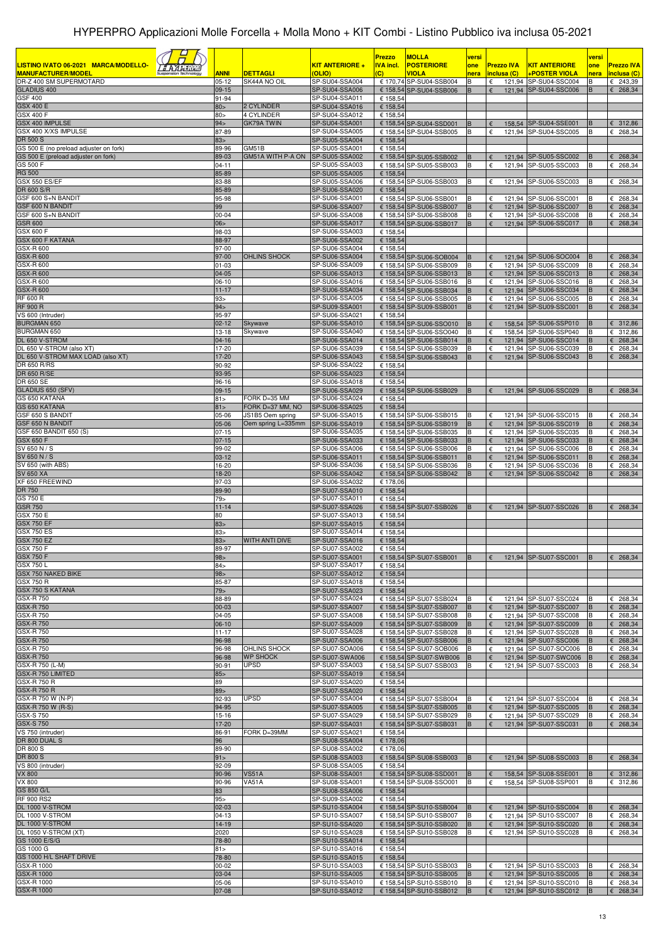|                                                                                                                    |                         |                                        |                                         | Prezzo                | <b>MOLLA</b>                                       | versi       |                                  |                                                | versi       |                                  |
|--------------------------------------------------------------------------------------------------------------------|-------------------------|----------------------------------------|-----------------------------------------|-----------------------|----------------------------------------------------|-------------|----------------------------------|------------------------------------------------|-------------|----------------------------------|
| LISTINO IVATO 06-2021 MARCA/MODELLO-<br><u> 5 A A A TURU</u><br><b>MANUFACTURER/MODEL</b><br>Suspension Technology | <u>ANNI</u>             | DETTAGLI                               | <b>KIT ANTERIORE +</b><br>(OLIO)        | <b>VA incl.</b><br>C) | <b>POSTERIORE</b><br><b>VIOLA</b>                  | one<br>nera | <b>Prezzo IVA</b><br>inclusa (C) | <b>KIT ANTERIORE</b><br>+POSTER VIOLA          | one<br>nera | <b>Prezzo IVA</b><br>inclusa (C) |
| DR-Z 400 SM SUPERMOTARD                                                                                            | $05-12$                 | SK44A NO OIL                           | SP-SU04-SSA004                          |                       | € 170,74 SP-SU04-SSB004                            | R           | €                                | 121,94 SP-SU04-SSC004                          | B           | € 243,39                         |
| <b>GLADIUS 400</b><br><b>GSF 400</b>                                                                               | 09-15                   |                                        | SP-SU04-SSA006                          |                       | € 158,54 SP-SU04-SSB006                            | B           | €                                | 121,94 SP-SU04-SSC006                          | B           | $E$ 268,34                       |
| <b>GSX 400 E</b>                                                                                                   | 91-94<br>80 >           | 2 CYLINDER                             | SP-SU04-SSA011<br>SP-SU04-SSA016        | € 158,54<br>€ 158,54  |                                                    |             |                                  |                                                |             |                                  |
| <b>GSX 400 F</b>                                                                                                   | 80 >                    | 4 CYLINDER                             | SP-SU04-SSA012                          | € 158,54              |                                                    |             |                                  |                                                |             |                                  |
| GSX 400 IMPULSE<br>GSX 400 X/XS IMPULSE                                                                            | 94 ><br>87-89           | GK79A TWIN                             | SP-SU04-SSA001<br>SP-SU04-SSA005        |                       | € 158,54 SP-SU04-SSD001<br>€ 158,54 SP-SU04-SSB005 | B<br>В      | €<br>€                           | 158.54 SP-SU04-SSE001<br>121.94 SP-SU04-SSC005 | B<br>в      | € 312,86<br>€ 268,34             |
| <b>DR 500 S</b>                                                                                                    | 83>                     |                                        | SP-SU05-SSA004                          | € 158,54              |                                                    |             |                                  |                                                |             |                                  |
| GS 500 E (no preload adjuster on fork)<br>GS 500 E (preload adjuster on fork)                                      | 89-96<br>89-03          | GM51B<br>GM51A WITH P-A ON             | SP-SU05-SSA001<br>SP-SU05-SSA002        | € 158,54              | € 158,54 SP-SU05-SSB002                            | в           | €                                | 121,94 SP-SU05-SSC002                          | B           | $E$ 268,34                       |
| GS 500 F                                                                                                           | $04 - 11$               |                                        | SP-SU05-SSA003                          |                       | € 158.54 SP-SU05-SSB003                            | В           | €                                | 121,94 SP-SU05-SSC003                          | в           | € 268,34                         |
| <b>RG 500</b>                                                                                                      | 85-89                   |                                        | SP-SU05-SSA005                          | € 158,54              |                                                    |             |                                  |                                                |             |                                  |
| <b>GSX 550 ES/EF</b><br>DR 600 S/R                                                                                 | 83-88<br>85-89          |                                        | SP-SU05-SSA006<br>SP-SU06-SSA020        | € 158,54              | € 158,54 SP-SU06-SSB003                            | в           | €                                | 121.94 SP-SU06-SSC003                          | в           | € 268,34                         |
| GSF 600 S+N BANDIT                                                                                                 | 95-98                   |                                        | SP-SU06-SSA001                          |                       | € 158,54 SP-SU06-SSB001                            |             | €                                | 121,94 SP-SU06-SSC001                          | B           | € 268,34                         |
| GSF 600 N BANDIT<br>GSF 600 S+N BANDIT                                                                             | 99<br>00-04             |                                        | SP-SU06-SSA007<br>SP-SU06-SSA008        |                       | € 158,54 SP-SU06-SSB007<br>€ 158,54 SP-SU06-SSB008 | B<br>B      | €<br>€                           | 121,94 SP-SU06-SSC007<br>121,94 SP-SU06-SSC008 | B<br>B      | 268,34<br>€<br>€ 268,34          |
| <b>GSR 600</b>                                                                                                     | 06 <sub>5</sub>         |                                        | SP-SU06-SSA017                          |                       | € 158,54 SP-SU06-SSB017                            | R.          | €<br>121,94                      | SP-SU06-SSC017                                 | B           | 268,34                           |
| GSX 600 F<br>GSX 600 F KATANA                                                                                      | 98-03                   |                                        | SP-SU06-SSA003                          | € 158,54              |                                                    |             |                                  |                                                |             |                                  |
| GSX-R 600                                                                                                          | 88-97<br>97-00          |                                        | SP-SU06-SSA002<br>SP-SU06-SSA004        | € 158,54<br>€ 158,54  |                                                    |             |                                  |                                                |             |                                  |
| <b>GSX-R 600</b>                                                                                                   | 97-00                   | OHLINS SHOCK                           | SP-SU06-SSA004                          |                       | € 158,54 SP-SU06-SOB004                            | B           | €                                | 121,94 SP-SU06-SOC004                          | B           | $E$ 268,34                       |
| GSX-R 600<br><b>GSX-R 600</b>                                                                                      | 01-03<br>04-05          |                                        | SP-SU06-SSA009<br>SP-SU06-SSA013        |                       | € 158,54 SP-SU06-SSB009<br>€ 158,54 SP-SU06-SSB013 | в<br>В      | €<br>€                           | 121,94 SP-SU06-SSC009<br>121,94 SP-SU06-SSC013 | в<br>B      | € 268,34<br>$E$ 268,34           |
| GSX-R 600                                                                                                          | 06-10                   |                                        | SP-SU06-SSA016                          |                       | € 158,54 SP-SU06-SSB016                            | B           | €                                | 121.94 SP-SU06-SSC016                          | в           | € 268,34                         |
| <b>GSX-R 600</b>                                                                                                   | $11 - 17$               |                                        | SP-SU06-SSA034                          |                       | € 158,54 SP-SU06-SSB034                            | В           | €                                | 121,94 SP-SU06-SSC034                          | B           | €<br>268,34                      |
| <b>RF 600 R</b><br><b>RF 900 R</b>                                                                                 | 93><br>94 >             |                                        | SP-SU06-SSA005<br>SP-SU09-SSA001        |                       | € 158,54 SP-SU06-SSB005<br>€ 158,54 SP-SU09-SSB001 | В<br>B      | €<br>€                           | 121,94 SP-SU06-SSC005<br>121,94 SP-SU09-SSC001 | B<br>B      | 268,34<br>€<br>268,34<br>€       |
| VS 600 (Intruder)                                                                                                  | 95-97                   |                                        | SP-SU06-SSA021                          | € 158,54              |                                                    |             |                                  |                                                |             |                                  |
| <b>BURGMAN 650</b><br>BURGMAN 650                                                                                  | $02 - 12$<br>$13 - 18$  | Skywave<br>Skywave                     | SP-SU06-SSA010<br>SP-SU06-SSA040        |                       | € 158,54 SP-SU06-SSO010<br>€ 158,54 SP-SU06-SSO040 | B<br>В      | €<br>€                           | 158,54 SP-SU06-SSP010<br>158,54 SP-SU06-SSP040 | B<br>в      | € 312,86<br>€ 312,86             |
| DL 650 V-STROM                                                                                                     | $04 - 16$               |                                        | SP-SU06-SSA014                          |                       | € 158,54 SP-SU06-SSB014                            | B           | €                                | 121,94 SP-SU06-SSC014                          | B           | € 268,34                         |
| DL 650 V-STROM (also XT)                                                                                           | 17-20                   |                                        | SP-SU06-SSA039                          |                       | € 158,54 SP-SU06-SSB039                            | В           | €                                | 121,94 SP-SU06-SSC039                          | B           | € 268,34                         |
| DL 650 V-STROM MAX LOAD (also XT)<br><b>DR 650 R/RS</b>                                                            | 17-20<br>90-92          |                                        | <b>SP-SU06-SSA043</b><br>SP-SU06-SSA022 | € 158,54              | € 158.54 SP-SU06-SSB043                            | B           | $\epsilon$                       | 121,94 SP-SU06-SSC043                          | B           | $E$ 268,34                       |
| <b>DR 650 R/SE</b>                                                                                                 | 93-95                   |                                        | SP-SU06-SSA023                          | € 158,54              |                                                    |             |                                  |                                                |             |                                  |
| DR 650 SE<br>GLADIUS 650 (SFV)                                                                                     | 96-16<br>$09-15$        |                                        | SP-SU06-SSA018<br>SP-SU06-SSA029        | € 158,54              | € 158,54 SP-SU06-SSB029                            | B           | €                                | 121,94 SP-SU06-SSC029                          | B           | $E$ 268,34                       |
| GS 650 KATANA                                                                                                      | 81 >                    | FORK D=35 MM                           | SP-SU06-SSA024                          | € 158,54              |                                                    |             |                                  |                                                |             |                                  |
| <b>GS 650 KATANA</b>                                                                                               | 81 >                    | FORK D=37 MM, NO                       | <b>SP-SU06-SSA025</b>                   | € 158,54              |                                                    |             |                                  |                                                |             |                                  |
| GSF 650 S BANDIT<br><b>GSF 650 N BANDIT</b>                                                                        | 05-06<br>05-06          | JS1B5 Oem spring<br>Oem spring L=335mm | SP-SU06-SSA015<br>SP-SU06-SSA019        |                       | € 158,54 SP-SU06-SSB015<br>€ 158,54 SP-SU06-SSB019 | B           | €<br>€                           | 121,94 SP-SU06-SSC015<br>121,94 SP-SU06-SSC019 | B           | € 268,34<br>268,34<br>€          |
| GSF 650 BANDIT 650 (S)                                                                                             | $07 - 15$               |                                        | SP-SU06-SSA035                          |                       | € 158,54 SP-SU06-SSB035                            |             | €                                | 121,94 SP-SU06-SSC035                          |             | 268,34<br>€                      |
| <b>GSX 650 F</b><br>SV 650 N / S                                                                                   | $07 - 15$<br>99-02      |                                        | SP-SU06-SSA033<br>SP-SU06-SSA006        |                       | € 158,54 SP-SU06-SSB033<br>€ 158,54 SP-SU06-SSB006 | B<br>в      | $\epsilon$<br>$\epsilon$         | 121,94 SP-SU06-SSC033<br>121,94 SP-SU06-SSC006 | B<br>B      | 268,34<br>€<br>€<br>268,34       |
| SV 650 N / S                                                                                                       | $03-12$                 |                                        | SP-SU06-SSA011                          |                       | € 158,54 SP-SU06-SSB011                            | B           | €                                | 121,94 SP-SU06-SSC011                          | B           | 268,34<br>€                      |
| SV 650 (with ABS)                                                                                                  | 16-20                   |                                        | SP-SU06-SSA036                          |                       | € 158,54 SP-SU06-SSB036                            |             | €                                | 121,94 SP-SU06-SSC036                          |             | €<br>268,34                      |
| <b>SV 650 XA</b><br>XF 650 FREEWIND                                                                                | 18-20<br>97-03          |                                        | SP-SU06-SSA042<br>SP-SU06-SSA032        | € 178,06              | € 158,54 SP-SU06-SSB042                            | B           | €                                | 121,94 SP-SU06-SSC042                          | B           | 268,34<br>€                      |
| DR 750                                                                                                             | 89-90                   |                                        | SP-SU07-SSA010                          | € 158,54              |                                                    |             |                                  |                                                |             |                                  |
| GS 750 E<br><b>GSR 750</b>                                                                                         | 79><br>$11 - 14$        |                                        | SP-SU07-SSA011<br>SP-SU07-SSA026        | € 158,54              | € 158,54 SP-SU07-SSB026                            | B           | €                                | 121,94 SP-SU07-SSC026                          | B           | $E$ 268,34                       |
| <b>GSX 750 E</b>                                                                                                   | 80                      |                                        | SP-SU07-SSA013                          | € 158,54              |                                                    |             |                                  |                                                |             |                                  |
| <b>GSX 750 EF</b>                                                                                                  | 83 >                    |                                        | SP-SU07-SSA015                          | € 158,54              |                                                    |             |                                  |                                                |             |                                  |
| <b>GSX 750 ES</b><br><b>GSX 750 EZ</b>                                                                             | 83 <sub>5</sub><br>83 > | WITH ANTI DIVE                         | SP-SU07-SSA014<br>SP-SU07-SSA016        | € 158,54<br>€ 158,54  |                                                    |             |                                  |                                                |             |                                  |
| <b>GSX 750 F</b>                                                                                                   | 89-97                   |                                        | SP-SU07-SSA002                          | € 158,54              |                                                    |             |                                  |                                                |             |                                  |
| <b>GSX 750 F</b><br><b>GSX 750 L</b>                                                                               | 98 ><br>84>             |                                        | SP-SU07-SSA001<br>SP-SU07-SSA017        | € 158,54              | € 158,54 SP-SU07-SSB001                            | <b>B</b>    | $\epsilon$                       | 121,94 SP-SU07-SSC001                          | B           | € 268,34                         |
| GSX 750 NAKED BIKE                                                                                                 | 98 >                    |                                        | SP-SU07-SSA012                          | € 158,54              |                                                    |             |                                  |                                                |             |                                  |
| <b>GSX 750 R</b>                                                                                                   | 85-87                   |                                        | SP-SU07-SSA018                          | € 158,54              |                                                    |             |                                  |                                                |             |                                  |
| <b>GSX 750 S KATANA</b><br>GSX-R 750                                                                               | 79<br>88-89             |                                        | SP-SU07-SSA023<br>SP-SU07-SSA024        | € 158,54              | € 158,54 SP-SU07-SSB024                            | В           | €                                | 121,94 SP-SU07-SSC024                          | B           | € 268,34                         |
| <b>GSX-R750</b>                                                                                                    | 00-03                   |                                        | SP-SU07-SSA007                          |                       | € 158,54 SP-SU07-SSB007                            | B           | $\epsilon$                       | 121,94 SP-SU07-SSC007                          | B           | $E$ 268,34                       |
| <b>GSX-R750</b><br><b>GSX-R750</b>                                                                                 | 04-05<br>$06-10$        |                                        | SP-SU07-SSA008<br>SP-SU07-SSA009        |                       | € 158,54 SP-SU07-SSB008<br>€ 158,54 SP-SU07-SSB009 | в<br>B      | €<br>€                           | 121,94 SP-SU07-SSC008<br>121,94 SP-SU07-SSC009 | в<br>B      | € 268,34<br>$E$ 268,34           |
| GSX-R 750                                                                                                          | 11-17                   |                                        | SP-SU07-SSA028                          |                       | € 158,54 SP-SU07-SSB028                            | в           | €                                | 121,94 SP-SU07-SSC028                          | в           | € 268,34                         |
| <b>GSX-R750</b>                                                                                                    | 96-98                   |                                        | SP-SU07-SSA006                          |                       | € 158,54 SP-SU07-SSB006                            | B           | $\epsilon$                       | 121,94 SP-SU07-SSC006                          |             | $E$ 268,34                       |
| <b>GSX-R750</b><br><b>GSX-R750</b>                                                                                 | 96-98<br>96-98          | OHLINS SHOCK<br><b>WP SHOCK</b>        | SP-SU07-SOA006<br>SP-SU07-SWA006        |                       | € 158,54 SP-SU07-SOB006<br>€ 158,54 SP-SU07-SWB006 | B<br>B      | €<br>$\epsilon$                  | 121,94 SP-SU07-SOC006<br>121,94 SP-SU07-SWC006 | в<br>B      | £ 268,34<br>268,34<br>€          |
| GSX-R 750 (L-M)                                                                                                    | 90-91                   | UPSD                                   | SP-SU07-SSA003                          |                       | € 158,54 SP-SU07-SSB003                            | В           | €                                | 121,94 SP-SU07-SSC003                          | в           | € 268,34                         |
| GSX-R 750 LIMITED<br>GSX-R 750 R                                                                                   | 85 ><br>89              |                                        | SP-SU07-SSA019<br>SP-SU07-SSA020        | € 158,54<br>€ 158,54  |                                                    |             |                                  |                                                |             |                                  |
| <b>GSX-R750 R</b>                                                                                                  | $89 -$                  |                                        | SP-SU07-SSA020                          | € 158,54              |                                                    |             |                                  |                                                |             |                                  |
| GSX-R 750 W (N-P)                                                                                                  | 92-93                   | UPSD                                   | SP-SU07-SSA004                          |                       | € 158,54 SP-SU07-SSB004                            |             | €                                | 121,94 SP-SU07-SSC004                          | в           | £ 268,34                         |
| GSX-R 750 W (R-S)<br>GSX-S750                                                                                      | 94-95<br>15-16          |                                        | SP-SU07-SSA005<br>SP-SU07-SSA029        |                       | € 158,54 SP-SU07-SSB005<br>€ 158,54 SP-SU07-SSB029 | B<br>В      | €<br>€                           | 121,94 SP-SU07-SSC005<br>121,94 SP-SU07-SSC029 | B<br>в      | $E$ 268,34<br>€ 268,34           |
| <b>GSX-S750</b>                                                                                                    | 17-20                   |                                        | SP-SU07-SSA031                          |                       | € 158,54 SP-SU07-SSB031                            | B           | €                                | 121,94 SP-SU07-SSC031                          | B           | $E$ 268,34                       |
| VS 750 (intruder)<br>DR 800 DUAL S                                                                                 | 86-91<br>96             | FORK D=39MM                            | SP-SU07-SSA021<br>SP-SU08-SSA004        | € 158,54<br>€ 178,06  |                                                    |             |                                  |                                                |             |                                  |
| DR 800 S                                                                                                           | 89-90                   |                                        | SP-SU08-SSA002                          | € 178,06              |                                                    |             |                                  |                                                |             |                                  |
| <b>DR 800 S</b>                                                                                                    | 91                      |                                        | SP-SU08-SSA003                          |                       | € 158,54 SP-SU08-SSB003                            |             | €                                | 121,94 SP-SU08-SSC003                          | B           | £ 268,34                         |
| VS 800 (intruder)<br><b>VX 800</b>                                                                                 | 92-09<br>90-96          | <b>VS51A</b>                           | SP-SU08-SSA005<br>SP-SU08-SSA001        | € 158,54              | € 158,54 SP-SU08-SSD001                            | B           | €                                | 158,54 SP-SU08-SSE001                          | B           | € 312,86                         |
| <b>VX 800</b>                                                                                                      | 90-96                   | VA51A                                  | SP-SU08-SSA001                          |                       | € 158,54 SP-SU08-SSO001                            | в           | €                                | 158,54 SP-SU08-SSP001                          | в           | € 312,86                         |
| GS 850 G/L<br><b>RF 900 RS2</b>                                                                                    | 83                      |                                        | SP-SU08-SSA006<br>SP-SU09-SSA002        | € 158,54              |                                                    |             |                                  |                                                |             |                                  |
| DL 1000 V-STROM                                                                                                    | 95 ><br>$02 - 03$       |                                        | SP-SU10-SSA004                          | € 158,54              | € 158,54 SP-SU10-SSB004                            | B           | €                                | 121,94 SP-SU10-SSC004                          | B           | $E$ 268,34                       |
| DL 1000 V-STROM                                                                                                    | $04-13$                 |                                        | SP-SU10-SSA007                          |                       | € 158,54 SP-SU10-SSB007                            | в           | €                                | 121,94 SP-SU10-SSC007                          | в           | € 268,34                         |
| DL 1000 V-STROM<br>DL 1050 V-STROM (XT)                                                                            | 14-19<br>2020           |                                        | SP-SU10-SSA020<br>SP-SU10-SSA028        |                       | € 158,54 SP-SU10-SSB020<br>€ 158,54 SP-SU10-SSB028 | B<br>R      | €<br>€                           | 121,94 SP-SU10-SSC020<br>121,94 SP-SU10-SSC028 | B           | £ 268,34<br>€ 268,34             |
| GS 1000 E/S/G                                                                                                      | 78-80                   |                                        | SP-SU10-SSA014                          | € 158,54              |                                                    |             |                                  |                                                |             |                                  |
| GS 1000 G                                                                                                          | 81 >                    |                                        | SP-SU10-SSA016                          | € 158,54              |                                                    |             |                                  |                                                |             |                                  |
| GS 1000 H/L SHAFT DRIVE<br>GSX-R 1000                                                                              | 78-80<br>$00 - 02$      |                                        | SP-SU10-SSA015<br>SP-SU10-SSA003        | € 158,54              | € 158,54 SP-SU10-SSB003                            |             | €                                | 121,94 SP-SU10-SSC003                          |             | £ 268,34                         |
| <b>GSX-R 1000</b>                                                                                                  | 03-04                   |                                        | SP-SU10-SSA005                          |                       | € 158,54 SP-SU10-SSB005                            | в           | $\epsilon$                       | 121,94 SP-SU10-SSC005                          | B           | £ 268,34                         |
| GSX-R 1000<br><b>GSX-R 1000</b>                                                                                    | 05-06<br>07-08          |                                        | SP-SU10-SSA010<br>SP-SU10-SSA012        |                       | € 158,54 SP-SU10-SSB010<br>€ 158,54 SP-SU10-SSB012 | В<br>B      | €<br>€                           | 121,94 SP-SU10-SSC010<br>121,94 SP-SU10-SSC012 | в<br>B      | € 268,34<br>£ 268,34             |
|                                                                                                                    |                         |                                        |                                         |                       |                                                    |             |                                  |                                                |             |                                  |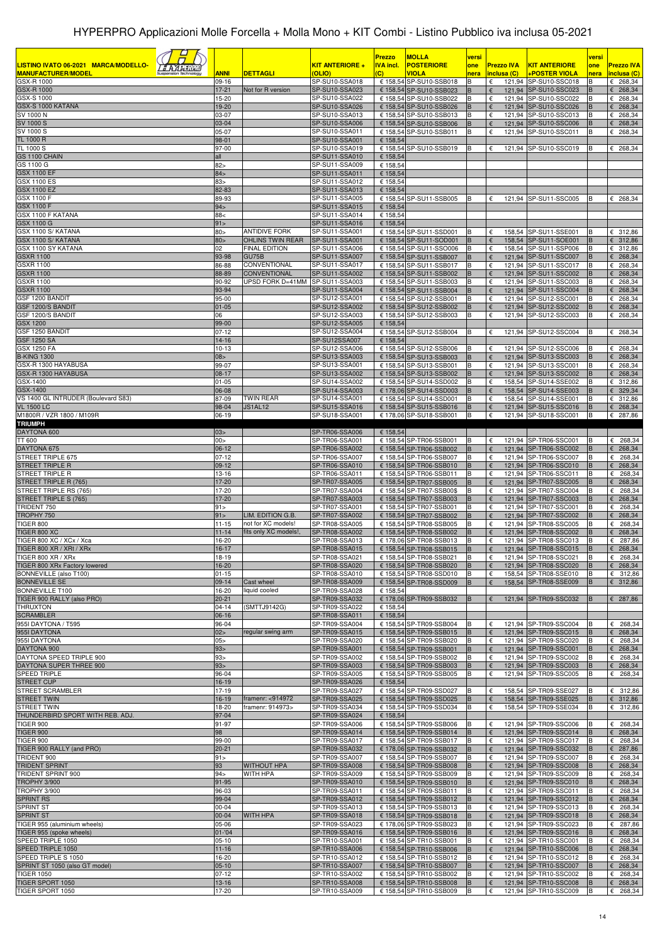|                                                                                                               |                      |                                                 |                                  | <b>Prezzo</b>        | <b>MOLLA</b>                                        | versi     |                          |                                                | versi        |                                  |
|---------------------------------------------------------------------------------------------------------------|----------------------|-------------------------------------------------|----------------------------------|----------------------|-----------------------------------------------------|-----------|--------------------------|------------------------------------------------|--------------|----------------------------------|
| <u>LISTINO IVATO 06-2021   MARCA/MODELLO-</u><br><i><b>&amp; A A H Hilli</b></i><br><b>MANUFACTURER/MODEL</b> |                      |                                                 | <b>KIT ANTERIORE +</b><br>(OLIO) | <u>IVA incl.</u>     | <b>POSTERIORE</b>                                   | one       | <b>Prezzo IVA</b>        | <b>KIT ANTERIORE</b>                           | one          | <b>Prezzo IVA</b>                |
| GSX-R 1000                                                                                                    | <u>ANNI</u><br>09-16 | <b>DETTAGLI</b>                                 | SP-SU10-SSA018                   | $\overline{c}$       | VIOLA<br>€ 158,54 SP-SU10-SSB018                    | nera<br>в | inclusa (C)<br>€         | <u>+POSTER VIOLA</u><br>121,94 SP-SU10-SSC018  | nera<br>В    | inclusa (C)<br>$E$ 268,34        |
| <b>GSX-R 1000</b>                                                                                             | $17-21$              | Not for R version                               | SP-SU10-SSA023                   |                      | € 158,54 SP-SU10-SSB023                             |           | €                        | 121,94 SP-SU10-SSC023                          |              | € 268,34                         |
| GSX-S 1000                                                                                                    | 15-20                |                                                 | SP-SU10-SSA022                   |                      | € 158,54 SP-SU10-SSB022                             | B         | €                        | 121,94 SP-SU10-SSC022                          | в            | $E$ 268,34                       |
| GSX-S 1000 KATANA                                                                                             | 19-20                |                                                 | SP-SU10-SSA026                   |                      | € 158,54 SP-SU10-SSB026<br>€ 158,54 SP-SU10-SSB013  | B         | €                        | 121,94 SP-SU10-SSC026                          |              | $E$ 268,34                       |
| SV 1000 N<br>SV 1000 S                                                                                        | 03-07<br>03-04       |                                                 | SP-SU10-SSA013<br>SP-SU10-SSA006 |                      | € 158,54 SP-SU10-SSB006                             | в         | €<br>121,94              | 121,94 SP-SU10-SSC013<br><b>SP-SU10-SSC006</b> | В            | $E$ 268,34<br>$E$ 268,34         |
| SV 1000 S                                                                                                     | 05-07                |                                                 | SP-SU10-SSA011                   |                      | € 158,54 SP-SU10-SSB011                             | B         | €                        | 121,94 SP-SU10-SSC011                          | B            | $E$ 268,34                       |
| TL 1000 R                                                                                                     | 98-01                |                                                 | SP-SU10-SSA001                   | € 158,54             |                                                     |           |                          |                                                |              |                                  |
| TL 1000 S                                                                                                     | 97-00                |                                                 | SP-SU10-SSA019                   |                      | € 158,54 SP-SU10-SSB019                             |           | €                        | 121,94 SP-SU10-SSC019                          | В            | € 268,34                         |
| GS 1100 CHAIN<br>GS 1100 G                                                                                    | all<br>82 >          |                                                 | SP-SU11-SSA010<br>SP-SU11-SSA009 | € 158,54<br>€ 158,54 |                                                     |           |                          |                                                |              |                                  |
| <b>GSX 1100 EF</b>                                                                                            | 84 >                 |                                                 | SP-SU11-SSA011                   | € 158,54             |                                                     |           |                          |                                                |              |                                  |
| <b>GSX 1100 ES</b>                                                                                            | 83 >                 |                                                 | SP-SU11-SSA012                   | € 158,54             |                                                     |           |                          |                                                |              |                                  |
| <b>GSX 1100 EZ</b>                                                                                            | 82-83                |                                                 | SP-SU11-SSA013                   | € 158,54             |                                                     |           |                          |                                                |              |                                  |
| GSX 1100 F<br><b>GSX 1100 F</b>                                                                               | 89-93<br>94>         |                                                 | SP-SU11-SSA005<br>SP-SU11-SSA015 | € 158,54             | € 158,54 SP-SU11-SSB005                             | B         | €                        | 121,94 SP-SU11-SSC005                          | B            | $E$ 268,34                       |
| GSX 1100 F KATANA                                                                                             | 88<                  |                                                 | SP-SU11-SSA014                   | € 158,54             |                                                     |           |                          |                                                |              |                                  |
| GSX 1100 G                                                                                                    | 91                   |                                                 | SP-SU11-SSA016                   | € 158,54             |                                                     |           |                          |                                                |              |                                  |
| GSX 1100 S/ KATANA                                                                                            | 80 >                 | <b>ANTIDIVE FORK</b>                            | SP-SU11-SSA001                   |                      | € 158,54 SP-SU11-SSD001                             |           | €                        | 158,54 SP-SU11-SSE001                          |              | € 312,86                         |
| GSX 1100 S/ KATANA<br>GSX 1100 SY KATANA                                                                      | 80 ><br>02           | <b>OHLINS TWIN REAR</b><br><b>FINAL EDITION</b> | SP-SU11-SSA001<br>SP-SU11-SSA006 |                      | € 158,54 SP-SU11-SOD001<br>€ 158,54 SP-SU11-SSO006  | B<br>B    | €<br>€                   | 158,54 SP-SU11-SOE001<br>158,54 SP-SU11-SSP006 | B<br>B       | € 312,86<br>€ 312,86             |
| <b>GSXR 1100</b>                                                                                              | 93-98                | GU75B                                           | SP-SU11-SSA007                   |                      | € 158,54 SP-SU11-SSB007                             | B         | €                        | 121,94 SP-SU11-SSC007                          | B            | € 268,34                         |
| <b>GSXR 1100</b>                                                                                              | 86-88                | CONVENTIONAL                                    | SP-SU11-SSA017                   |                      | € 158,54 SP-SU11-SSB017                             | В         | €                        | 121,94 SP-SU11-SSC017                          |              | € 268,34                         |
| <b>GSXR 1100</b>                                                                                              | 88-89                | CONVENTIONAL                                    | SP-SU11-SSA002                   |                      | € 158.54 SP-SU11-SSB002                             | B         | €                        | 121,94 SP-SU11-SSC002                          | B            | £ 268,34                         |
| <b>GSXR 1100</b><br><b>GSXR 1100</b>                                                                          | 90-92<br>93-94       | UPSD FORK D=41MM                                | SP-SU11-SSA003<br>SP-SU11-SSA004 |                      | € 158,54 SP-SU11-SSB003<br>€ 158,54 SP-SU11-SSB004  | B<br>B    | €<br>€                   | 121.94 SP-SU11-SSC003<br>121,94 SP-SU11-SSC004 | B<br>в       | € 268,34<br>$E$ 268,34           |
| GSF 1200 BANDIT                                                                                               | 95-00                |                                                 | SP-SU12-SSA001                   |                      | € 158,54 SP-SU12-SSB001                             | в         | €                        | 121,94 SP-SU12-SSC001                          |              | € 268,34                         |
| GSF 1200/S BANDIT                                                                                             | $01 - 05$            |                                                 | SP-SU12-SSA002                   |                      | € 158,54 SP-SU12-SSB002                             | B         | €                        | 121,94 SP-SU12-SSC002                          | B            | £ 268,34                         |
| GSF 1200/S BANDIT                                                                                             | 06                   |                                                 | SP-SU12-SSA003                   |                      | € 158,54 SP-SU12-SSB003                             | B         | €                        | 121,94 SP-SU12-SSC003                          | B            | € 268,34                         |
| GSX 1200<br>GSF 1250 BANDIT                                                                                   | 99-00<br>$07 - 12$   |                                                 | SP-SU12-SSA005<br>SP-SU12-SSA004 | € 158,54             | € 158,54 SP-SU12-SSB004                             |           | €                        | 121,94 SP-SU12-SSC004                          | B            | € 268,34                         |
| <b>GSF 1250 SA</b>                                                                                            | 14-16                |                                                 | SP-SU12SSA007                    | € 158,54             |                                                     |           |                          |                                                |              |                                  |
| <b>GSX 1250 FA</b>                                                                                            | 10-13                |                                                 | SP-SU12-SSA006                   |                      | € 158,54 SP-SU12-SSB006                             |           | €                        | 121,94 SP-SU12-SSC006                          |              | € 268,34                         |
| <b>B-KING 1300</b>                                                                                            | 08                   |                                                 | SP-SU13-SSA003                   |                      | € 158,54 SP-SU13-SSB003                             | B         | €                        | 121,94 SP-SU13-SSC003                          | в            | $E$ 268,34                       |
| GSX-R 1300 HAYABUSA<br>GSX-R 1300 HAYABUSA                                                                    | 99-07<br>$08-17$     |                                                 | SP-SU13-SSA001<br>SP-SU13-SSA002 |                      | € 158,54 SP-SU13-SSB001<br>€ 158,54 SP-SU13-SSB002  | B<br>B    | €<br>€                   | 121,94 SP-SU13-SSC001<br>121,94 SP-SU13-SSC002 | B<br>в       | € 268,34<br>$E$ 268,34           |
| GSX-1400                                                                                                      | $01 - 05$            |                                                 | SP-SU14-SSA002                   |                      | € 158,54 SP-SU14-SSD002                             | B         | €                        | 158,54 SP-SU14-SSE002                          | B            | € 312,86                         |
| GSX-1400                                                                                                      | 06-08                |                                                 | SP-SU14-SSA003                   |                      | € 178,06 SP-SU14-SSD003                             | B         | $\epsilon$               | 158,54 SP-SU14-SSE003                          | в            | 6329,34                          |
| VS 1400 GL INTRUDER (Boulevard S83)                                                                           | 87-09                | <b>TWIN REAR</b>                                | SP-SU14-SSA001                   |                      | € 158,54 SP-SU14-SSD001                             | B         | €                        | 158,54 SP-SU14-SSE001                          | в            | € 312,86                         |
| <b>VL 1500 LC</b><br>M1800R / VZR 1800 / M109R                                                                | 98-04<br>06-19       | JS1AL12                                         | SP-SU15-SSA016<br>SP-SU18-SSA001 |                      | € 158,54 SP-SU15-SSB016<br>€ 178,06 SP-SU18-SSB001  | B<br>B    | €<br>€                   | 121,94 SP-SU15-SSC016<br>121,94 SP-SU18-SSC001 | B<br>B       | $E$ 268,34<br>€ 287,86           |
| <b>TRIUMPH</b>                                                                                                |                      |                                                 |                                  |                      |                                                     |           |                          |                                                |              |                                  |
| DAYTONA 600                                                                                                   | 03>                  |                                                 | SP-TR06-SSA006                   | € 158,54             |                                                     |           |                          |                                                |              |                                  |
| TT 600                                                                                                        | 00 >                 |                                                 | SP-TR06-SSA001                   |                      | € 158,54 SP-TR06-SSB001                             | в         | 121,94<br>€              | SP-TR06-SSC001                                 |              | € 268,34                         |
| DAYTONA 675<br>STREET TRIPLE 675                                                                              | $06-12$<br>$07 - 12$ |                                                 | SP-TR06-SSA002<br>SP-TR06-SSA007 |                      | € 158,54 SP-TR06-SSB002<br>€ 158,54 SP-TR06-SSB007  | B<br>B    | €<br>€                   | 121,94 SP-TR06-SSC002<br>121,94 SP-TR06-SSC007 | в            | $E$ 268,34<br>€<br>268,34        |
| <b>STREET TRIPLE R</b>                                                                                        | 09-12                |                                                 | SP-TR06-SSA010                   |                      | € 158,54 SP-TR06-SSB010                             | в         | €                        | 121,94 SP-TR06-SSC010                          | в            | 268,34<br>€                      |
| <b>STREET TRIPLE R</b>                                                                                        | 13-16                |                                                 | SP-TR06-SSA011                   |                      | € 158,54 SP-TR06-SSB011                             | В         | €                        | 121,94 SP-TR06-SSC011                          |              | €<br>268,34                      |
| STREET TRIPLE R (765)                                                                                         | 17-20                |                                                 | SP-TR07-SSA005                   |                      | € 158,54 SP-TR07-SSB005                             | B         | €                        | 121,94 SP-TR07-SSC005                          | B            | 268,34<br>€                      |
| STREET TRIPLE RS (765)<br>STREET TRIPLE S (765)                                                               | 17-20<br>17-20       |                                                 | SP-TR07-SSA004<br>SP-TR07-SSA003 |                      | € 158,54 SP-TR07-SSB00\$<br>€ 158,54 SP-TR07-SSB003 | B<br>B    | €<br>€                   | 121,94 SP-TR07-SSC004<br>121,94 SP-TR07-SSC003 | в            | €<br>268,34<br>$E$ 268,34        |
| TRIDENT 750                                                                                                   | 91                   |                                                 | SP-TR07-SSA001                   |                      | € 158,54 SP-TR07-SSB001                             |           | €                        | 121,94 SP-TR07-SSC001                          |              | 268,34<br>€                      |
| TROPHY 750                                                                                                    | 91                   | LIM. EDITION G.B.                               | SP-TR07-SSA002                   |                      | € 158,54 SP-TR07-SSB002                             | B         | €                        | 121,94 SP-TR07-SSC002                          | в            | 268,34<br>€                      |
| <b>TIGER 800</b>                                                                                              | $11 - 15$            | not for XC models!                              | SP-TR08-SSA005                   |                      | € 158,54 SP-TR08-SSB005                             | B         | €                        | 121,94 SP-TR08-SSC005                          |              | €<br>268,34                      |
| <b>TIGER 800 XC</b><br>TIGER 800 XC / XCx / Xca                                                               | $11 - 14$<br>16-20   | fits only XC models!,                           | SP-TR08-SSA002<br>SP-TR08-SSA013 |                      | € 158,54 SP-TR08-SSB002<br>€ 178,06 SP-TR08-SSB013  | B<br>B    | €<br>€                   | 121,94 SP-TR08-SSC002<br>121,94 SP-TR08-SSC013 | в<br>В       | €<br>268,34<br>€<br>287,86       |
| TIGER 800 XR / XRt / XRx                                                                                      | 16-17                |                                                 | SP-TR08-SSA015                   |                      | € 158,54 SP-TR08-SSB015                             | B         | €                        | 121,94 SP-TR08-SSC015                          | B            | $\epsilon$ 268,34                |
| TIGER 800 XR / XRx                                                                                            | 18-19                |                                                 | SP-TR08-SSA021                   |                      | € 158,54 SP-TR08-SSB021                             | ΙB        |                          | 121,94 SP-TR08-SSC021                          | IΒ           | $E$ 268,34                       |
| TIGER 800 XRx Factory lowered                                                                                 | 16-20                |                                                 | SP-TR08-SSA020                   |                      | € 158,54 SP-TR08-SSB020                             | B         | €                        | 121,94 SP-TR08-SSC020                          | B            | $\epsilon$ 268,34                |
| BONNEVILLE (also T100)<br><b>BONNEVILLE SE</b>                                                                | $01 - 15$<br>09-14   | Cast wheel                                      | SP-TR08-SSA010<br>SP-TR08-SSA009 |                      | € 158,54 SP-TR08-SSD010<br>€ 158,54 SP-TR08-SSD009  | B<br>B    | €<br>$\epsilon$          | 158,54 SP-TR08-SSE010<br>158,54 SP-TR08-SSE009 | B<br>B       | €<br>312,86<br>6312,86           |
| <b>BONNEVILLE T100</b>                                                                                        | 16-20                | liquid cooled                                   | SP-TR09-SSA028                   | € 158,54             |                                                     |           |                          |                                                |              |                                  |
| TIGER 900 RALLY (also PRO)                                                                                    | 20-21                |                                                 | SP-TR09-SSA032                   |                      | € 178,06 SP-TR09-SSB032                             | B         | €                        | 121,94 SP-TR09-SSC032                          | в            | $E$ 287,86                       |
| <b>THRUXTON</b>                                                                                               | $04 - 14$            | (SMTTJ9142G)                                    | SP-TR09-SSA022                   | € 158,54             |                                                     |           |                          |                                                |              |                                  |
| <b>SCRAMBLER</b><br>955I DAYTONA / T595                                                                       | 06-16<br>96-04       |                                                 | SP-TR08-SSA011<br>SP-TR09-SSA004 | € 158,54             | € 158,54 SP-TR09-SSB004                             | B         | €                        | 121,94 SP-TR09-SSC004                          | В            | $E$ 268,34                       |
| 955I DAYTONA                                                                                                  | 02                   | regular swing arm                               | SP-TR09-SSA015                   |                      | € 158,54 SP-TR09-SSB015                             | B         | €                        | 121,94 SP-TR09-SSC015                          | в            | $\epsilon$ 268,34                |
| 955I DAYTONA                                                                                                  | 05 >                 |                                                 | SP-TR09-SSA020                   |                      | € 158,54 SP-TR09-SSB020                             | B         | €                        | 121,94 SP-TR09-SSC020                          | В            | $E$ 268,34                       |
| DAYTONA 900                                                                                                   | 93 <sub>2</sub>      |                                                 | SP-TR09-SSA001                   |                      | € 158,54 SP-TR09-SSB001                             | B         | €                        | 121,94 SP-TR09-SSC001                          | B            | $\epsilon$ 268,34                |
| DAYTONA SPEED TRIPLE 900<br>DAYTONA SUPER THREE 900                                                           | 93 ><br>93>          |                                                 | SP-TR09-SSA002<br>SP-TR09-SSA003 |                      | € 158,54 SP-TR09-SSB002<br>€ 158,54 SP-TR09-SSB003  | B<br>B    | €<br>€                   | 121,94 SP-TR09-SSC002<br>121,94 SP-TR09-SSC003 | В<br>B       | $E$ 268,34<br>$\epsilon$ 268,34  |
| SPEED TRIPLE                                                                                                  | 96-04                |                                                 | SP-TR09-SSA005                   |                      | € 158,54 SP-TR09-SSB005                             | B         | €                        | 121,94 SP-TR09-SSC005                          | в            | $E$ 268,34                       |
| <b>STREET CUP</b>                                                                                             | 16-19                |                                                 | SP-TR09-SSA026                   | € 158,54             |                                                     |           |                          |                                                |              |                                  |
| STREET SCRAMBLER                                                                                              | 17-19                |                                                 | SP-TR09-SSA027                   |                      | € 158,54 SP-TR09-SSD027                             | B         | €                        | 158,54 SP-TR09-SSE027                          | В            | € 312,86                         |
| <b>STREET TWIN</b><br><b>STREET TWIN</b>                                                                      | 16-19<br>18-20       | framenr: <914972<br>framenr: 914973>            | SP-TR09-SSA025<br>SP-TR09-SSA034 |                      | € 158,54 SP-TR09-SSD025<br>€ 158,54 SP-TR09-SSD034  | B         | €<br>€                   | 158,54 SP-TR09-SSE025<br>158,54 SP-TR09-SSE034 | в            | 6312,86<br>€ 312,86              |
| THUNDERBIRD SPORT WITH REB. ADJ.                                                                              | 97-04                |                                                 | SP-TR09-SSA024                   | € 158,54             |                                                     |           |                          |                                                |              |                                  |
| <b>TIGER 900</b>                                                                                              | 91-97                |                                                 | SP-TR09-SSA006                   |                      | € 158,54 SP-TR09-SSB006                             | В         | €                        | 121,94 SP-TR09-SSC006                          | в            | $E$ 268,34                       |
| <b>TIGER 900</b>                                                                                              | 98                   |                                                 | SP-TR09-SSA014                   |                      | € 158,54 SP-TR09-SSB014                             | B         | €                        | 121,94 SP-TR09-SSC014                          |              | $E$ 268,34                       |
| <b>TIGER 900</b><br>TIGER 900 RALLY (and PRO)                                                                 | 99-00<br>$20 - 21$   |                                                 | SP-TR09-SSA017<br>SP-TR09-SSA032 |                      | € 158,54 SP-TR09-SSB017<br>€ 178,06 SP-TR09-SSB032  | в         | €<br>€                   | 121,94 SP-TR09-SSC017<br>121,94 SP-TR09-SSC032 | в            | $E$ 268,34<br>$E$ 287,86         |
| TRIDENT 900                                                                                                   | 91>                  |                                                 | SP-TR09-SSA007                   |                      | € 158,54 SP-TR09-SSB007                             | B         | €                        | 121,94 SP-TR09-SSC007                          | в            | $E$ 268,34                       |
| <b>TRIDENT SPRINT</b>                                                                                         | 93                   | <b>WITHOUT HPA</b>                              | SP-TR09-SSA008                   |                      | € 158,54 SP-TR09-SSB008                             | B         | €                        | 121,94 SP-TR09-SSC008                          |              | $\epsilon$ 268,34                |
| TRIDENT SPRINT 900                                                                                            | 94 >                 | WITH HPA                                        | SP-TR09-SSA009                   |                      | € 158,54 SP-TR09-SSB009                             | B         | €                        | 121,94 SP-TR09-SSC009                          | в            | $E$ 268,34                       |
| <b>TROPHY 3/900</b><br><b>TROPHY 3/900</b>                                                                    | 91-95<br>96-03       |                                                 | SP-TR09-SSA010<br>SP-TR09-SSA011 |                      | € 158,54 SP-TR09-SSB010<br>€ 158,54 SP-TR09-SSB011  | B<br>B    | €<br>$\epsilon$          | 121,94 SP-TR09-SSC010<br>121,94 SP-TR09-SSC011 | В            | €<br>268,34<br>$\epsilon$ 268,34 |
| <b>SPRINT RS</b>                                                                                              | 99-04                |                                                 | SP-TR09-SSA012                   |                      | € 158,54 SP-TR09-SSB012                             | B         | $\epsilon$               | 121,94 SP-TR09-SSC012                          | <sub>R</sub> | $E$ 268,34                       |
| SPRINT ST                                                                                                     | 00-04                |                                                 | SP-TR09-SSA013                   |                      | € 158,54 SP-TR09-SSB013                             | B         | €                        | 121,94 SP-TR09-SSC013                          | в            | $\epsilon$ 268,34                |
| <b>SPRINT ST</b>                                                                                              | $00 - 04$            | <b>WITH HPA</b>                                 | SP-TR09-SSA018                   |                      | € 158,54 SP-TR09-SSB018                             | B         | $\epsilon$               | 121,94 SP-TR09-SSC018                          | B            | $\epsilon$ 268,34                |
| TIGER 955 (aluminium wheels)<br>TIGER 955 (spoke wheels)                                                      | 05-06<br>$01 - 04$   |                                                 | SP-TR09-SSA023<br>SP-TR09-SSA016 |                      | € 178,06 SP-TR09-SSB023<br>€ 158,54 SP-TR09-SSB016  | в<br>B    | $\epsilon$<br>$\epsilon$ | 121,94 SP-TR09-SSC023<br>121,94 SP-TR09-SSC016 | В<br>B       | € 287,86<br>$\epsilon$ 268,34    |
| SPEED TRIPLE 1050                                                                                             | $05-10$              |                                                 | SP-TR10-SSA001                   |                      | € 158,54 SP-TR10-SSB001                             | B         | €                        | 121,94 SP-TR10-SSC001                          | В            | $E$ 268,34                       |
| SPEED TRIPLE 1050                                                                                             | $11 - 16$            |                                                 | SP-TR10-SSA006                   |                      | € 158,54 SP-TR10-SSB006                             | B         | €                        | 121,94 SP-TR10-SSC006                          | B            | $\epsilon$ 268,34                |
| SPEED TRIPLE S 1050                                                                                           | 16-20                |                                                 | SP-TR10-SSA012                   |                      | € 158,54 SP-TR10-SSB012                             | B         | €                        | 121,94 SP-TR10-SSC012                          |              | €<br>268,34                      |
| SPRINT ST 1050 (also GT model)<br><b>TIGER 1050</b>                                                           | $05-10$<br>$07 - 12$ |                                                 | SP-TR10-SSA007<br>SP-TR10-SSA002 |                      | € 158,54 SP-TR10-SSB007<br>€ 158,54 SP-TR10-SSB002  | B<br>B    | €<br>€                   | 121,94 SP-TR10-SSC007<br>121,94 SP-TR10-SSC002 | B            | $\epsilon$ 268,34<br>$E$ 268,34  |
| TIGER SPORT 1050                                                                                              | 13-16                |                                                 | SP-TR10-SSA008                   |                      | € 158,54 SP-TR10-SSB008                             | B         | €                        | 121,94 SP-TR10-SSC008                          | B            | € 268,34                         |
| TIGER SPORT 1050                                                                                              | 17-20                |                                                 | SP-TR10-SSA009                   |                      | € 158,54 SP-TR10-SSB009                             |           | €                        | 121,94 SP-TR10-SSC009                          |              | $E$ 268,34                       |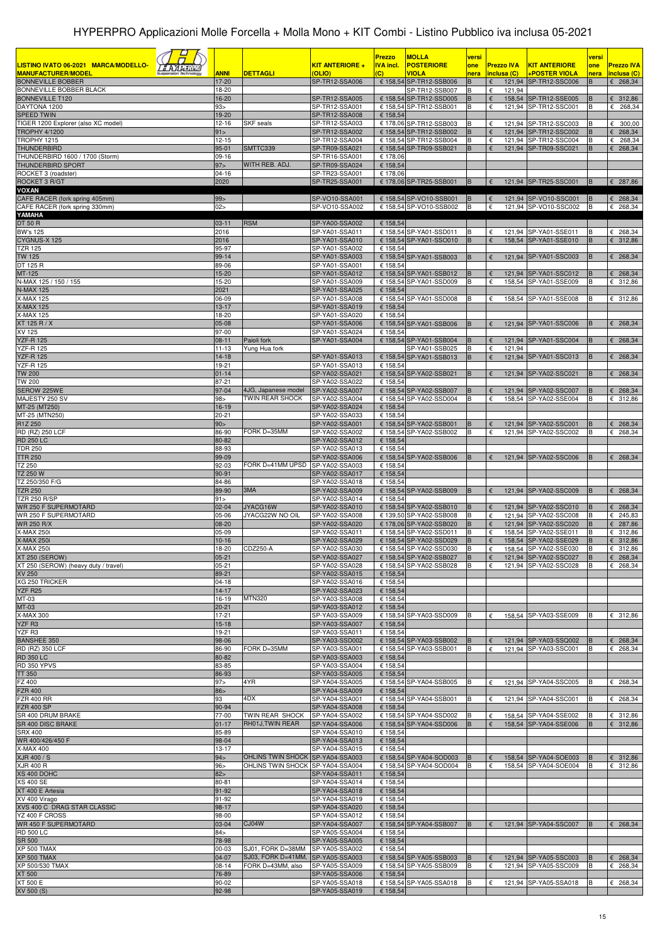|                                                                                |                          |                                        |                                  | <b>Prezzo</b>        | <b>MOLLA</b>                                       | versi         |                            |                                                | versi                |                               |
|--------------------------------------------------------------------------------|--------------------------|----------------------------------------|----------------------------------|----------------------|----------------------------------------------------|---------------|----------------------------|------------------------------------------------|----------------------|-------------------------------|
| LISTINO IVATO 06-2021 MARCA/MODELLO-<br><u>a Alasumu</u>                       |                          |                                        | KIT ANTERIORE +                  | <b>IVA incl.</b>     | <b>POSTERIORE</b>                                  | one           | <b>Prezzo IVA</b>          | <u>KIT ANTERIORE</u>                           | one                  | <b>Prezzo IVA</b>             |
| <b>MANUFACTURER/MODEL</b><br>Suspension Technology<br><b>BONNEVILLE BOBBER</b> | <b>ANNI</b><br>17-20     | <b>DETTAGLI</b>                        | (OLIO)<br>SP-TR12-SSA006         | (C)                  | VIOLA<br>€ 158,54 SP-TR12-SSB006                   | nera<br>в     | inclusa (C)<br>€<br>121,94 | <b>+POSTER VIOLA</b><br>SP-TR12-SSC006         | nera<br>B            | inclusa (C)<br>$E$ 268,34     |
| BONNEVILLE BOBBER BLACK                                                        | 18-20                    |                                        |                                  |                      | SP-TR12-SSB007                                     | В             | €<br>121,94                |                                                |                      |                               |
| <b>BONNEVILLE T120</b>                                                         | 16-20                    |                                        | SP-TR12-SSA005                   |                      | € 158,54 SP-TR12-SSD005                            | B             | €                          | 158,54 SP-TR12-SSE005                          | B                    | 6312,86                       |
| DAYTONA 1200                                                                   | 93>                      |                                        | SP-TR12-SSA001                   |                      | € 158,54 SP-TR12-SSB001                            | B             | €                          | 121,94 SP-TR12-SSC001                          | B                    | $E$ 268,34                    |
| <b>SPEED TWIN</b><br>TIGER 1200 Explorer (also XC model)                       | 19-20<br>$12 - 16$       | <b>SKF</b> seals                       | SP-TR12-SSA008<br>SP-TR12-SSA003 | € 158,54             |                                                    |               |                            |                                                |                      |                               |
| <b>TROPHY 4/1200</b>                                                           | 91                       |                                        | SP-TR12-SSA002                   |                      | € 178,06 SP-TR12-SSB003<br>€ 158,54 SP-TR12-SSB002 | в<br>B        | €<br>€                     | 121,94 SP-TR12-SSC003<br>121,94 SP-TR12-SSC002 | В<br>B               | 6300,00<br>€ 268,34           |
| TROPHY 1215                                                                    | $12 - 15$                |                                        | SP-TR12-SSA004                   |                      | € 158,54 SP-TR12-SSB004                            | В             | $\epsilon$                 | 121,94 SP-TR12-SSC004                          | B                    | $E$ 268,34                    |
| <b>THUNDERBIRD</b>                                                             | 95-01                    | SMTTC339                               | SP-TR09-SSA021                   |                      | € 158,54 SP-TR09-SSB021                            | B             | €                          | 121,94 SP-TR09-SSC021                          | B                    | £ 268,34                      |
| THUNDERBIRD 1600 / 1700 (Storm)<br><b>THUNDERBIRD SPORT</b>                    | $09-16$<br>97 >          | WITH REB. ADJ.                         | SP-TR16-SSA001<br>SP-TR09-SSA024 | € 178,06<br>€ 158,54 |                                                    |               |                            |                                                |                      |                               |
| ROCKET 3 (roadster)                                                            | $04 - 16$                |                                        | SP-TR23-SSA001                   | € 178,06             |                                                    |               |                            |                                                |                      |                               |
| ROCKET 3 R/GT                                                                  | 2020                     |                                        | SP-TR25-SSA001                   |                      | € 178,06 SP-TR25-SSB001                            | B             | €                          | 121,94 SP-TR25-SSC001                          | B                    | € 287,86                      |
| <b>VOXAN</b>                                                                   |                          |                                        |                                  |                      |                                                    |               |                            |                                                |                      |                               |
| CAFE RACER (fork spring 405mm)<br>CAFE RACER (fork spring 330mm)               | 99 ><br>02>              |                                        | SP-VO10-SSA001<br>SP-VO10-SSA002 |                      | € 158,54 SP-VO10-SSB001<br>€ 158,54 SP-VO10-SSB002 | <b>B</b><br>B | $\epsilon$<br>€            | 121,94 SP-VO10-SSC001<br>121,94 SP-VO10-SSC002 | <b>B</b><br><b>B</b> | $\epsilon$ 268,34<br>£ 268,34 |
| YAMAHA                                                                         |                          |                                        |                                  |                      |                                                    |               |                            |                                                |                      |                               |
| DT 50 R                                                                        | $03 - 11$                | <b>RSM</b>                             | SP-YA00-SSA002                   | € 158,54             |                                                    |               |                            |                                                |                      |                               |
| <b>BW's 125</b><br>CYGNUS-X 125                                                | 2016<br>2016             |                                        | SP-YA01-SSA011<br>SP-YA01-SSA010 |                      | € 158,54 SP-YA01-SSD011<br>€ 158,54 SP-YA01-SSO010 | в<br>B        | €<br>€                     | 121,94 SP-YA01-SSE011<br>158,54 SP-YA01-SSE010 | B<br>B               | € 268,34<br>£ 312,86          |
| <b>TZR 125</b>                                                                 | 95-97                    |                                        | SP-YA01-SSA002                   | € 158,54             |                                                    |               |                            |                                                |                      |                               |
| <b>TW 125</b>                                                                  | 99-14                    |                                        | SP-YA01-SSA003                   |                      | € 158,54 SP-YA01-SSB003                            | в             | €                          | 121,94 SP-YA01-SSC003                          | в                    | $E$ 268,34                    |
| DT 125 R                                                                       | 89-06                    |                                        | SP-YA01-SSA001                   | € 158,54             |                                                    |               |                            |                                                |                      |                               |
| MT-125<br>N-MAX 125 / 150 / 155                                                | 15-20<br>15-20           |                                        | SP-YA01-SSA012<br>SP-YA01-SSA009 |                      | € 158,54 SP-YA01-SSB012<br>€ 158,54 SP-YA01-SSD009 | B<br>В        | €<br>€                     | 121,94 SP-YA01-SSC012<br>158,54 SP-YA01-SSE009 | B                    | $E$ 268,34<br>€ 312,86        |
| <b>N-MAX 125</b>                                                               | 2021                     |                                        | SP-YA01-SSA025                   | € 158,54             |                                                    |               |                            |                                                |                      |                               |
| <b>X-MAX 125</b>                                                               | 06-09                    |                                        | SP-YA01-SSA008                   |                      | € 158,54 SP-YA01-SSD008                            | в             | €                          | 158,54 SP-YA01-SSE008                          | в                    | € 312,86                      |
| <b>X-MAX 125</b>                                                               | $13 - 17$                |                                        | SP-YA01-SSA019                   | € 158,54             |                                                    |               |                            |                                                |                      |                               |
| <b>X-MAX 125</b><br>XT 125 R / X                                               | 18-20<br>05-08           |                                        | SP-YA01-SSA020<br>SP-YA01-SSA006 | € 158,54             | € 158,54 SP-YA01-SSB006                            | B             | €                          | 121,94 SP-YA01-SSC006                          | B                    | $E$ 268,34                    |
| XV 125                                                                         | 97-00                    |                                        | SP-YA01-SSA024                   | € 158,54             |                                                    |               |                            |                                                |                      |                               |
| <b>YZF-R 125</b>                                                               | $08 - 11$                | Paioli fork                            | SP-YA01-SSA004                   |                      | € 158,54 SP-YA01-SSB004                            | B             | €                          | 121,94 SP-YA01-SSC004                          | B                    | £ 268,34                      |
| <b>YZF-R 125</b>                                                               | $11 - 13$                | Yung Hua fork                          |                                  |                      | SP-YA01-SSB025                                     | в             | €<br>121,94                |                                                |                      |                               |
| <b>YZF-R 125</b><br><b>YZF-R 125</b>                                           | $14 - 18$<br>19-21       |                                        | SP-YA01-SSA013<br>SP-YA01-SSA013 | € 158,54             | € 158,54 SP-YA01-SSB013                            | B             | €                          | 121,94 SP-YA01-SSC013                          | B                    | $E$ 268,34                    |
| <b>TW 200</b>                                                                  | $01 - 14$                |                                        | SP-YA02-SSA021                   |                      | € 158,54 SP-YA02-SSB021                            | B             | €                          | 121,94 SP-YA02-SSC021                          | B                    | $E$ 268,34                    |
| TW 200                                                                         | 87-21                    |                                        | SP-YA02-SSA022                   | € 158,54             |                                                    |               |                            |                                                |                      |                               |
| SEROW 225WE<br>MAJESTY 250 SV                                                  | 97-04<br>98 <sub>2</sub> | 4JG, Japanese model<br>TWIN REAR SHOCK | SP-YA02-SSA007<br>SP-YA02-SSA004 |                      | € 158,54 SP-YA02-SSB007<br>€ 158,54 SP-YA02-SSD004 | B<br>В        | €<br>€                     | 121.94 SP-YA02-SSC007<br>158,54 SP-YA02-SSE004 | B                    | $E$ 268,34<br>€ 312,86        |
| MT-25 (MT250)                                                                  | 16-19                    |                                        | SP-YA02-SSA024                   | € 158,54             |                                                    |               |                            |                                                |                      |                               |
| MT-25 (MTN250)                                                                 | $20 - 21$                |                                        | SP-YA02-SSA033                   | € 158,54             |                                                    |               |                            |                                                |                      |                               |
| R1Z 250                                                                        | 90 >                     |                                        | SP-YA02-SSA001                   |                      | € 158,54 SP-YA02-SSB001                            | B             | €                          | 121,94 SP-YA02-SSC001                          | B                    | € 268,34                      |
| RD (RZ) 250 LCF<br><b>RD 250 LC</b>                                            | 86-90<br>80-82           | FORK D=35MM                            | SP-YA02-SSA002<br>SP-YA02-SSA012 | € 158,54             | € 158,54 SP-YA02-SSB002                            | B             | $\epsilon$                 | 121,94 SP-YA02-SSC002                          | в                    | $E$ 268,34                    |
| <b>TDR 250</b>                                                                 | 88-93                    |                                        | SP-YA02-SSA013                   | € 158,54             |                                                    |               |                            |                                                |                      |                               |
| <b>TTR 250</b>                                                                 | 99-09                    |                                        | SP-YA02-SSA006                   |                      | € 158,54 SP-YA02-SSB006                            | В             | €                          | 121,94 SP-YA02-SSC006                          | B                    | $E$ 268,34                    |
| TZ 250<br>TZ 250 W                                                             | 92-03<br>90-91           | FORK D=41MM UPSD                       | SP-YA02-SSA003<br>SP-YA02-SSA017 | € 158,54<br>€ 158,54 |                                                    |               |                            |                                                |                      |                               |
| TZ 250/350 F/G                                                                 | 84-86                    |                                        | SP-YA02-SSA018                   | € 158,54             |                                                    |               |                            |                                                |                      |                               |
| <b>TZR 250</b>                                                                 | 89-90                    | 3MA                                    | SP-YA02-SSA009                   |                      | € 158,54 SP-YA02-SSB009                            | B             | €                          | 121,94 SP-YA02-SSC009                          | B                    | $E$ 268,34                    |
| <b>TZR 250 R/SP</b>                                                            | 91 >                     |                                        | SP-YA02-SSA014                   | € 158,54             |                                                    |               |                            |                                                |                      |                               |
| WR 250 F SUPERMOTARD<br>WR 250 F SUPERMOTARD                                   | $02 - 04$<br>05-06       | JYACG16W<br>JYACG22W NO OIL            | SP-YA02-SSA010<br>SP-YA02-SSA008 |                      | € 158,54 SP-YA02-SSB010<br>€ 139,50 SP-YA02-SSB008 | в<br>В        | €<br>$\epsilon$            | 121,94 SP-YA02-SSC010<br>121,94 SP-YA02-SSC008 | B                    | $E$ 268,34<br>€ 245,83        |
| <b>WR 250 R/X</b>                                                              | 08-20                    |                                        | SP-YA02-SSA020                   |                      | € 178,06 SP-YA02-SSB020                            | в             | €                          | 121,94 SP-YA02-SSC020                          | B                    | £ 287,86                      |
| <b>X-MAX 250i</b>                                                              | 05-09                    |                                        | SP-YA02-SSA011                   |                      | € 158,54 SP-YA02-SSD011                            | B             | €                          | 158,54 SP-YA02-SSE011                          | B                    | € 312,86                      |
| <b>X-MAX 250i</b>                                                              | $10 - 16$                |                                        | SP-YA02-SSA029                   |                      | € 158,54 SP-YA02-SSD029<br>€ 158,54 SP-YA02-SSD030 | $\sf B$       | $\epsilon$                 | 158,54 SP-YA02-SSE029                          | B                    | 6312,86                       |
| <b>X-MAX 250i</b><br><b>XT 250 (SEROW)</b>                                     | 18-20<br>$05 - 21$       | CDZ250-A                               | SP-YA02-SSA030<br>SP-YA02-SSA027 |                      | € 158,54 SP-YA02-SSB027                            | B<br>B        | €<br>$\epsilon$            | 158,54 SP-YA02-SSE030<br>121,94 SP-YA02-SSC027 | B<br>B               | € 312,86<br>€ 268,34          |
| XT 250 (SEROW) (heavy duty / travel)                                           | $05 - 21$                |                                        | SP-YA02-SSA028                   |                      | € 158,54 SP-YA02-SSB028                            | B             | €                          | 121,94 SP-YA02-SSC028                          | B                    | € 268,34                      |
| XV 250                                                                         | 89-21                    |                                        | SP-YA02-SSA015                   | € 158,54             |                                                    |               |                            |                                                |                      |                               |
| XG 250 TRICKER<br>YZF R25                                                      | $04-18$<br>$14 - 17$     |                                        | SP-YA02-SSA016<br>SP-YA02-SSA023 | € 158,54<br>€ 158,54 |                                                    |               |                            |                                                |                      |                               |
| MT-03                                                                          | 16-19                    | <b>MTN320</b>                          | SP-YA03-SSA008                   | € 158,54             |                                                    |               |                            |                                                |                      |                               |
| MT-03                                                                          | 20-21                    |                                        | SP-YA03-SSA012                   | € 158,54             |                                                    |               |                            |                                                |                      |                               |
| X-MAX 300                                                                      | 17-21                    |                                        | SP-YA03-SSA009                   |                      | € 158,54 SP-YA03-SSD009                            | в             | €                          | 158,54 SP-YA03-SSE009                          | в                    | 6312,86                       |
| YZF <sub>R3</sub><br>YZF R3                                                    | $15-18$<br>19-21         |                                        | SP-YA03-SSA007<br>SP-YA03-SSA011 | € 158,54<br>€ 158,54 |                                                    |               |                            |                                                |                      |                               |
| <b>BANSHEE 350</b>                                                             | 98-06                    |                                        | SP-YA03-SSD002                   |                      | € 158,54 SP-YA03-SSB002                            | В             | €                          | 121,94 SP-YA03-SSQ002                          | B                    | $E$ 268,34                    |
| RD (RZ) 350 LCF                                                                | 86-90                    | FORK D=35MM                            | SP-YA03-SSA001                   |                      | € 158,54 SP-YA03-SSB001                            | B             | €                          | 121,94 SP-YA03-SSC001                          | B                    | $E$ 268,34                    |
| <b>RD 350 LC</b><br>RD 350 YPVS                                                | 80-82<br>83-85           |                                        | SP-YA03-SSA003<br>SP-YA03-SSA004 | € 158,54<br>€ 158,54 |                                                    |               |                            |                                                |                      |                               |
| TT 350                                                                         | 86-93                    |                                        | SP-YA03-SSA005                   | € 158,54             |                                                    |               |                            |                                                |                      |                               |
| FZ 400                                                                         | 97 >                     | 4YR                                    | SP-YA04-SSA005                   |                      | € 158,54 SP-YA04-SSB005                            | в             | €                          | 121,94 SP-YA04-SSC005                          | В                    | $E$ 268,34                    |
| <b>FZR 400</b><br><b>FZR 400 RR</b>                                            | 86 ><br>93               | 4DX                                    | SP-YA04-SSA009<br>SP-YA04-SSA001 | € 158,54             | € 158,54 SP-YA04-SSB001                            | В             | €                          | 121,94 SP-YA04-SSC001                          | В                    | $E$ 268,34                    |
| <b>FZR 400 SP</b>                                                              | 90-94                    |                                        | SP-YA04-SSA008                   | € 158,54             |                                                    |               |                            |                                                |                      |                               |
| SR 400 DRUM BRAKE                                                              | 77-00                    | TWIN REAR SHOCK                        | SP-YA04-SSA002                   |                      | € 158,54 SP-YA04-SSD002                            | в             | €                          | 158,54 SP-YA04-SSE002                          |                      | € 312,86                      |
| SR 400 DISC BRAKE                                                              | $01 - 17$                | RH01J, TWIN REAR                       | SP-YA04-SSA006                   |                      | € 158,54 SP-YA04-SSD006                            | B             | $\epsilon$                 | 158,54 SP-YA04-SSE006                          | B                    | 6312,86                       |
| <b>SRX 400</b><br>WR 400/426/450 F                                             | 85-89<br>98-04           |                                        | SP-YA04-SSA010<br>SP-YA04-SSA013 | € 158,54<br>€ 158,54 |                                                    |               |                            |                                                |                      |                               |
| X-MAX 400                                                                      | 13-17                    |                                        | SP-YA04-SSA015                   | € 158,54             |                                                    |               |                            |                                                |                      |                               |
| XJR 400 / S                                                                    | 94 >                     | OHLINS TWIN SHOCK SP-YA04-SSA003       |                                  |                      | € 158,54 SP-YA04-SOD003                            | B             | $\epsilon$                 | 158,54 SP-YA04-SOE003                          | B                    | 6312,86                       |
| XJR 400 R<br>XS 400 DOHC                                                       | 96 ><br>82 >             | OHLINS TWIN SHOCK SP-YA04-SSA004       | SP-YA04-SSA011                   | € 158,54             | € 158,54 SP-YA04-SOD004                            | В             | €                          | 158,54 SP-YA04-SOE004                          | В                    | € 312,86                      |
| <b>XS 400 SE</b>                                                               | 80-81                    |                                        | SP-YA04-SSA014                   | € 158,54             |                                                    |               |                            |                                                |                      |                               |
| XT 400 E Artesia                                                               | 91-92                    |                                        | SP-YA04-SSA018                   | € 158,54             |                                                    |               |                            |                                                |                      |                               |
| XV 400 Virago                                                                  | 91-92                    |                                        | SP-YA04-SSA019                   | € 158,54             |                                                    |               |                            |                                                |                      |                               |
| XVS 400 C DRAG STAR CLASSIC<br>YZ 400 F CROSS                                  | 98-17<br>98-00           |                                        | SP-YA04-SSA020<br>SP-YA04-SSA012 | € 158,54<br>€ 158,54 |                                                    |               |                            |                                                |                      |                               |
| WR 450 F SUPERMOTARD                                                           | 03-04                    | CJ04W                                  | SP-YA04-SSA007                   |                      | € 158,54 SP-YA04-SSB007                            | B             | $\epsilon$                 | 121,94 SP-YA04-SSC007                          | B                    | $E$ 268,34                    |
| <b>RD 500 LC</b>                                                               | 84 >                     |                                        | SP-YA05-SSA004                   | € 158,54             |                                                    |               |                            |                                                |                      |                               |
| <b>SR 500</b><br>XP 500 TMAX                                                   | 78-98<br>00-03           | SJ01, FORK D=38MM                      | SP-YA05-SSA005<br>SP-YA05-SSA002 | € 158,54<br>€ 158,54 |                                                    |               |                            |                                                |                      |                               |
| <b>XP 500 TMAX</b>                                                             | 04-07                    | SJ03, FORK D=41MM,                     | SP-YA05-SSA003                   |                      | € 158,54 SP-YA05-SSB003                            | B             | €                          | 121,94 SP-YA05-SSC003                          | B                    | $E$ 268,34                    |
| XP 500/530 TMAX                                                                | $08 - 14$                | FORK D=43MM, also                      | SP-YA05-SSA009                   |                      | € 158.54 SP-YA05-SSB009                            | В             | $\epsilon$                 | 121,94 SP-YA05-SSC009                          | B                    | $E$ 268,34                    |
| XT 500                                                                         | 76-89                    |                                        | SP-YA05-SSA006                   | € 158,54             |                                                    |               |                            |                                                |                      |                               |
| XT 500 E<br>XV 500 (S)                                                         | 90-02<br>92-98           |                                        | SP-YA05-SSA018<br>SP-YA05-SSA019 | € 158,54             | € 158,54 SP-YA05-SSA018                            | В             | €                          | 121,94 SP-YA05-SSA018                          | B                    | $E$ 268,34                    |
|                                                                                |                          |                                        |                                  |                      |                                                    |               |                            |                                                |                      |                               |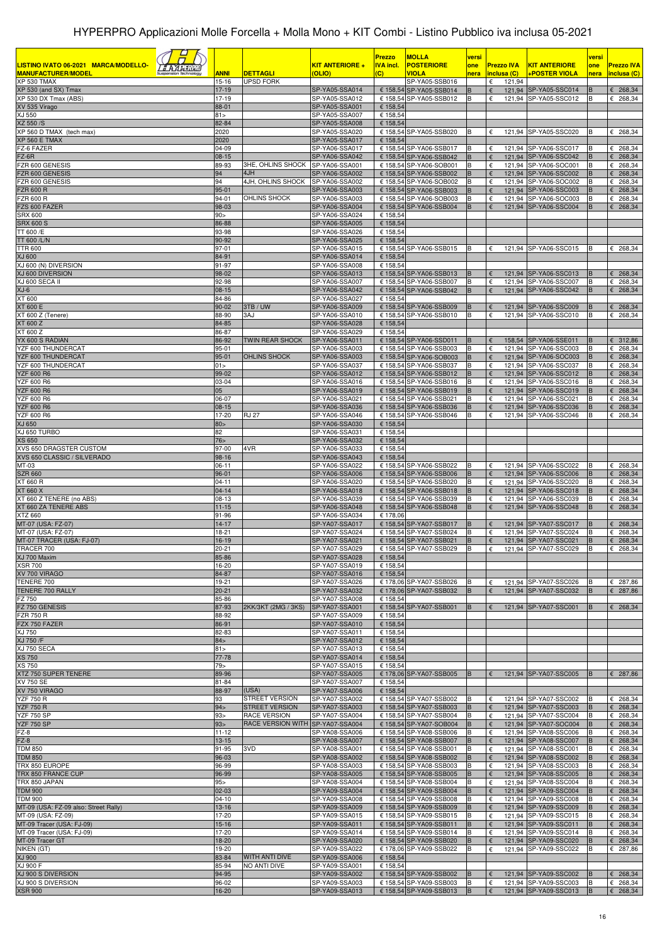|                                                                   |                      |                                         |                                  | Prezzo                  | <b>MOLLA</b>                                       | versi  |                            |                                                | versi  |                               |
|-------------------------------------------------------------------|----------------------|-----------------------------------------|----------------------------------|-------------------------|----------------------------------------------------|--------|----------------------------|------------------------------------------------|--------|-------------------------------|
| LISTINO IVATO 06-2021 MARCA/MODELLO-<br><b>MANUFACTURER/MODEL</b> |                      |                                         | <b>KIT ANTERIORE +</b><br>(OLIO) | <u>IVA incl.</u><br>(C) | <b>POSTERIORE</b><br>VIOLA                         | one    | <b>Prezzo IVA</b>          | <b>KIT ANTERIORE</b>                           | one    | <b>Prezzo IVA</b>             |
| <b>XP 530 TMAX</b>                                                | <u>ANNI</u><br>15-16 | DETTAGLI<br><b>UPSD FORK</b>            |                                  |                         | SP-YA05-SSB016                                     | nera   | inclusa (C)<br>121,94<br>€ | <b>+POSTER VIOLA</b>                           | nera   | inclusa (C)                   |
| XP 530 (and SX) Tmax                                              | 17-19                |                                         | SP-YA05-SSA014                   |                         | € 158,54 SP-YA05-SSB014                            | в      | €                          | 121,94 SP-YA05-SSC014                          | B      | $E$ 268,34                    |
| XP 530 DX Tmax (ABS)<br>XV 535 Virago                             | 17-19<br>88-01       |                                         | SP-YA05-SSA012<br>SP-YA05-SSA001 | € 158,54                | € 158,54 SP-YA05-SSB012                            | в      | €                          | 121,94 SP-YA05-SSC012                          | B      | € 268,34                      |
| XJ 550                                                            | 81 >                 |                                         | SP-YA05-SSA007                   | € 158,54                |                                                    |        |                            |                                                |        |                               |
| XZ 550 /S                                                         | 82-84                |                                         | SP-YA05-SSA008                   | € 158,54                |                                                    |        |                            |                                                |        |                               |
| XP 560 D TMAX (tech max)<br>XP 560 E TMAX                         | 2020<br>2020         |                                         | SP-YA05-SSA020<br>SP-YA05-SSA017 | € 158,54                | € 158,54 SP-YA05-SSB020                            |        | €                          | 121,94 SP-YA05-SSC020                          | B      | € 268,34                      |
| Z-6 FAZER                                                         | 04-09                |                                         | SP-YA06-SSA017                   |                         | € 158,54 SP-YA06-SSB017                            | в      | €                          | 121,94 SP-YA06-SSC017                          | B      | € 268,34                      |
| FZ-6R                                                             | $08 - 15$            |                                         | SP-YA06-SSA042                   |                         | € 158,54 SP-YA06-SSB042                            | B      | €                          | 121,94 SP-YA06-SSC042                          | B      | 268,34<br>€                   |
| ZR 600 GENESIS<br>FZR 600 GENESIS                                 | 89-93<br>94          | 3HE, OHLINS SHOCK<br>4JH                | SP-YA06-SSA001<br>SP-YA06-SSA002 |                         | € 158,54 SP-YA06-SOB001<br>€ 158,54 SP-YA06-SSB002 | В<br>B | €<br>€                     | 121,94 SP-YA06-SOC001<br>121,94 SP-YA06-SSC002 | в<br>B | € 268,34<br>€ 268,34          |
| ZR 600 GENESIS                                                    | 94                   | 4JH, OHLINS SHOCK                       | SP-YA06-SSA002                   |                         | € 158,54 SP-YA06-SOB002                            | В      | €                          | 121,94 SP-YA06-SOC002                          | B      | € 268,34                      |
| <b>FZR 600 R</b>                                                  | 95-01                |                                         | SP-YA06-SSA003                   |                         | € 158,54 SP-YA06-SSB003                            | B      | €                          | 121,94 SP-YA06-SSC003                          | B      | € 268,34                      |
| ZR 600 R<br>FZS 600 FAZER                                         | 94-01<br>98-03       | OHLINS SHOCK                            | SP-YA06-SSA003<br>SP-YA06-SSA004 |                         | € 158,54 SP-YA06-SOB003<br>€ 158,54 SP-YA06-SSB004 | в<br>B | €<br>€                     | 121,94 SP-YA06-SOC003<br>121,94 SP-YA06-SSC004 | B<br>B | € 268,34<br>€ 268,34          |
| <b>SRX 600</b>                                                    | 90 >                 |                                         | SP-YA06-SSA024                   | € 158,54                |                                                    |        |                            |                                                |        |                               |
| <b>SRX 600 S</b>                                                  | 86-88                |                                         | SP-YA06-SSA005                   | € 158,54                |                                                    |        |                            |                                                |        |                               |
| TT 600 /E<br>TT 600 /L/N                                          | 93-98<br>90-92       |                                         | SP-YA06-SSA026                   | € 158,54                |                                                    |        |                            |                                                |        |                               |
| <b>TTR 600</b>                                                    | $97 - 01$            |                                         | SP-YA06-SSA025<br>SP-YA06-SSA015 | € 158,54                | € 158,54 SP-YA06-SSB015                            |        | €                          | 121,94 SP-YA06-SSC015                          |        | £ 268,34                      |
| XJ 600                                                            | 84-91                |                                         | SP-YA06-SSA014                   | € 158,54                |                                                    |        |                            |                                                |        |                               |
| XJ 600 (N) DIVERSION                                              | 91-97                |                                         | SP-YA06-SSA008                   | € 158,54                |                                                    |        |                            |                                                |        |                               |
| XJ 600 DIVERSION<br>XJ 600 SECA II                                | 98-02<br>92-98       |                                         | SP-YA06-SSA013<br>SP-YA06-SSA007 |                         | € 158.54 SP-YA06-SSB013<br>€ 158,54 SP-YA06-SSB007 | B<br>в | €<br>€                     | 121.94 SP-YA06-SSC013<br>121,94 SP-YA06-SSC007 | B<br>B | 268,34<br>€<br>€<br>268,34    |
| $XJ-6$                                                            | $08 - 15$            |                                         | SP-YA06-SSA042                   |                         | € 158,54 SP-YA06-SSB042                            | B      | €                          | 121.94 SP-YA06-SSC042                          | B      | 268,34<br>€                   |
| XT 600                                                            | 84-86                |                                         | SP-YA06-SSA027                   | € 158,54                |                                                    |        |                            |                                                |        |                               |
| XT 600 E<br>XT 600 Z (Tenere)                                     | 90-02<br>88-90       | 3TB/UW<br>3AJ                           | SP-YA06-SSA009<br>SP-YA06-SSA010 |                         | € 158,54 SP-YA06-SSB009<br>€ 158,54 SP-YA06-SSB010 | в      | €<br>€                     | 121,94 SP-YA06-SSC009<br>121,94 SP-YA06-SSC010 | B<br>B | 268,34<br>€<br>€ 268,34       |
| XT 600 Z                                                          | 84-85                |                                         | SP-YA06-SSA028                   | € 158,54                |                                                    |        |                            |                                                |        |                               |
| XT 600 Z                                                          | 86-87                |                                         | SP-YA06-SSA029                   | € 158,54                |                                                    |        |                            |                                                |        |                               |
| YX 600 S RADIAN                                                   | 86-92                | <b>TWIN REAR SHOCK</b>                  | SP-YA06-SSA011<br>SP-YA06-SSA003 |                         | € 158,54 SP-YA06-SSD011<br>€ 158,54 SP-YA06-SSB003 | В<br>в | €                          | 158,54 SP-YA06-SSE011                          | B      | € 312,86                      |
| YZF 600 THUNDERCAT<br>YZF 600 THUNDERCAT                          | 95-01<br>$95 - 01$   | OHLINS SHOCK                            | SP-YA06-SSA003                   |                         | € 158,54 SP-YA06-SOB003                            | B      | €<br>€                     | 121,94 SP-YA06-SSC003<br>121,94 SP-YA06-SOC003 | B<br>B | € 268,34<br>$E$ 268,34        |
| YZF 600 THUNDERCAT                                                | 01 >                 |                                         | SP-YA06-SSA037                   |                         | € 158,54 SP-YA06-SSB037                            | B      | €                          | 121,94 SP-YA06-SSC037                          | B      | € 268,34                      |
| <b>YZF 600 R6</b>                                                 | 99-02                |                                         | SP-YA06-SSA012                   |                         | € 158,54 SP-YA06-SSB012                            | B      | €                          | 121,94 SP-YA06-SSC012                          | B      | 268,34<br>€                   |
| YZF 600 R6<br><b>YZF 600 R6</b>                                   | 03-04<br>05          |                                         | SP-YA06-SSA016<br>SP-YA06-SSA019 |                         | € 158,54 SP-YA06-SSB016<br>€ 158,54 SP-YA06-SSB019 | В<br>B | €<br>€                     | 121,94 SP-YA06-SSC016<br>121,94 SP-YA06-SSC019 | B<br>B | € 268,34<br>$E$ 268,34        |
| <b>YZF 600 R6</b>                                                 | 06-07                |                                         | SP-YA06-SSA021                   |                         | € 158,54 SP-YA06-SSB021                            | В      | €                          | 121,94 SP-YA06-SSC021                          | в      | € 268,34                      |
| <b>YZF 600 R6</b>                                                 | $08 - 15$            |                                         | SP-YA06-SSA036                   |                         | € 158,54 SP-YA06-SSB036                            | B      | €                          | 121,94 SP-YA06-SSC036                          | B      | $E$ 268,34                    |
| <b>YZF 600 R6</b><br>XJ 650                                       | 17-20                | RJ 27                                   | SP-YA06-SSA046                   |                         | € 158,54 SP-YA06-SSB046                            | в      | €                          | 121,94 SP-YA06-SSC046                          | в      | € 268,34                      |
| XJ 650 TURBO                                                      | 80 ><br>82           |                                         | SP-YA06-SSA030<br>SP-YA06-SSA031 | € 158,54<br>€ 158,54    |                                                    |        |                            |                                                |        |                               |
| <b>XS 650</b>                                                     | 76 <sub>&gt;</sub>   |                                         | SP-YA06-SSA032                   | € 158,54                |                                                    |        |                            |                                                |        |                               |
| XVS 650 DRAGSTER CUSTOM                                           | 97-00                | 4VR                                     | SP-YA06-SSA033                   | € 158,54                |                                                    |        |                            |                                                |        |                               |
| XVS 650 CLASSIC / SILVERADO<br>$\overline{MT}$ -03                | 98-16<br>06-11       |                                         | SP-YA06-SSA043<br>SP-YA06-SSA022 | € 158,54                | € 158,54 SP-YA06-SSB022                            |        | €                          | 121,94 SP-YA06-SSC022                          | в      | € 268,34                      |
| <b>SZR 660</b>                                                    | 96-01                |                                         | SP-YA06-SSA006                   |                         | € 158,54 SP-YA06-SSB006                            |        | 121,94<br>€                | SP-YA06-SSC006                                 |        | 268,34                        |
| XT 660 R                                                          | 04-11                |                                         | SP-YA06-SSA020                   |                         | € 158,54 SP-YA06-SSB020                            | B      | €                          | 121,94 SP-YA06-SSC020                          | в      | € 268,34                      |
| XT 660 X<br>XT 660 Z TENERE (no ABS)                              | $04 - 14$<br>08-13   |                                         | SP-YA06-SSA018<br>SP-YA06-SSA039 |                         | € 158,54 SP-YA06-SSB018<br>€ 158,54 SP-YA06-SSB039 | B<br>в | $\epsilon$<br>121,94<br>€  | SP-YA06-SSC018<br>121.94 SP-YA06-SSC039        | в      | 268,34<br>€<br>€ 268,34       |
| XT 660 ZA TENERE ABS                                              | $11 - 15$            |                                         | SP-YA06-SSA048                   |                         | € 158,54 SP-YA06-SSB048                            | B.     | 121,94<br>€                | SP-YA06-SSC048                                 | B      | 268,34<br>€                   |
| XTZ 660                                                           | 91-96                |                                         | SP-YA06-SSA034                   | € 178,06                |                                                    |        |                            |                                                |        |                               |
| MT-07 (USA: FZ-07)<br>MT-07 (USA: FZ-07)                          | $14-17$              |                                         | SP-YA07-SSA017                   |                         | € 158,54 SP-YA07-SSB017<br>€ 158.54 SP-YA07-SSB024 | в      | €<br>€                     | 121,94 SP-YA07-SSC017                          |        | $E$ 268,34                    |
| MT-07 TRACER (USA: FJ-07)                                         | 18-21<br>16-19       |                                         | SP-YA07-SSA024<br>SP-YA07-SSA021 |                         | € 158,54 SP-YA07-SSB021                            | B      | €                          | 121,94 SP-YA07-SSC024<br>121,94 SP-YA07-SSC021 | B<br>B | € 268,34<br>€<br>268,34       |
| TRACER 700                                                        | $20 - 21$            |                                         | SP-YA07-SSA029                   |                         | € 158,54 SP-YA07-SSB029                            | в      | €                          | 121,94 SP-YA07-SSC029                          | B      | £ 268,34                      |
| XJ 700 Maxim                                                      | 85-86                |                                         | SP-YA07-SSA028<br>SP-YA07-SSA019 | € 158,54                |                                                    |        |                            |                                                |        |                               |
| <b>XSR 700</b><br>XV 700 VIRAGO                                   | 16-20<br>84-87       |                                         | SP-YA07-SSA016                   | € 158,54<br>€ 158,54    |                                                    |        |                            |                                                |        |                               |
| TENERE 700                                                        | 19-21                |                                         | SP-YA07-SSA026                   |                         | € 178,06 SP-YA07-SSB026                            | в      | €                          | 121,94 SP-YA07-SSC026                          | B      | £ 287,86                      |
| TENERE 700 RALLY                                                  | $20 - 21$            |                                         | SP-YA07-SSA032                   |                         | € 178,06 SP-YA07-SSB032                            | B      | €                          | 121,94 SP-YA07-SSC032                          | B      | € 287,86                      |
| FZ 750<br>FZ 750 GENESIS                                          | 85-86<br>87-93       | 2KK/3KT (2MG / 3KS)                     | SP-YA07-SSA008<br>SP-YA07-SSA001 | € 158,54                | € 158,54 SP-YA07-SSB001                            | B      | €                          | 121,94 SP-YA07-SSC001                          | B      | $E$ 268,34                    |
| <b>FZR 750 R</b>                                                  | 88-92                |                                         | SP-YA07-SSA009                   | € 158,54                |                                                    |        |                            |                                                |        |                               |
| FZX 750 FAZER                                                     | 86-91                |                                         | SP-YA07-SSA010                   | € 158,54                |                                                    |        |                            |                                                |        |                               |
| XJ 750<br>XJ 750 /F                                               | 82-83<br>84 >        |                                         | SP-YA07-SSA011<br>SP-YA07-SSA012 | € 158,54<br>€ 158,54    |                                                    |        |                            |                                                |        |                               |
| XJ 750 SECA                                                       | 81 >                 |                                         | SP-YA07-SSA013                   | € 158,54                |                                                    |        |                            |                                                |        |                               |
| <b>XS 750</b>                                                     | 77-78                |                                         | SP-YA07-SSA014                   | € 158,54                |                                                    |        |                            |                                                |        |                               |
| XS 750<br>XTZ 750 SUPER TENERE                                    | $79 -$<br>89-96      |                                         | SP-YA07-SSA015<br>SP-YA07-SSA005 | € 158,54                | € 178,06 SP-YA07-SSB005                            | B      | €                          | 121,94 SP-YA07-SSC005                          | B      | £ 287,86                      |
| XV 750 SE                                                         | 81-84                |                                         | SP-YA07-SSA007                   | € 158.54                |                                                    |        |                            |                                                |        |                               |
| XV 750 VIRAGO                                                     | 88-97                | (USA)                                   | SP-YA07-SSA006                   | € 158,54                |                                                    |        |                            |                                                |        |                               |
| <b>YZF 750 R</b><br><b>YZF 750 R</b>                              | 93<br>94>            | STREET VERSION<br><b>STREET VERSION</b> | SP-YA07-SSA002                   |                         | € 158,54 SP-YA07-SSB002<br>€ 158,54 SP-YA07-SSB003 |        | €                          | 121,94 SP-YA07-SSC002                          | B      | £ 268,34<br>£ 268,34          |
| <b>YZF 750 SP</b>                                                 | 93 <sub>2</sub>      | RACE VERSION                            | SP-YA07-SSA003<br>SP-YA07-SSA004 |                         | € 158,54 SP-YA07-SSB004                            | B<br>в | $\epsilon$<br>€            | 121,94 SP-YA07-SSC003<br>121,94 SP-YA07-SSC004 | B<br>в | 268,34<br>€                   |
| <b>YZF 750 SP</b>                                                 | 93>                  | RACE VERSION WITH SP-YA07-SSA004        |                                  |                         | € 158,54 SP-YA07-SOB004                            | B      | $\epsilon$                 | 121,94 SP-YA07-SOC004                          | B      | 268,34<br>€                   |
| FZ-8                                                              | $11 - 12$            |                                         | SP-YA08-SSA006                   |                         | € 158,54 SP-YA08-SSB006                            | B      | €                          | 121,94 SP-YA08-SSC006                          | B      | $\overline{\epsilon}$ 268,34  |
| FZ-8<br><b>TDM 850</b>                                            | $13-15$<br>91-95     | 3VD                                     | SP-YA08-SSA007<br>SP-YA08-SSA001 |                         | € 158,54 SP-YA08-SSB007<br>€ 158,54 SP-YA08-SSB001 | в<br>R | €<br>€                     | 121,94 SP-YA08-SSC007<br>121,94 SP-YA08-SSC001 | B<br>в | $E$ 268,34<br>£ 268,34        |
| <b>TDM 850</b>                                                    | 96-03                |                                         | SP-YA08-SSA002                   |                         | € 158,54 SP-YA08-SSB002                            | B      | €                          | 121,94 SP-YA08-SSC002                          | B      | $E$ 268,34                    |
| TRX 850 EUROPE                                                    | 96-99                |                                         | SP-YA08-SSA003                   |                         | € 158,54 SP-YA08-SSB003                            | в      | $\epsilon$                 | 121,94 SP-YA08-SSC003                          | B      | € 268,34                      |
| TRX 850 FRANCE CUP<br>TRX 850 JAPAN                               | 96-99<br>95          |                                         | SP-YA08-SSA005<br>SP-YA08-SSA004 |                         | € 158,54 SP-YA08-SSB005<br>€ 158,54 SP-YA08-SSB004 | B<br>в | €<br>€                     | 121,94 SP-YA08-SSC005<br>121,94 SP-YA08-SSC004 | B<br>в | $E$ 268,34<br>€ 268,34        |
| <b>TDM 900</b>                                                    | 02-03                |                                         | SP-YA09-SSA004                   |                         | € 158,54 SP-YA09-SSB004                            | B      | €                          | 121,94 SP-YA09-SSC004                          | B      | $E$ 268,34                    |
| <b>TDM 900</b>                                                    | $04 - 10$            |                                         | SP-YA09-SSA008                   |                         | € 158,54 SP-YA09-SSB008                            | В      | €                          | 121,94 SP-YA09-SSC008                          | B      | € 268,34                      |
| MT-09 (USA: FZ-09 also: Street Rally)<br>MT-09 (USA: FZ-09)       | 13-16<br>17-20       |                                         | SP-YA09-SSA009<br>SP-YA09-SSA015 |                         | € 158,54 SP-YA09-SSB009<br>€ 158,54 SP-YA09-SSB015 | B<br>В | €<br>€                     | 121,94 SP-YA09-SSC009<br>121,94 SP-YA09-SSC015 | B<br>В | $E$ 268,34<br>€ 268,34        |
| MT-09 Tracer (USA: FJ-09)                                         | $15 - 16$            |                                         | SP-YA09-SSA011                   |                         | € 158,54 SP-YA09-SSB011                            | B      | $\epsilon$                 | 121,94 SP-YA09-SSC011                          | B      | $E$ 268,34                    |
| MT-09 Tracer (USA: FJ-09)                                         | 17-20                |                                         | SP-YA09-SSA014                   |                         | € 158,54 SP-YA09-SSB014                            | В      | €                          | 121,94 SP-YA09-SSC014                          | В      | € 268,34                      |
| MT-09 Tracer GT                                                   | 18-20                |                                         | SP-YA09-SSA020                   |                         | € 158,54 SP-YA09-SSB020                            | в      | €                          | 121,94 SP-YA09-SSC020                          | B      | $E$ 268,34                    |
| NIKEN (GT)<br>XJ 900                                              | 19-20<br>83-84       | WITH ANTI DIVE                          | SP-YA09-SSA022<br>SP-YA09-SSA006 | € 158,54                | € 178,06 SP-YA09-SSB022                            | В      | €                          | 121,94 SP-YA09-SSC022                          | в      | € 287,86                      |
| XJ 900 F                                                          | 85-94                | NO ANTI DIVE                            | SP-YA09-SSA001                   | € 158,54                |                                                    |        |                            |                                                |        |                               |
| XJ 900 S DIVERSION                                                | 94-95                |                                         | SP-YA09-SSA002                   |                         | € 158,54 SP-YA09-SSB002                            | B      | €                          | 121,94 SP-YA09-SSC002                          | B      | $E$ 268,34                    |
| XJ 900 S DIVERSION<br><b>XSR 900</b>                              | 96-02<br>16-20       |                                         | SP-YA09-SSA003<br>SP-YA09-SSA013 |                         | € 158,54 SP-YA09-SSB003<br>€ 158,54 SP-YA09-SSB013 | В<br>B | €<br>€                     | 121,94 SP-YA09-SSC003<br>121,94 SP-YA09-SSC013 | B<br>B | € 268,34<br>$\epsilon$ 268,34 |
|                                                                   |                      |                                         |                                  |                         |                                                    |        |                            |                                                |        |                               |